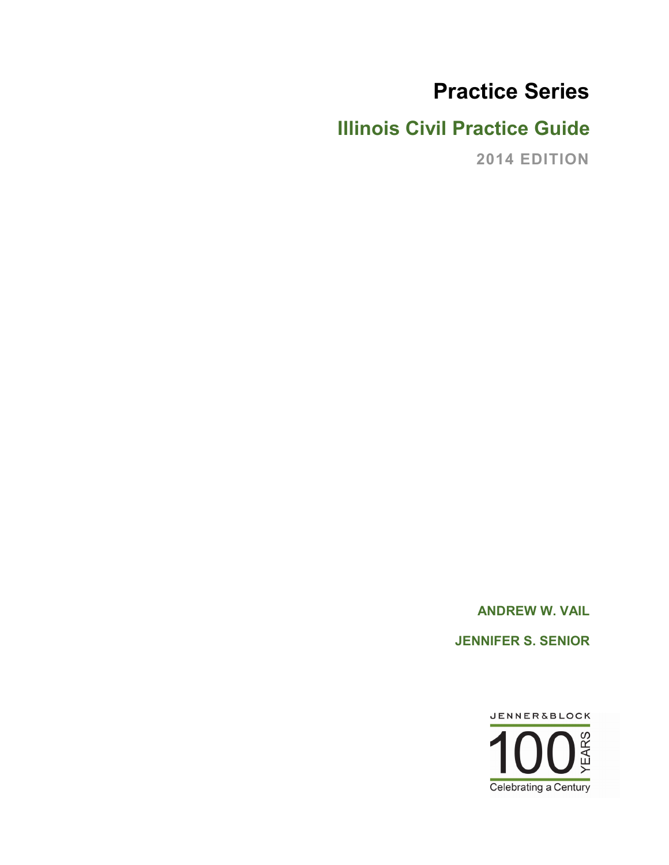# **Practice Series**

# **Illinois Civil Practice Guide**

**2014 EDITION**

**ANDREW W. VAIL JENNIFER S. SENIOR**

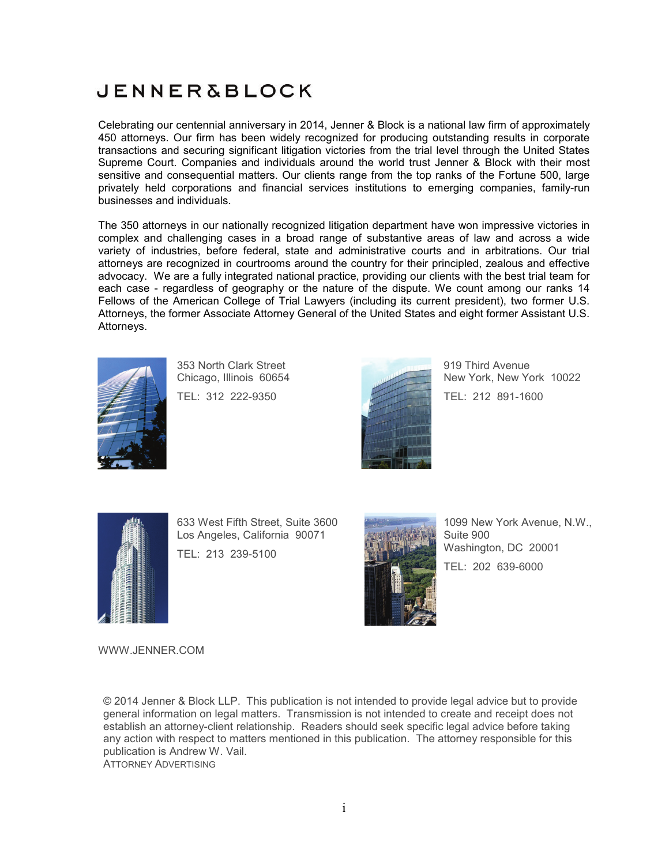# **JENNER&BLOCK**

Celebrating our centennial anniversary in 2014, Jenner & Block is a national law firm of approximately 450 attorneys. Our firm has been widely recognized for producing outstanding results in corporate transactions and securing significant litigation victories from the trial level through the United States Supreme Court. Companies and individuals around the world trust Jenner & Block with their most sensitive and consequential matters. Our clients range from the top ranks of the Fortune 500, large privately held corporations and financial services institutions to emerging companies, family-run businesses and individuals.

The 350 attorneys in our nationally recognized litigation department have won impressive victories in complex and challenging cases in a broad range of substantive areas of law and across a wide variety of industries, before federal, state and administrative courts and in arbitrations. Our trial attorneys are recognized in courtrooms around the country for their principled, zealous and effective advocacy. We are a fully integrated national practice, providing our clients with the best trial team for each case - regardless of geography or the nature of the dispute. We count among our ranks 14 Fellows of the American College of Trial Lawyers (including its current president), two former U.S. Attorneys, the former Associate Attorney General of the United States and eight former Assistant U.S. Attorneys.



353 North Clark Street Chicago, Illinois 60654

TEL: 312 222-9350



919 Third Avenue New York, New York 10022 TEL: 212 891-1600



633 West Fifth Street, Suite 3600 Los Angeles, California 90071 TEL: 213 239-5100



1099 New York Avenue, N.W., Suite 900 Washington, DC 20001 TEL: 202 639-6000

WWW.JENNER.COM

© 2014 Jenner & Block LLP. This publication is not intended to provide legal advice but to provide general information on legal matters. Transmission is not intended to create and receipt does not establish an attorney-client relationship. Readers should seek specific legal advice before taking any action with respect to matters mentioned in this publication. The attorney responsible for this publication is Andrew W. Vail. ATTORNEY ADVERTISING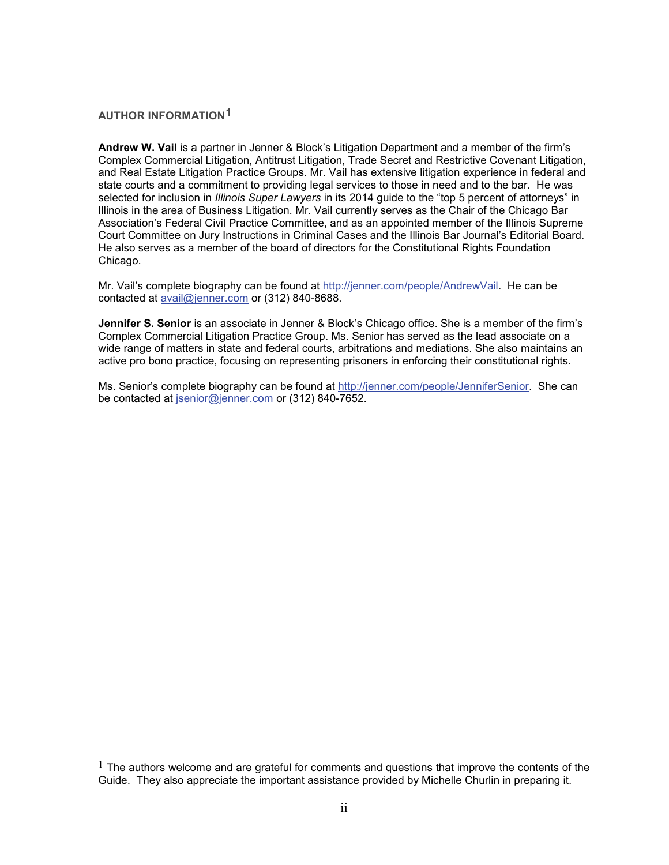#### **AUTHOR INFORMATION[1](#page-2-0)**

 $\overline{a}$ 

**Andrew W. Vail** is a partner in Jenner & Block's Litigation Department and a member of the firm's Complex Commercial Litigation, Antitrust Litigation, Trade Secret and Restrictive Covenant Litigation, and Real Estate Litigation Practice Groups. Mr. Vail has extensive litigation experience in federal and state courts and a commitment to providing legal services to those in need and to the bar. He was selected for inclusion in *Illinois Super Lawyers* in its 2014 guide to the "top 5 percent of attorneys" in Illinois in the area of Business Litigation. Mr. Vail currently serves as the Chair of the Chicago Bar Association's Federal Civil Practice Committee, and as an appointed member of the Illinois Supreme Court Committee on Jury Instructions in Criminal Cases and the Illinois Bar Journal's Editorial Board. He also serves as a member of the board of directors for the Constitutional Rights Foundation Chicago.

Mr. Vail's complete biography can be found at [http://jenner.com/people/AndrewVail.](http://jenner.com/people/AndrewVail) He can be contacted at [avail@jenner.com](mailto:avail@jenner.com) or (312) 840-8688.

**Jennifer S. Senior** is an associate in Jenner & Block's Chicago office. She is a member of the firm's Complex Commercial Litigation Practice Group. Ms. Senior has served as the lead associate on a wide range of matters in state and federal courts, arbitrations and mediations. She also maintains an active pro bono practice, focusing on representing prisoners in enforcing their constitutional rights.

Ms. Senior's complete biography can be found at [http://jenner.com/people/JenniferSenior.](http://jenner.com/people/JenniferSenior) She can be contacted at [jsenior@jenner.com](mailto:jsenior@jenner.com) or (312) 840-7652.

<span id="page-2-0"></span> $<sup>1</sup>$  The authors welcome and are grateful for comments and questions that improve the contents of the</sup> Guide. They also appreciate the important assistance provided by Michelle Churlin in preparing it.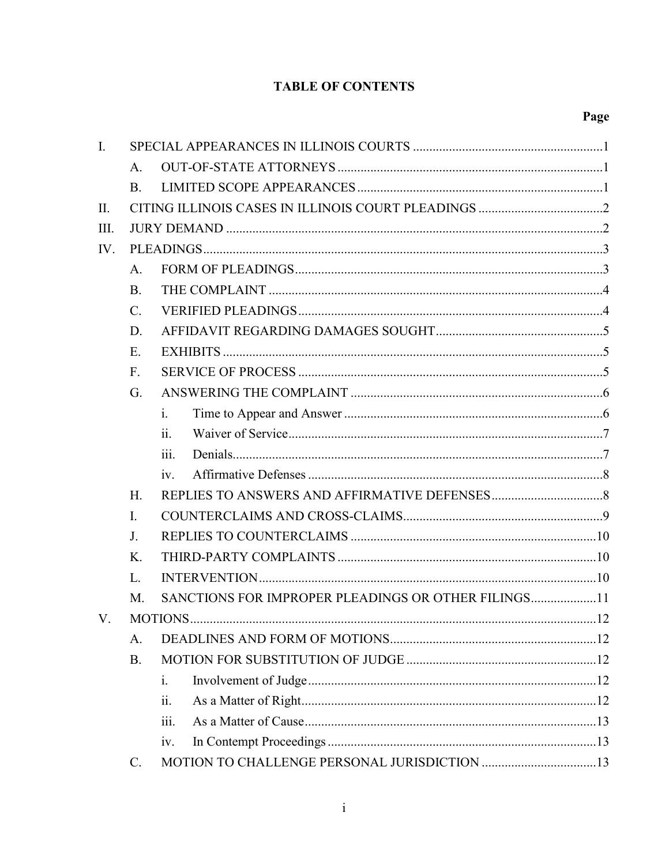# **TABLE OF CONTENTS**

# Page

| $\mathbf{I}$ . |                 |                                                     |  |  |  |
|----------------|-----------------|-----------------------------------------------------|--|--|--|
|                | $A_{\cdot}$     |                                                     |  |  |  |
|                | <b>B.</b>       |                                                     |  |  |  |
| II.            |                 |                                                     |  |  |  |
| III.           |                 |                                                     |  |  |  |
| IV.            |                 |                                                     |  |  |  |
|                | A <sub>1</sub>  |                                                     |  |  |  |
|                | $\mathbf{B}$ .  |                                                     |  |  |  |
|                | $\mathcal{C}$ . |                                                     |  |  |  |
|                | D.              |                                                     |  |  |  |
|                | $E$ .           |                                                     |  |  |  |
|                | $F_{\cdot}$     |                                                     |  |  |  |
|                | G.              |                                                     |  |  |  |
|                |                 | $\mathbf{i}$ .                                      |  |  |  |
|                |                 | 11.                                                 |  |  |  |
|                |                 | iii.                                                |  |  |  |
|                |                 | iv.                                                 |  |  |  |
|                | $H_{\cdot}$     |                                                     |  |  |  |
|                | $\mathbf{I}$ .  |                                                     |  |  |  |
|                | J <sub>r</sub>  |                                                     |  |  |  |
|                | $K_{\cdot}$     |                                                     |  |  |  |
|                | L.              |                                                     |  |  |  |
|                | M.              | SANCTIONS FOR IMPROPER PLEADINGS OR OTHER FILINGS11 |  |  |  |
| V.             |                 |                                                     |  |  |  |
|                | A.              |                                                     |  |  |  |
|                | B.              |                                                     |  |  |  |
|                |                 | $\mathbf{i}$ .                                      |  |  |  |
|                |                 | ii.                                                 |  |  |  |
|                |                 | iii.                                                |  |  |  |
|                |                 | iv.                                                 |  |  |  |
|                | $\mathcal{C}$ . |                                                     |  |  |  |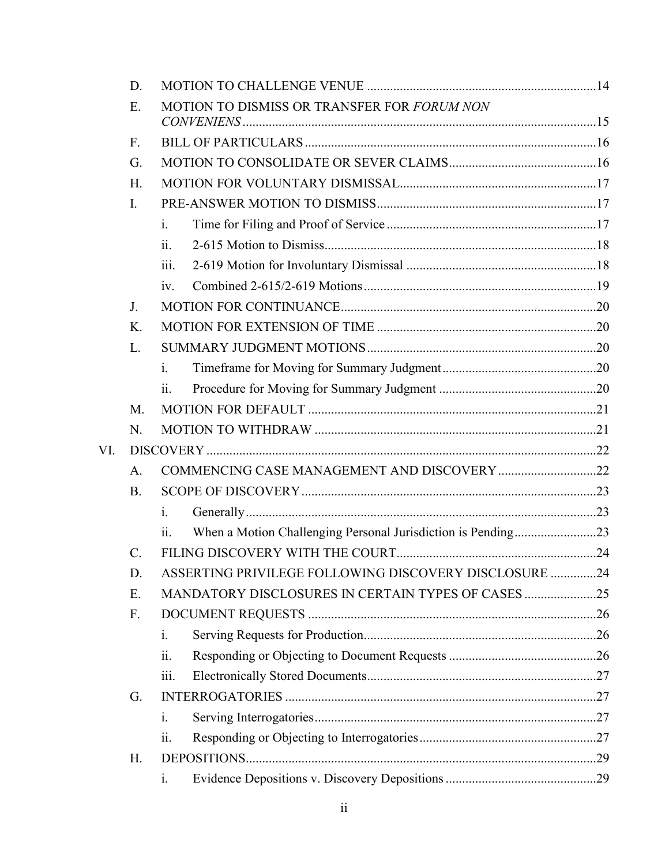|     | D.              |                                                                                            |  |  |
|-----|-----------------|--------------------------------------------------------------------------------------------|--|--|
|     | Ε.              | MOTION TO DISMISS OR TRANSFER FOR FORUM NON                                                |  |  |
|     | F.              |                                                                                            |  |  |
|     | G.              |                                                                                            |  |  |
|     | H.              |                                                                                            |  |  |
|     | I.              |                                                                                            |  |  |
|     |                 | $\mathbf{i}$ .                                                                             |  |  |
|     |                 | ii.                                                                                        |  |  |
|     |                 | 111.                                                                                       |  |  |
|     |                 | iv.                                                                                        |  |  |
|     | J <sub>1</sub>  |                                                                                            |  |  |
|     | Κ.              |                                                                                            |  |  |
|     | L.              |                                                                                            |  |  |
|     |                 | $\mathbf{i}$ .                                                                             |  |  |
|     |                 | ii.                                                                                        |  |  |
|     | M.              |                                                                                            |  |  |
|     | N.              |                                                                                            |  |  |
| VI. |                 |                                                                                            |  |  |
|     | A.              |                                                                                            |  |  |
|     | <b>B.</b>       |                                                                                            |  |  |
|     |                 | $\mathbf{1}$ .                                                                             |  |  |
|     |                 | When a Motion Challenging Personal Jurisdiction is Pending23<br>$\overline{\mathbf{11}}$ . |  |  |
|     | $\mathcal{C}$ . |                                                                                            |  |  |
|     | D.              | ASSERTING PRIVILEGE FOLLOWING DISCOVERY DISCLOSURE 24                                      |  |  |
|     | Ε.              | MANDATORY DISCLOSURES IN CERTAIN TYPES OF CASES 25                                         |  |  |
|     | F.              |                                                                                            |  |  |
|     |                 | $\mathbf{i}$ .                                                                             |  |  |
|     |                 | 11.                                                                                        |  |  |
|     |                 | iii.                                                                                       |  |  |
|     | G.              |                                                                                            |  |  |
|     |                 | $\mathbf{i}$ .                                                                             |  |  |
|     |                 | 11.                                                                                        |  |  |
|     | Η.              |                                                                                            |  |  |
|     |                 | 1.                                                                                         |  |  |
|     |                 |                                                                                            |  |  |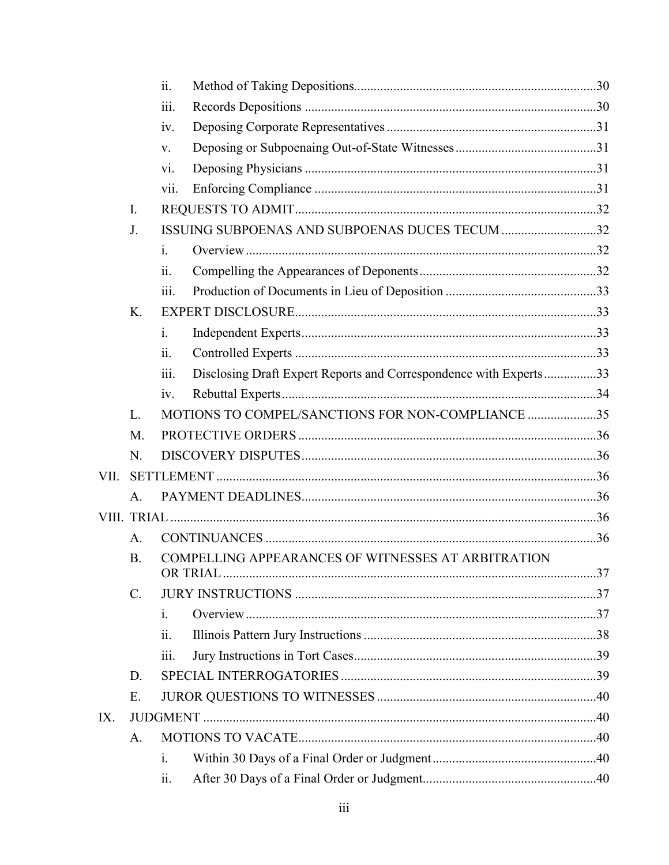|                 | ii.            |  |                                                                                                                                                                                                                                |
|-----------------|----------------|--|--------------------------------------------------------------------------------------------------------------------------------------------------------------------------------------------------------------------------------|
|                 | iii.           |  |                                                                                                                                                                                                                                |
|                 | iv.            |  |                                                                                                                                                                                                                                |
|                 | V.             |  |                                                                                                                                                                                                                                |
|                 | vi.            |  |                                                                                                                                                                                                                                |
|                 | V11.           |  |                                                                                                                                                                                                                                |
| I.              |                |  |                                                                                                                                                                                                                                |
| J.              |                |  |                                                                                                                                                                                                                                |
|                 | $\mathbf{i}$ . |  |                                                                                                                                                                                                                                |
|                 | 11.            |  |                                                                                                                                                                                                                                |
|                 | iii.           |  |                                                                                                                                                                                                                                |
| K.              |                |  |                                                                                                                                                                                                                                |
|                 | i.             |  |                                                                                                                                                                                                                                |
|                 | 11.            |  |                                                                                                                                                                                                                                |
|                 | iii.           |  |                                                                                                                                                                                                                                |
|                 | iv.            |  |                                                                                                                                                                                                                                |
| L.              |                |  |                                                                                                                                                                                                                                |
| M.              |                |  |                                                                                                                                                                                                                                |
| N.              |                |  |                                                                                                                                                                                                                                |
|                 |                |  |                                                                                                                                                                                                                                |
| $\mathbf{A}$ .  |                |  |                                                                                                                                                                                                                                |
|                 |                |  |                                                                                                                                                                                                                                |
| A.              |                |  |                                                                                                                                                                                                                                |
| <b>B.</b>       |                |  |                                                                                                                                                                                                                                |
| $\mathcal{C}$ . |                |  |                                                                                                                                                                                                                                |
|                 | $\mathbf{1}$ . |  |                                                                                                                                                                                                                                |
|                 | 11.            |  |                                                                                                                                                                                                                                |
|                 | iii.           |  |                                                                                                                                                                                                                                |
| D.              |                |  |                                                                                                                                                                                                                                |
| Ε.              |                |  |                                                                                                                                                                                                                                |
|                 |                |  |                                                                                                                                                                                                                                |
| A.              |                |  |                                                                                                                                                                                                                                |
|                 | $\mathbf{1}$ . |  |                                                                                                                                                                                                                                |
|                 | 11.            |  |                                                                                                                                                                                                                                |
|                 |                |  | ISSUING SUBPOENAS AND SUBPOENAS DUCES TECUM 32<br>Disclosing Draft Expert Reports and Correspondence with Experts33<br>MOTIONS TO COMPEL/SANCTIONS FOR NON-COMPLIANCE 35<br>COMPELLING APPEARANCES OF WITNESSES AT ARBITRATION |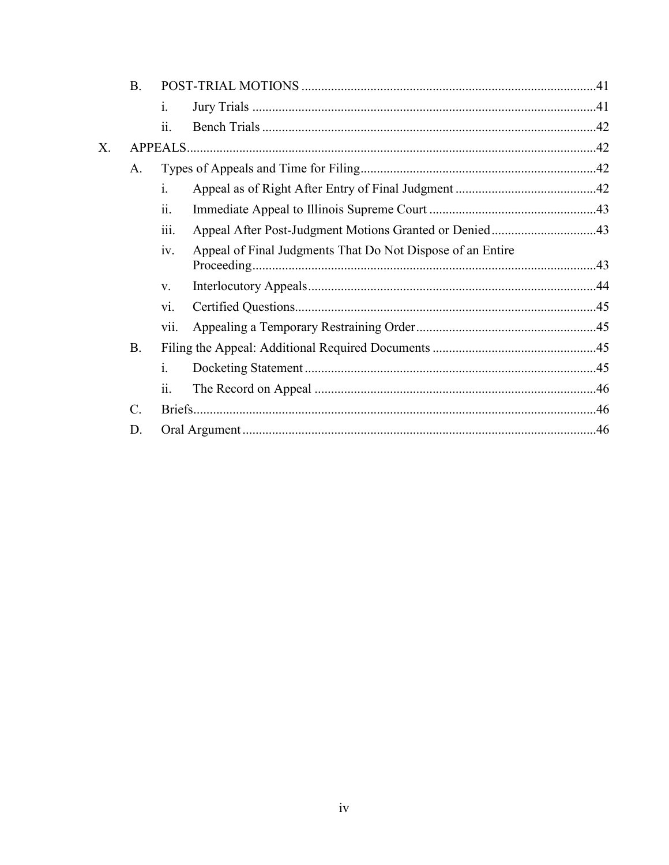|    | <b>B.</b>       |                |                                                            |  |
|----|-----------------|----------------|------------------------------------------------------------|--|
|    |                 | $\mathbf{1}$ . |                                                            |  |
|    |                 | ii.            |                                                            |  |
| Х. |                 |                |                                                            |  |
|    | A.              |                |                                                            |  |
|    |                 | i.             |                                                            |  |
|    |                 | ii.            |                                                            |  |
|    |                 | 111.           | Appeal After Post-Judgment Motions Granted or Denied43     |  |
|    |                 | iv.            | Appeal of Final Judgments That Do Not Dispose of an Entire |  |
|    |                 | V.             |                                                            |  |
|    |                 | vi.            |                                                            |  |
|    |                 | vii.           |                                                            |  |
|    | B <sub>1</sub>  |                |                                                            |  |
|    |                 | i.             |                                                            |  |
|    |                 | ii.            |                                                            |  |
|    | $\mathcal{C}$ . |                |                                                            |  |
|    | D.              |                |                                                            |  |
|    |                 |                |                                                            |  |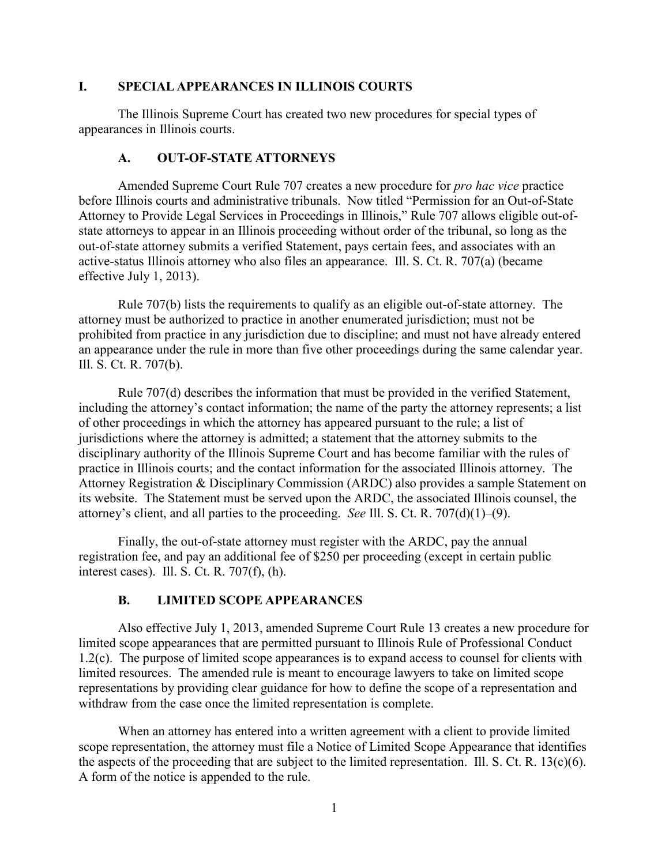#### **I. SPECIAL APPEARANCES IN ILLINOIS COURTS**

The Illinois Supreme Court has created two new procedures for special types of appearances in Illinois courts.

#### **A. OUT-OF-STATE ATTORNEYS**

Amended Supreme Court Rule 707 creates a new procedure for *pro hac vice* practice before Illinois courts and administrative tribunals. Now titled "Permission for an Out-of-State Attorney to Provide Legal Services in Proceedings in Illinois," Rule 707 allows eligible out-ofstate attorneys to appear in an Illinois proceeding without order of the tribunal, so long as the out-of-state attorney submits a verified Statement, pays certain fees, and associates with an active-status Illinois attorney who also files an appearance. Ill. S. Ct. R. 707(a) (became effective July 1, 2013).

Rule 707(b) lists the requirements to qualify as an eligible out-of-state attorney. The attorney must be authorized to practice in another enumerated jurisdiction; must not be prohibited from practice in any jurisdiction due to discipline; and must not have already entered an appearance under the rule in more than five other proceedings during the same calendar year. Ill. S. Ct. R. 707(b).

Rule 707(d) describes the information that must be provided in the verified Statement, including the attorney's contact information; the name of the party the attorney represents; a list of other proceedings in which the attorney has appeared pursuant to the rule; a list of jurisdictions where the attorney is admitted; a statement that the attorney submits to the disciplinary authority of the Illinois Supreme Court and has become familiar with the rules of practice in Illinois courts; and the contact information for the associated Illinois attorney. The Attorney Registration & Disciplinary Commission (ARDC) also provides a sample Statement on its website. The Statement must be served upon the ARDC, the associated Illinois counsel, the attorney's client, and all parties to the proceeding. *See* Ill. S. Ct. R. 707(d)(1)–(9).

Finally, the out-of-state attorney must register with the ARDC, pay the annual registration fee, and pay an additional fee of \$250 per proceeding (except in certain public interest cases). Ill. S. Ct. R. 707(f), (h).

## **B. LIMITED SCOPE APPEARANCES**

Also effective July 1, 2013, amended Supreme Court Rule 13 creates a new procedure for limited scope appearances that are permitted pursuant to Illinois Rule of Professional Conduct 1.2(c). The purpose of limited scope appearances is to expand access to counsel for clients with limited resources. The amended rule is meant to encourage lawyers to take on limited scope representations by providing clear guidance for how to define the scope of a representation and withdraw from the case once the limited representation is complete.

When an attorney has entered into a written agreement with a client to provide limited scope representation, the attorney must file a Notice of Limited Scope Appearance that identifies the aspects of the proceeding that are subject to the limited representation. Ill. S. Ct. R. 13(c)(6). A form of the notice is appended to the rule.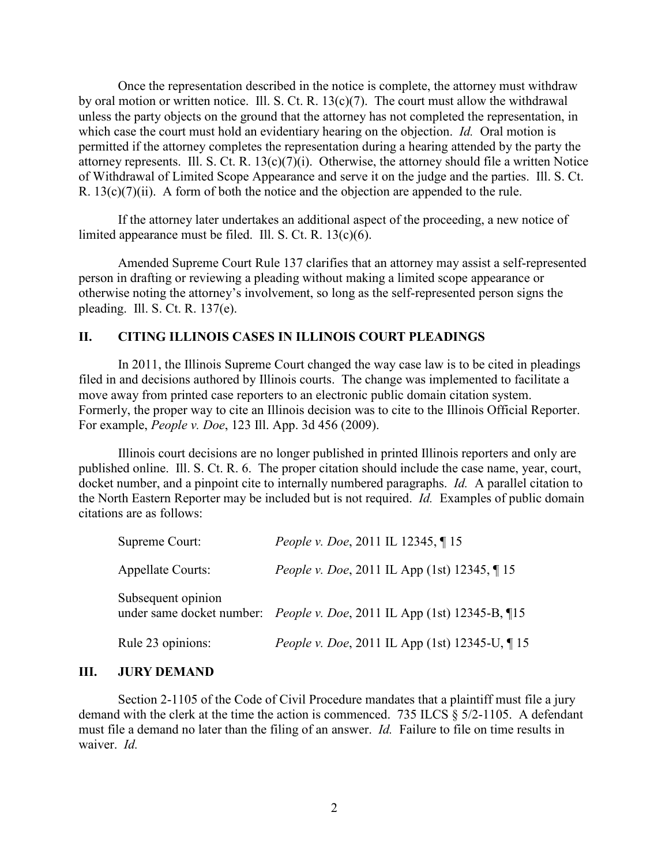Once the representation described in the notice is complete, the attorney must withdraw by oral motion or written notice. Ill. S. Ct. R. 13(c)(7). The court must allow the withdrawal unless the party objects on the ground that the attorney has not completed the representation, in which case the court must hold an evidentiary hearing on the objection. *Id.* Oral motion is permitted if the attorney completes the representation during a hearing attended by the party the attorney represents. Ill. S. Ct. R.  $13(c)(7)(i)$ . Otherwise, the attorney should file a written Notice of Withdrawal of Limited Scope Appearance and serve it on the judge and the parties. Ill. S. Ct. R.  $13(c)(7)(ii)$ . A form of both the notice and the objection are appended to the rule.

If the attorney later undertakes an additional aspect of the proceeding, a new notice of limited appearance must be filed. Ill. S. Ct. R. 13(c)(6).

Amended Supreme Court Rule 137 clarifies that an attorney may assist a self-represented person in drafting or reviewing a pleading without making a limited scope appearance or otherwise noting the attorney's involvement, so long as the self-represented person signs the pleading. Ill. S. Ct. R. 137(e).

#### **II. CITING ILLINOIS CASES IN ILLINOIS COURT PLEADINGS**

In 2011, the Illinois Supreme Court changed the way case law is to be cited in pleadings filed in and decisions authored by Illinois courts. The change was implemented to facilitate a move away from printed case reporters to an electronic public domain citation system. Formerly, the proper way to cite an Illinois decision was to cite to the Illinois Official Reporter. For example, *People v. Doe*, 123 Ill. App. 3d 456 (2009).

Illinois court decisions are no longer published in printed Illinois reporters and only are published online. Ill. S. Ct. R. 6. The proper citation should include the case name, year, court, docket number, and a pinpoint cite to internally numbered paragraphs. *Id.* A parallel citation to the North Eastern Reporter may be included but is not required. *Id.* Examples of public domain citations are as follows:

| Supreme Court:           | <i>People v. Doe, 2011 IL 12345, 115</i>                                        |
|--------------------------|---------------------------------------------------------------------------------|
| <b>Appellate Courts:</b> | <i>People v. Doe, 2011 IL App (1st) 12345, 15</i>                               |
| Subsequent opinion       | under same docket number: <i>People v. Doe</i> , 2011 IL App (1st) 12345-B, 115 |
| Rule 23 opinions:        | People v. Doe, 2011 IL App (1st) 12345-U, 15                                    |

#### **III. JURY DEMAND**

Section 2-1105 of the Code of Civil Procedure mandates that a plaintiff must file a jury demand with the clerk at the time the action is commenced. 735 ILCS § 5/2-1105. A defendant must file a demand no later than the filing of an answer. *Id.* Failure to file on time results in waiver. *Id.*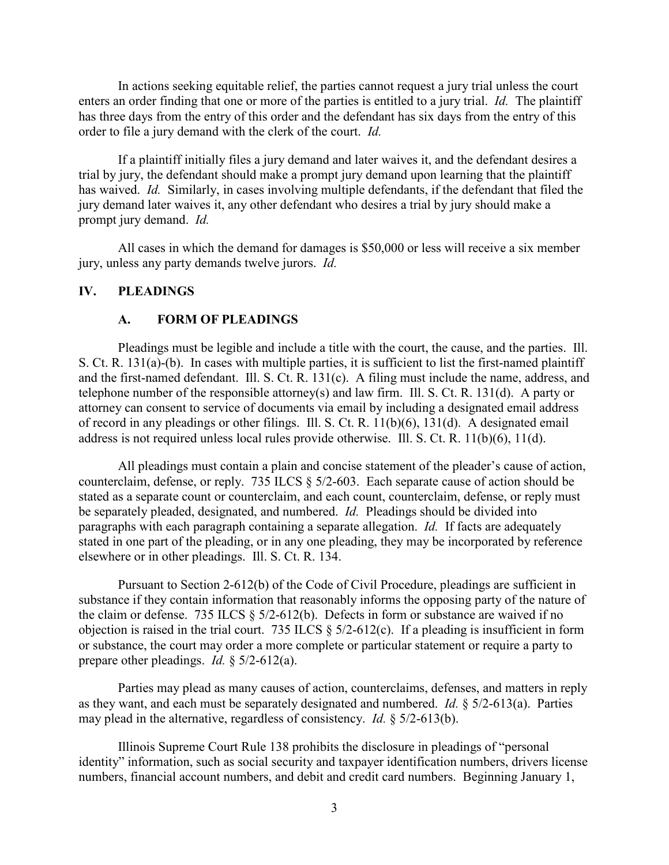In actions seeking equitable relief, the parties cannot request a jury trial unless the court enters an order finding that one or more of the parties is entitled to a jury trial. *Id.* The plaintiff has three days from the entry of this order and the defendant has six days from the entry of this order to file a jury demand with the clerk of the court. *Id.*

If a plaintiff initially files a jury demand and later waives it, and the defendant desires a trial by jury, the defendant should make a prompt jury demand upon learning that the plaintiff has waived. *Id.* Similarly, in cases involving multiple defendants, if the defendant that filed the jury demand later waives it, any other defendant who desires a trial by jury should make a prompt jury demand. *Id.*

All cases in which the demand for damages is \$50,000 or less will receive a six member jury, unless any party demands twelve jurors. *Id.*

#### **IV. PLEADINGS**

#### **A. FORM OF PLEADINGS**

Pleadings must be legible and include a title with the court, the cause, and the parties. Ill. S. Ct. R. 131(a)-(b). In cases with multiple parties, it is sufficient to list the first-named plaintiff and the first-named defendant. Ill. S. Ct. R. 131(c). A filing must include the name, address, and telephone number of the responsible attorney(s) and law firm. Ill. S. Ct. R. 131(d). A party or attorney can consent to service of documents via email by including a designated email address of record in any pleadings or other filings. Ill. S. Ct. R. 11(b)(6), 131(d). A designated email address is not required unless local rules provide otherwise. Ill. S. Ct. R. 11(b)(6), 11(d).

All pleadings must contain a plain and concise statement of the pleader's cause of action, counterclaim, defense, or reply. 735 ILCS § 5/2-603. Each separate cause of action should be stated as a separate count or counterclaim, and each count, counterclaim, defense, or reply must be separately pleaded, designated, and numbered. *Id.* Pleadings should be divided into paragraphs with each paragraph containing a separate allegation. *Id.* If facts are adequately stated in one part of the pleading, or in any one pleading, they may be incorporated by reference elsewhere or in other pleadings. Ill. S. Ct. R. 134.

Pursuant to Section 2-612(b) of the Code of Civil Procedure, pleadings are sufficient in substance if they contain information that reasonably informs the opposing party of the nature of the claim or defense. 735 ILCS § 5/2-612(b). Defects in form or substance are waived if no objection is raised in the trial court. 735 ILCS  $\S$  5/2-612(c). If a pleading is insufficient in form or substance, the court may order a more complete or particular statement or require a party to prepare other pleadings. *Id.* § 5/2-612(a).

Parties may plead as many causes of action, counterclaims, defenses, and matters in reply as they want, and each must be separately designated and numbered. *Id.* § 5/2-613(a). Parties may plead in the alternative, regardless of consistency. *Id.* § 5/2-613(b).

Illinois Supreme Court Rule 138 prohibits the disclosure in pleadings of "personal identity" information, such as social security and taxpayer identification numbers, drivers license numbers, financial account numbers, and debit and credit card numbers. Beginning January 1,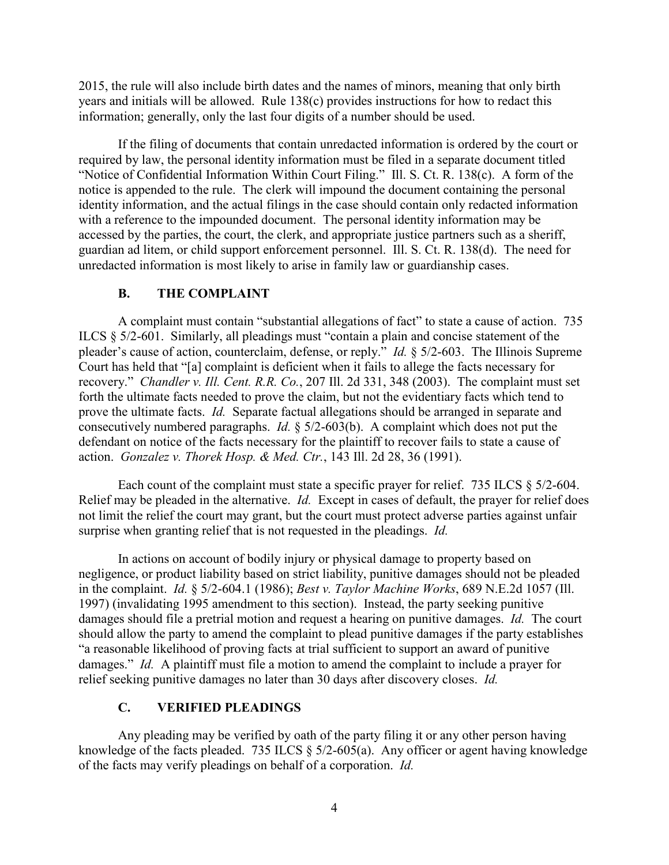2015, the rule will also include birth dates and the names of minors, meaning that only birth years and initials will be allowed. Rule 138(c) provides instructions for how to redact this information; generally, only the last four digits of a number should be used.

If the filing of documents that contain unredacted information is ordered by the court or required by law, the personal identity information must be filed in a separate document titled "Notice of Confidential Information Within Court Filing." Ill. S. Ct. R. 138(c). A form of the notice is appended to the rule. The clerk will impound the document containing the personal identity information, and the actual filings in the case should contain only redacted information with a reference to the impounded document. The personal identity information may be accessed by the parties, the court, the clerk, and appropriate justice partners such as a sheriff, guardian ad litem, or child support enforcement personnel. Ill. S. Ct. R. 138(d).The need for unredacted information is most likely to arise in family law or guardianship cases.

#### **B. THE COMPLAINT**

A complaint must contain "substantial allegations of fact" to state a cause of action. 735 ILCS § 5/2-601. Similarly, all pleadings must "contain a plain and concise statement of the pleader's cause of action, counterclaim, defense, or reply." *Id.* § 5/2-603. The Illinois Supreme Court has held that "[a] complaint is deficient when it fails to allege the facts necessary for recovery." *Chandler v. Ill. Cent. R.R. Co.*, 207 Ill. 2d 331, 348 (2003). The complaint must set forth the ultimate facts needed to prove the claim, but not the evidentiary facts which tend to prove the ultimate facts. *Id.* Separate factual allegations should be arranged in separate and consecutively numbered paragraphs. *Id.* § 5/2-603(b). A complaint which does not put the defendant on notice of the facts necessary for the plaintiff to recover fails to state a cause of action. *Gonzalez v. Thorek Hosp. & Med. Ctr.*, 143 Ill. 2d 28, 36 (1991).

Each count of the complaint must state a specific prayer for relief. 735 ILCS § 5/2-604. Relief may be pleaded in the alternative. *Id.* Except in cases of default, the prayer for relief does not limit the relief the court may grant, but the court must protect adverse parties against unfair surprise when granting relief that is not requested in the pleadings. *Id.*

In actions on account of bodily injury or physical damage to property based on negligence, or product liability based on strict liability, punitive damages should not be pleaded in the complaint. *Id.* § 5/2-604.1 (1986); *Best v. Taylor Machine Works*, 689 N.E.2d 1057 (Ill. 1997) (invalidating 1995 amendment to this section). Instead, the party seeking punitive damages should file a pretrial motion and request a hearing on punitive damages. *Id.* The court should allow the party to amend the complaint to plead punitive damages if the party establishes "a reasonable likelihood of proving facts at trial sufficient to support an award of punitive damages." *Id.* A plaintiff must file a motion to amend the complaint to include a prayer for relief seeking punitive damages no later than 30 days after discovery closes. *Id.*

## **C. VERIFIED PLEADINGS**

Any pleading may be verified by oath of the party filing it or any other person having knowledge of the facts pleaded. 735 ILCS § 5/2-605(a). Any officer or agent having knowledge of the facts may verify pleadings on behalf of a corporation. *Id.*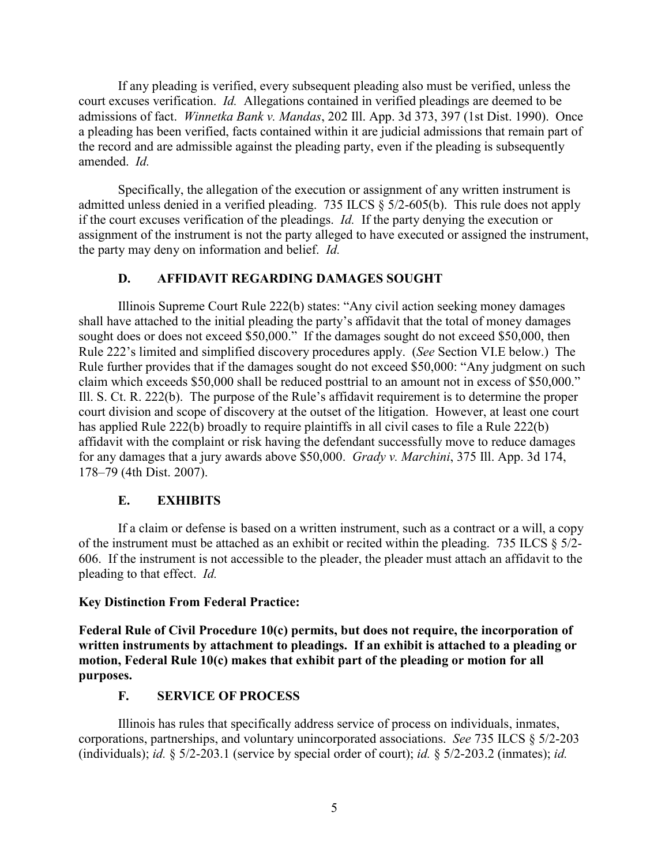If any pleading is verified, every subsequent pleading also must be verified, unless the court excuses verification. *Id.* Allegations contained in verified pleadings are deemed to be admissions of fact. *Winnetka Bank v. Mandas*, 202 Ill. App. 3d 373, 397 (1st Dist. 1990). Once a pleading has been verified, facts contained within it are judicial admissions that remain part of the record and are admissible against the pleading party, even if the pleading is subsequently amended. *Id.*

Specifically, the allegation of the execution or assignment of any written instrument is admitted unless denied in a verified pleading. 735 ILCS § 5/2-605(b). This rule does not apply if the court excuses verification of the pleadings. *Id.* If the party denying the execution or assignment of the instrument is not the party alleged to have executed or assigned the instrument, the party may deny on information and belief. *Id.*

#### **D. AFFIDAVIT REGARDING DAMAGES SOUGHT**

Illinois Supreme Court Rule 222(b) states: "Any civil action seeking money damages shall have attached to the initial pleading the party's affidavit that the total of money damages sought does or does not exceed \$50,000." If the damages sought do not exceed \$50,000, then Rule 222's limited and simplified discovery procedures apply. (*See* Section VI.E below.) The Rule further provides that if the damages sought do not exceed \$50,000: "Any judgment on such claim which exceeds \$50,000 shall be reduced posttrial to an amount not in excess of \$50,000." Ill. S. Ct. R. 222(b). The purpose of the Rule's affidavit requirement is to determine the proper court division and scope of discovery at the outset of the litigation. However, at least one court has applied Rule 222(b) broadly to require plaintiffs in all civil cases to file a Rule 222(b) affidavit with the complaint or risk having the defendant successfully move to reduce damages for any damages that a jury awards above \$50,000. *Grady v. Marchini*, 375 Ill. App. 3d 174, 178–79 (4th Dist. 2007).

#### **E. EXHIBITS**

If a claim or defense is based on a written instrument, such as a contract or a will, a copy of the instrument must be attached as an exhibit or recited within the pleading. 735 ILCS § 5/2- 606. If the instrument is not accessible to the pleader, the pleader must attach an affidavit to the pleading to that effect. *Id.*

#### **Key Distinction From Federal Practice:**

**Federal Rule of Civil Procedure 10(c) permits, but does not require, the incorporation of written instruments by attachment to pleadings. If an exhibit is attached to a pleading or motion, Federal Rule 10(c) makes that exhibit part of the pleading or motion for all purposes.** 

## **F. SERVICE OF PROCESS**

Illinois has rules that specifically address service of process on individuals, inmates, corporations, partnerships, and voluntary unincorporated associations. *See* 735 ILCS § 5/2-203 (individuals); *id.* § 5/2-203.1 (service by special order of court); *id.* § 5/2-203.2 (inmates); *id.*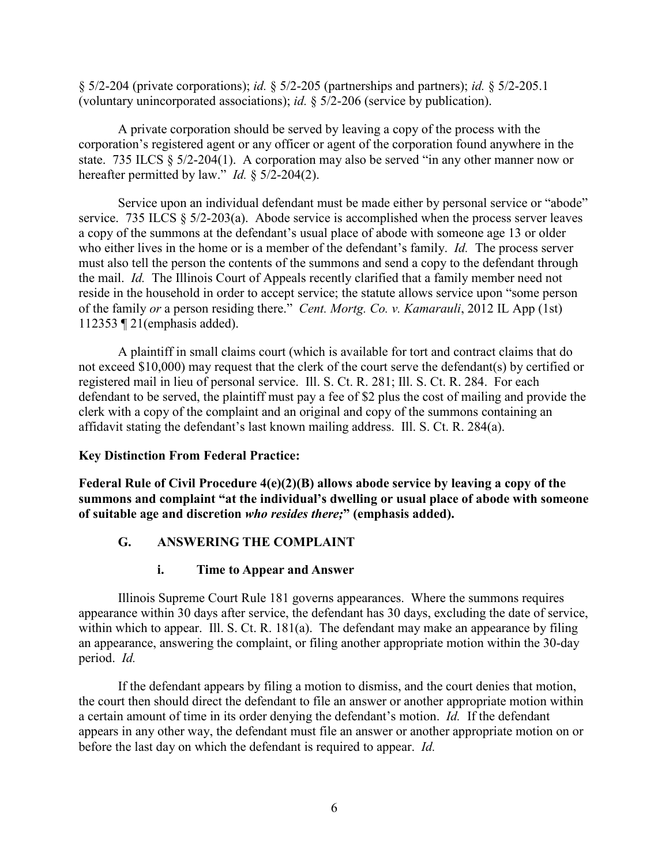§ 5/2-204 (private corporations); *id.* § 5/2-205 (partnerships and partners); *id.* § 5/2-205.1 (voluntary unincorporated associations); *id.* § 5/2-206 (service by publication).

A private corporation should be served by leaving a copy of the process with the corporation's registered agent or any officer or agent of the corporation found anywhere in the state. 735 ILCS § 5/2-204(1). A corporation may also be served "in any other manner now or hereafter permitted by law." *Id.* § 5/2-204(2).

Service upon an individual defendant must be made either by personal service or "abode" service. 735 ILCS § 5/2-203(a). Abode service is accomplished when the process server leaves a copy of the summons at the defendant's usual place of abode with someone age 13 or older who either lives in the home or is a member of the defendant's family. *Id.* The process server must also tell the person the contents of the summons and send a copy to the defendant through the mail. *Id.* The Illinois Court of Appeals recently clarified that a family member need not reside in the household in order to accept service; the statute allows service upon "some person of the family *or* a person residing there." *Cent. Mortg. Co. v. Kamarauli*, 2012 IL App (1st) 112353 ¶ 21(emphasis added).

A plaintiff in small claims court (which is available for tort and contract claims that do not exceed \$10,000) may request that the clerk of the court serve the defendant(s) by certified or registered mail in lieu of personal service. Ill. S. Ct. R. 281; Ill. S. Ct. R. 284. For each defendant to be served, the plaintiff must pay a fee of \$2 plus the cost of mailing and provide the clerk with a copy of the complaint and an original and copy of the summons containing an affidavit stating the defendant's last known mailing address. Ill. S. Ct. R. 284(a).

## **Key Distinction From Federal Practice:**

**Federal Rule of Civil Procedure 4(e)(2)(B) allows abode service by leaving a copy of the summons and complaint "at the individual's dwelling or usual place of abode with someone of suitable age and discretion** *who resides there;***" (emphasis added).** 

## **G. ANSWERING THE COMPLAINT**

## **i. Time to Appear and Answer**

Illinois Supreme Court Rule 181 governs appearances. Where the summons requires appearance within 30 days after service, the defendant has 30 days, excluding the date of service, within which to appear. Ill. S. Ct. R. 181(a). The defendant may make an appearance by filing an appearance, answering the complaint, or filing another appropriate motion within the 30-day period. *Id.*

If the defendant appears by filing a motion to dismiss, and the court denies that motion, the court then should direct the defendant to file an answer or another appropriate motion within a certain amount of time in its order denying the defendant's motion. *Id.* If the defendant appears in any other way, the defendant must file an answer or another appropriate motion on or before the last day on which the defendant is required to appear. *Id.*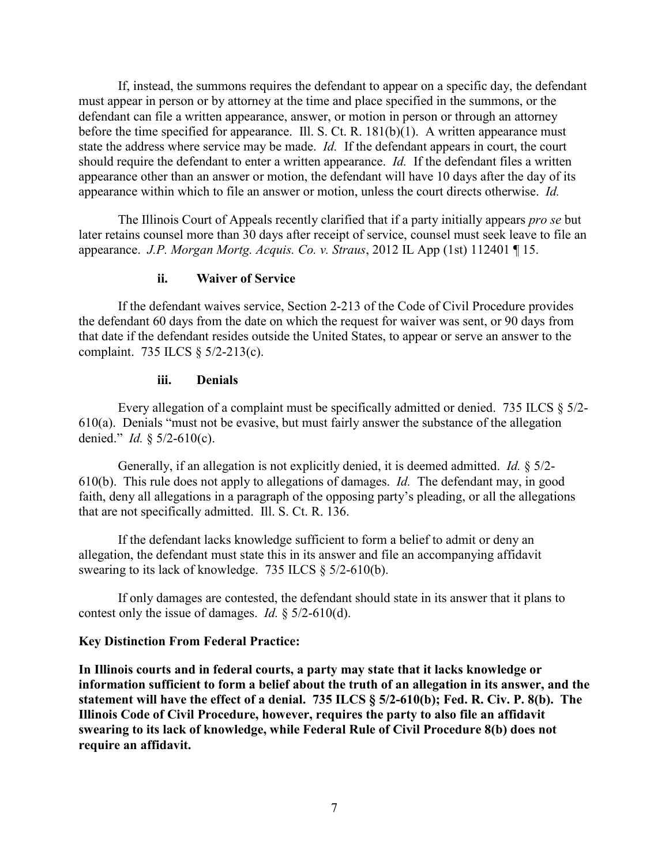If, instead, the summons requires the defendant to appear on a specific day, the defendant must appear in person or by attorney at the time and place specified in the summons, or the defendant can file a written appearance, answer, or motion in person or through an attorney before the time specified for appearance. Ill. S. Ct. R.  $181(b)(1)$ . A written appearance must state the address where service may be made. *Id.* If the defendant appears in court, the court should require the defendant to enter a written appearance. *Id.* If the defendant files a written appearance other than an answer or motion, the defendant will have 10 days after the day of its appearance within which to file an answer or motion, unless the court directs otherwise. *Id.*

The Illinois Court of Appeals recently clarified that if a party initially appears *pro se* but later retains counsel more than 30 days after receipt of service, counsel must seek leave to file an appearance. *J.P. Morgan Mortg. Acquis. Co. v. Straus*, 2012 IL App (1st) 112401 ¶ 15.

#### **ii. Waiver of Service**

If the defendant waives service, Section 2-213 of the Code of Civil Procedure provides the defendant 60 days from the date on which the request for waiver was sent, or 90 days from that date if the defendant resides outside the United States, to appear or serve an answer to the complaint. 735 ILCS § 5/2-213(c).

#### **iii. Denials**

Every allegation of a complaint must be specifically admitted or denied. 735 ILCS § 5/2-  $610(a)$ . Denials "must not be evasive, but must fairly answer the substance of the allegation denied." *Id.* § 5/2-610(c).

Generally, if an allegation is not explicitly denied, it is deemed admitted. *Id.* § 5/2- 610(b). This rule does not apply to allegations of damages. *Id.* The defendant may, in good faith, deny all allegations in a paragraph of the opposing party's pleading, or all the allegations that are not specifically admitted. Ill. S. Ct. R. 136.

If the defendant lacks knowledge sufficient to form a belief to admit or deny an allegation, the defendant must state this in its answer and file an accompanying affidavit swearing to its lack of knowledge. 735 ILCS § 5/2-610(b).

If only damages are contested, the defendant should state in its answer that it plans to contest only the issue of damages. *Id.* § 5/2-610(d).

#### **Key Distinction From Federal Practice:**

**In Illinois courts and in federal courts, a party may state that it lacks knowledge or information sufficient to form a belief about the truth of an allegation in its answer, and the statement will have the effect of a denial. 735 ILCS § 5/2-610(b); Fed. R. Civ. P. 8(b). The Illinois Code of Civil Procedure, however, requires the party to also file an affidavit swearing to its lack of knowledge, while Federal Rule of Civil Procedure 8(b) does not require an affidavit.**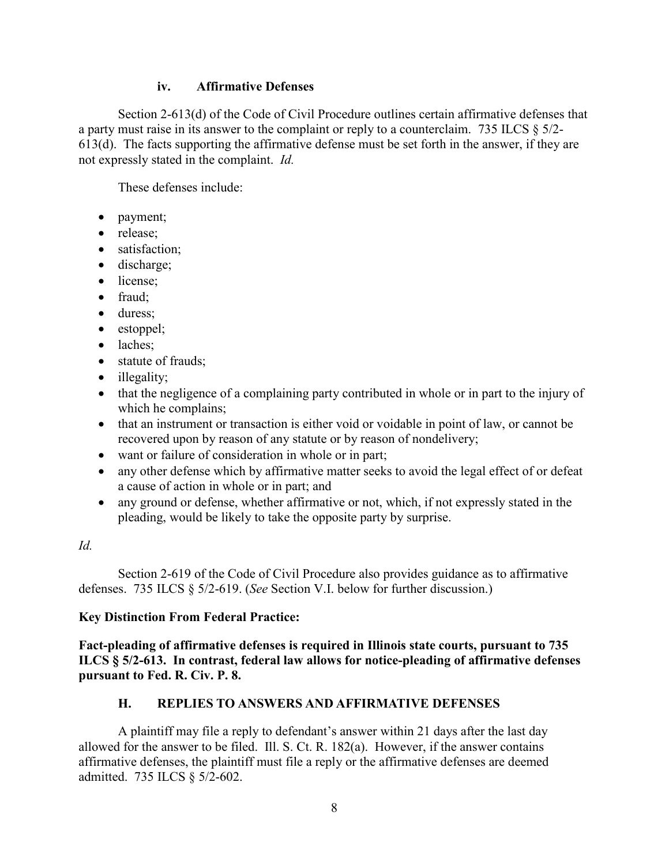#### **iv. Affirmative Defenses**

Section 2-613(d) of the Code of Civil Procedure outlines certain affirmative defenses that a party must raise in its answer to the complaint or reply to a counterclaim. 735 ILCS § 5/2- 613(d). The facts supporting the affirmative defense must be set forth in the answer, if they are not expressly stated in the complaint. *Id.*

These defenses include:

- payment;
- release;
- satisfaction;
- discharge;
- license;
- fraud:
- duress;
- estoppel;
- laches;
- statute of frauds;
- illegality;
- that the negligence of a complaining party contributed in whole or in part to the injury of which he complains;
- that an instrument or transaction is either void or voidable in point of law, or cannot be recovered upon by reason of any statute or by reason of nondelivery;
- want or failure of consideration in whole or in part;
- any other defense which by affirmative matter seeks to avoid the legal effect of or defeat a cause of action in whole or in part; and
- any ground or defense, whether affirmative or not, which, if not expressly stated in the pleading, would be likely to take the opposite party by surprise.

# *Id.*

Section 2-619 of the Code of Civil Procedure also provides guidance as to affirmative defenses. 735 ILCS § 5/2-619. (*See* Section V.I. below for further discussion.)

## **Key Distinction From Federal Practice:**

**Fact-pleading of affirmative defenses is required in Illinois state courts, pursuant to 735 ILCS § 5/2-613. In contrast, federal law allows for notice-pleading of affirmative defenses pursuant to Fed. R. Civ. P. 8.**

# **H. REPLIES TO ANSWERS AND AFFIRMATIVE DEFENSES**

A plaintiff may file a reply to defendant's answer within 21 days after the last day allowed for the answer to be filed. Ill. S. Ct. R. 182(a). However, if the answer contains affirmative defenses, the plaintiff must file a reply or the affirmative defenses are deemed admitted. 735 ILCS § 5/2-602.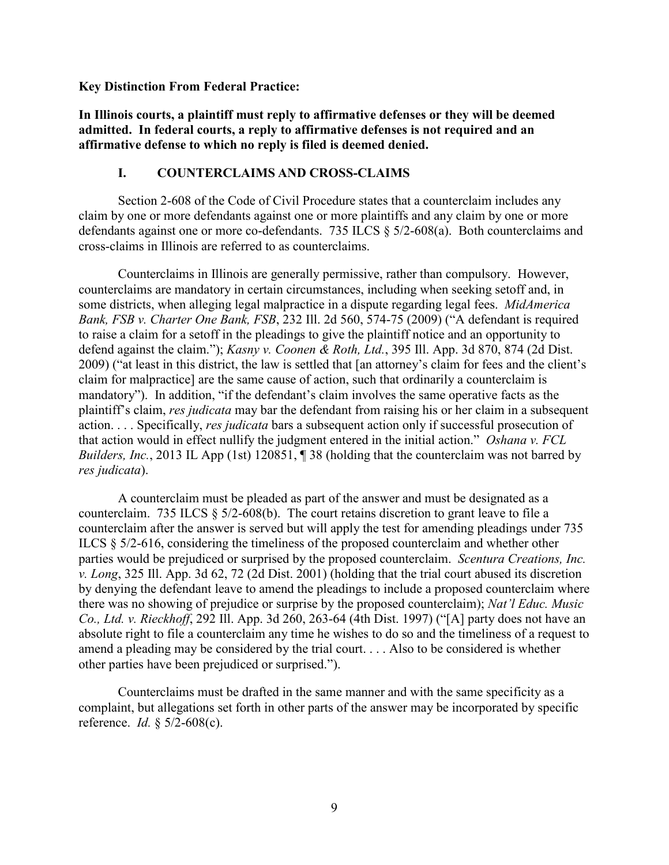#### **Key Distinction From Federal Practice:**

**In Illinois courts, a plaintiff must reply to affirmative defenses or they will be deemed admitted. In federal courts, a reply to affirmative defenses is not required and an affirmative defense to which no reply is filed is deemed denied.**

#### **I. COUNTERCLAIMS AND CROSS-CLAIMS**

Section 2-608 of the Code of Civil Procedure states that a counterclaim includes any claim by one or more defendants against one or more plaintiffs and any claim by one or more defendants against one or more co-defendants. 735 ILCS § 5/2-608(a). Both counterclaims and cross-claims in Illinois are referred to as counterclaims.

Counterclaims in Illinois are generally permissive, rather than compulsory. However, counterclaims are mandatory in certain circumstances, including when seeking setoff and, in some districts, when alleging legal malpractice in a dispute regarding legal fees. *MidAmerica Bank, FSB v. Charter One Bank, FSB*, 232 Ill. 2d 560, 574-75 (2009) ("A defendant is required to raise a claim for a setoff in the pleadings to give the plaintiff notice and an opportunity to defend against the claim."); *Kasny v. Coonen & Roth, Ltd.*, 395 Ill. App. 3d 870, 874 (2d Dist. 2009) ("at least in this district, the law is settled that [an attorney's claim for fees and the client's claim for malpractice] are the same cause of action, such that ordinarily a counterclaim is mandatory"). In addition, "if the defendant's claim involves the same operative facts as the plaintiff's claim, *res judicata* may bar the defendant from raising his or her claim in a subsequent action. . . . Specifically, *res judicata* bars a subsequent action only if successful prosecution of that action would in effect nullify the judgment entered in the initial action." *Oshana v. FCL Builders, Inc.*, 2013 IL App (1st) 120851, 1 38 (holding that the counterclaim was not barred by *res judicata*).

A counterclaim must be pleaded as part of the answer and must be designated as a counterclaim. 735 ILCS § 5/2-608(b). The court retains discretion to grant leave to file a counterclaim after the answer is served but will apply the test for amending pleadings under 735 ILCS § 5/2-616, considering the timeliness of the proposed counterclaim and whether other parties would be prejudiced or surprised by the proposed counterclaim. *Scentura Creations, Inc. v. Long*, 325 Ill. App. 3d 62, 72 (2d Dist. 2001) (holding that the trial court abused its discretion by denying the defendant leave to amend the pleadings to include a proposed counterclaim where there was no showing of prejudice or surprise by the proposed counterclaim); *Nat'l Educ. Music Co., Ltd. v. Rieckhoff*, 292 Ill. App. 3d 260, 263-64 (4th Dist. 1997) ("[A] party does not have an absolute right to file a counterclaim any time he wishes to do so and the timeliness of a request to amend a pleading may be considered by the trial court. . . . Also to be considered is whether other parties have been prejudiced or surprised.").

Counterclaims must be drafted in the same manner and with the same specificity as a complaint, but allegations set forth in other parts of the answer may be incorporated by specific reference. *Id.* § 5/2-608(c).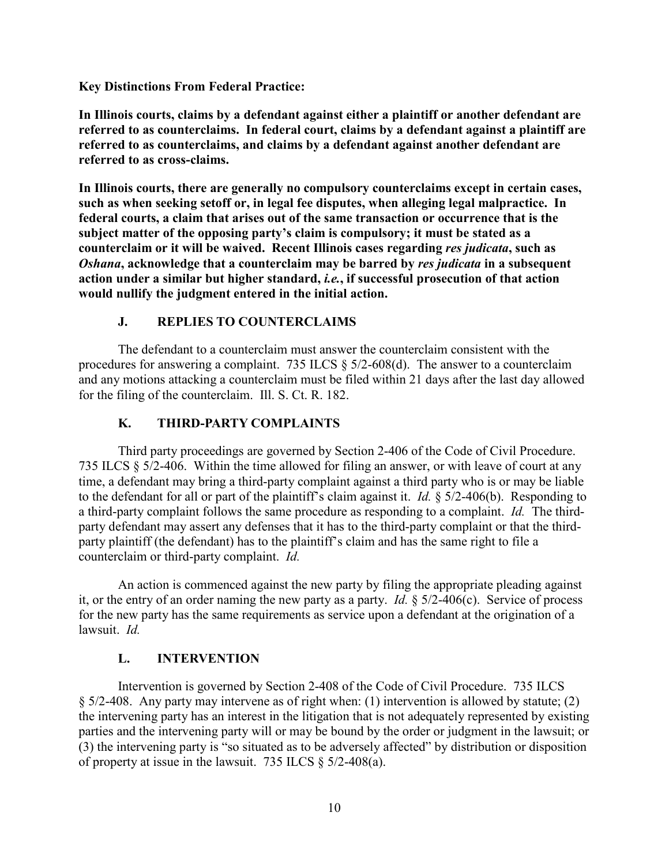**Key Distinctions From Federal Practice:**

**In Illinois courts, claims by a defendant against either a plaintiff or another defendant are referred to as counterclaims. In federal court, claims by a defendant against a plaintiff are referred to as counterclaims, and claims by a defendant against another defendant are referred to as cross-claims.**

**In Illinois courts, there are generally no compulsory counterclaims except in certain cases, such as when seeking setoff or, in legal fee disputes, when alleging legal malpractice. In federal courts, a claim that arises out of the same transaction or occurrence that is the subject matter of the opposing party's claim is compulsory; it must be stated as a counterclaim or it will be waived. Recent Illinois cases regarding** *res judicata***, such as**  *Oshana***, acknowledge that a counterclaim may be barred by** *res judicata* **in a subsequent action under a similar but higher standard,** *i.e.***, if successful prosecution of that action would nullify the judgment entered in the initial action.**

#### **J. REPLIES TO COUNTERCLAIMS**

The defendant to a counterclaim must answer the counterclaim consistent with the procedures for answering a complaint. 735 ILCS § 5/2-608(d). The answer to a counterclaim and any motions attacking a counterclaim must be filed within 21 days after the last day allowed for the filing of the counterclaim. Ill. S. Ct. R. 182.

## **K. THIRD-PARTY COMPLAINTS**

Third party proceedings are governed by Section 2-406 of the Code of Civil Procedure. 735 ILCS § 5/2-406. Within the time allowed for filing an answer, or with leave of court at any time, a defendant may bring a third-party complaint against a third party who is or may be liable to the defendant for all or part of the plaintiff's claim against it. *Id.* § 5/2-406(b). Responding to a third-party complaint follows the same procedure as responding to a complaint. *Id.* The thirdparty defendant may assert any defenses that it has to the third-party complaint or that the thirdparty plaintiff (the defendant) has to the plaintiff's claim and has the same right to file a counterclaim or third-party complaint. *Id.*

An action is commenced against the new party by filing the appropriate pleading against it, or the entry of an order naming the new party as a party. *Id.* § 5/2-406(c). Service of process for the new party has the same requirements as service upon a defendant at the origination of a lawsuit. *Id.*

#### **L. INTERVENTION**

Intervention is governed by Section 2-408 of the Code of Civil Procedure. 735 ILCS § 5/2-408. Any party may intervene as of right when: (1) intervention is allowed by statute; (2) the intervening party has an interest in the litigation that is not adequately represented by existing parties and the intervening party will or may be bound by the order or judgment in the lawsuit; or (3) the intervening party is "so situated as to be adversely affected" by distribution or disposition of property at issue in the lawsuit. 735 ILCS § 5/2-408(a).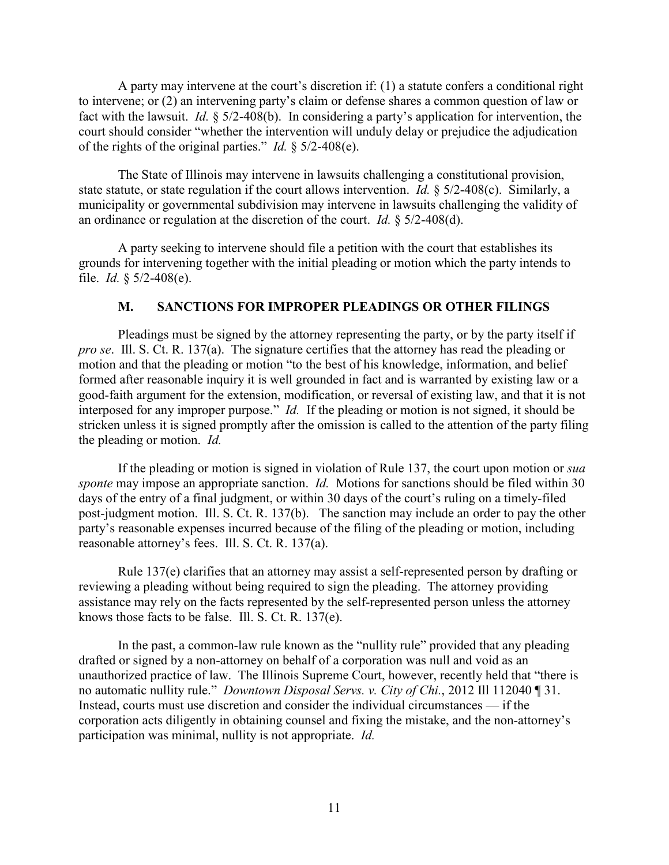A party may intervene at the court's discretion if: (1) a statute confers a conditional right to intervene; or (2) an intervening party's claim or defense shares a common question of law or fact with the lawsuit. *Id.* § 5/2-408(b). In considering a party's application for intervention, the court should consider "whether the intervention will unduly delay or prejudice the adjudication of the rights of the original parties." *Id.* § 5/2-408(e).

The State of Illinois may intervene in lawsuits challenging a constitutional provision, state statute, or state regulation if the court allows intervention. *Id.* § 5/2-408(c). Similarly, a municipality or governmental subdivision may intervene in lawsuits challenging the validity of an ordinance or regulation at the discretion of the court. *Id.* § 5/2-408(d).

A party seeking to intervene should file a petition with the court that establishes its grounds for intervening together with the initial pleading or motion which the party intends to file. *Id.* § 5/2-408(e).

#### **M. SANCTIONS FOR IMPROPER PLEADINGS OR OTHER FILINGS**

Pleadings must be signed by the attorney representing the party, or by the party itself if *pro se*. Ill. S. Ct. R. 137(a). The signature certifies that the attorney has read the pleading or motion and that the pleading or motion "to the best of his knowledge, information, and belief formed after reasonable inquiry it is well grounded in fact and is warranted by existing law or a good-faith argument for the extension, modification, or reversal of existing law, and that it is not interposed for any improper purpose." *Id.* If the pleading or motion is not signed, it should be stricken unless it is signed promptly after the omission is called to the attention of the party filing the pleading or motion. *Id.*

If the pleading or motion is signed in violation of Rule 137, the court upon motion or *sua sponte* may impose an appropriate sanction. *Id.* Motions for sanctions should be filed within 30 days of the entry of a final judgment, or within 30 days of the court's ruling on a timely-filed post-judgment motion. Ill. S. Ct. R. 137(b). The sanction may include an order to pay the other party's reasonable expenses incurred because of the filing of the pleading or motion, including reasonable attorney's fees. Ill. S. Ct. R. 137(a).

Rule 137(e) clarifies that an attorney may assist a self-represented person by drafting or reviewing a pleading without being required to sign the pleading. The attorney providing assistance may rely on the facts represented by the self-represented person unless the attorney knows those facts to be false. Ill. S. Ct. R. 137(e).

In the past, a common-law rule known as the "nullity rule" provided that any pleading drafted or signed by a non-attorney on behalf of a corporation was null and void as an unauthorized practice of law. The Illinois Supreme Court, however, recently held that "there is no automatic nullity rule." *Downtown Disposal Servs. v. City of Chi.*, 2012 Ill 112040 ¶ 31. Instead, courts must use discretion and consider the individual circumstances — if the corporation acts diligently in obtaining counsel and fixing the mistake, and the non-attorney's participation was minimal, nullity is not appropriate. *Id.*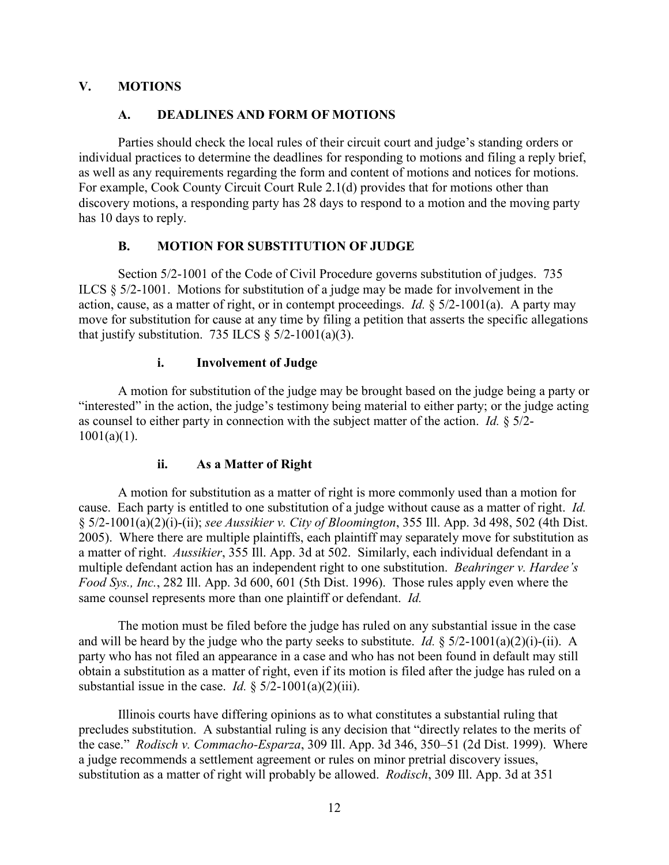## **V. MOTIONS**

#### **A. DEADLINES AND FORM OF MOTIONS**

Parties should check the local rules of their circuit court and judge's standing orders or individual practices to determine the deadlines for responding to motions and filing a reply brief, as well as any requirements regarding the form and content of motions and notices for motions. For example, Cook County Circuit Court Rule 2.1(d) provides that for motions other than discovery motions, a responding party has 28 days to respond to a motion and the moving party has 10 days to reply.

## **B. MOTION FOR SUBSTITUTION OF JUDGE**

Section 5/2-1001 of the Code of Civil Procedure governs substitution of judges. 735 ILCS § 5/2-1001. Motions for substitution of a judge may be made for involvement in the action, cause, as a matter of right, or in contempt proceedings. *Id.* § 5/2-1001(a). A party may move for substitution for cause at any time by filing a petition that asserts the specific allegations that justify substitution. 735 ILCS  $\S$  5/2-1001(a)(3).

#### **i. Involvement of Judge**

A motion for substitution of the judge may be brought based on the judge being a party or "interested" in the action, the judge's testimony being material to either party; or the judge acting as counsel to either party in connection with the subject matter of the action. *Id.* § 5/2-  $1001(a)(1)$ .

## **ii. As a Matter of Right**

A motion for substitution as a matter of right is more commonly used than a motion for cause. Each party is entitled to one substitution of a judge without cause as a matter of right. *Id.* § 5/2-1001(a)(2)(i)-(ii); *see Aussikier v. City of Bloomington*, 355 Ill. App. 3d 498, 502 (4th Dist. 2005). Where there are multiple plaintiffs, each plaintiff may separately move for substitution as a matter of right. *Aussikier*, 355 Ill. App. 3d at 502. Similarly, each individual defendant in a multiple defendant action has an independent right to one substitution. *Beahringer v. Hardee's Food Sys., Inc.*, 282 Ill. App. 3d 600, 601 (5th Dist. 1996). Those rules apply even where the same counsel represents more than one plaintiff or defendant. *Id.*

The motion must be filed before the judge has ruled on any substantial issue in the case and will be heard by the judge who the party seeks to substitute. *Id.*  $\frac{5}{2}$ -1001(a)(2)(i)-(ii). A party who has not filed an appearance in a case and who has not been found in default may still obtain a substitution as a matter of right, even if its motion is filed after the judge has ruled on a substantial issue in the case. *Id.*  $\S 5/2-1001(a)(2)(iii)$ .

Illinois courts have differing opinions as to what constitutes a substantial ruling that precludes substitution. A substantial ruling is any decision that "directly relates to the merits of the case." *Rodisch v. Commacho-Esparza*, 309 Ill. App. 3d 346, 350–51 (2d Dist. 1999). Where a judge recommends a settlement agreement or rules on minor pretrial discovery issues, substitution as a matter of right will probably be allowed. *Rodisch*, 309 Ill. App. 3d at 351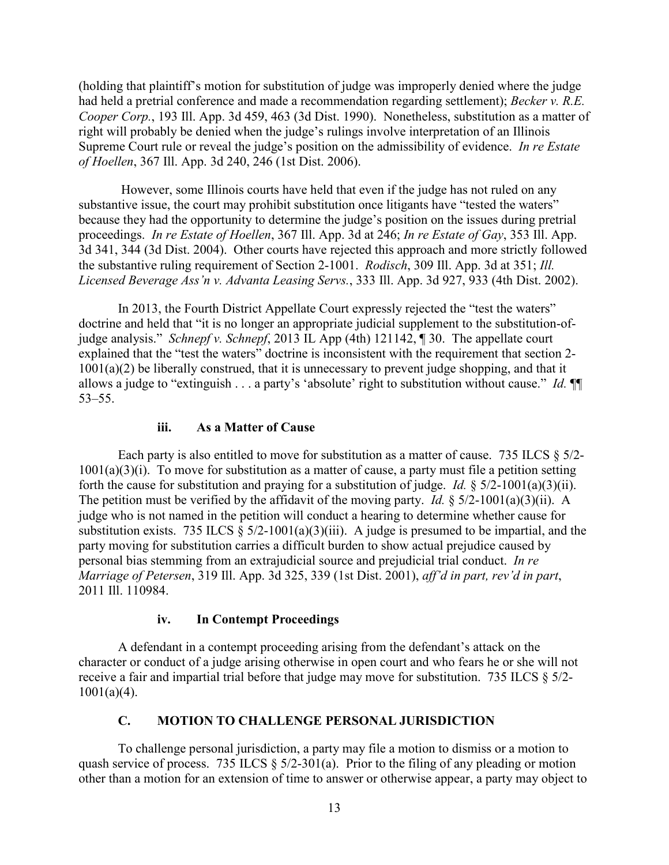(holding that plaintiff's motion for substitution of judge was improperly denied where the judge had held a pretrial conference and made a recommendation regarding settlement); *Becker v. R.E. Cooper Corp.*, 193 Ill. App. 3d 459, 463 (3d Dist. 1990). Nonetheless, substitution as a matter of right will probably be denied when the judge's rulings involve interpretation of an Illinois Supreme Court rule or reveal the judge's position on the admissibility of evidence. *In re Estate of Hoellen*, 367 Ill. App. 3d 240, 246 (1st Dist. 2006).

However, some Illinois courts have held that even if the judge has not ruled on any substantive issue, the court may prohibit substitution once litigants have "tested the waters" because they had the opportunity to determine the judge's position on the issues during pretrial proceedings. *In re Estate of Hoellen*, 367 Ill. App. 3d at 246; *In re Estate of Gay*, 353 Ill. App. 3d 341, 344 (3d Dist. 2004). Other courts have rejected this approach and more strictly followed the substantive ruling requirement of Section 2-1001. *Rodisch*, 309 Ill. App. 3d at 351; *Ill. Licensed Beverage Ass'n v. Advanta Leasing Servs.*, 333 Ill. App. 3d 927, 933 (4th Dist. 2002).

In 2013, the Fourth District Appellate Court expressly rejected the "test the waters" doctrine and held that "it is no longer an appropriate judicial supplement to the substitution-ofjudge analysis." *Schnepf v. Schnepf*, 2013 IL App (4th) 121142, ¶ 30. The appellate court explained that the "test the waters" doctrine is inconsistent with the requirement that section 2-  $1001(a)(2)$  be liberally construed, that it is unnecessary to prevent judge shopping, and that it allows a judge to "extinguish . . . a party's 'absolute' right to substitution without cause." *Id.* ¶¶ 53–55.

#### **iii. As a Matter of Cause**

Each party is also entitled to move for substitution as a matter of cause. 735 ILCS  $\S 5/2$ - $1001(a)(3)(i)$ . To move for substitution as a matter of cause, a party must file a petition setting forth the cause for substitution and praying for a substitution of judge. *Id.* § 5/2-1001(a)(3)(ii). The petition must be verified by the affidavit of the moving party. *Id.* § 5/2-1001(a)(3)(ii). A judge who is not named in the petition will conduct a hearing to determine whether cause for substitution exists. 735 ILCS  $\S$  5/2-1001(a)(3)(iii). A judge is presumed to be impartial, and the party moving for substitution carries a difficult burden to show actual prejudice caused by personal bias stemming from an extrajudicial source and prejudicial trial conduct. *In re Marriage of Petersen*, 319 Ill. App. 3d 325, 339 (1st Dist. 2001), *aff'd in part, rev'd in part*, 2011 Ill. 110984.

## **iv. In Contempt Proceedings**

A defendant in a contempt proceeding arising from the defendant's attack on the character or conduct of a judge arising otherwise in open court and who fears he or she will not receive a fair and impartial trial before that judge may move for substitution. 735 ILCS § 5/2-  $1001(a)(4)$ .

## **C. MOTION TO CHALLENGE PERSONAL JURISDICTION**

To challenge personal jurisdiction, a party may file a motion to dismiss or a motion to quash service of process. 735 ILCS  $\S$  5/2-301(a). Prior to the filing of any pleading or motion other than a motion for an extension of time to answer or otherwise appear, a party may object to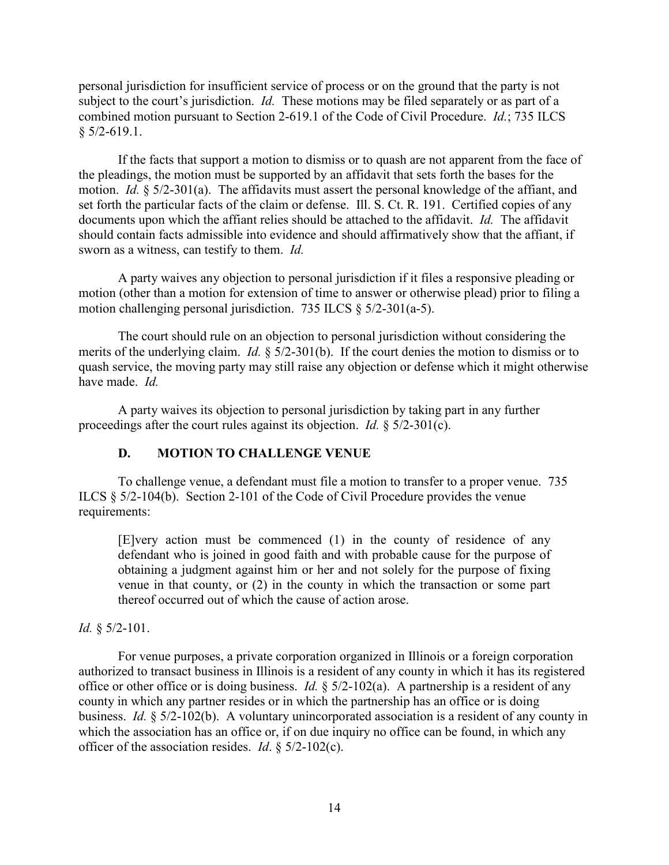personal jurisdiction for insufficient service of process or on the ground that the party is not subject to the court's jurisdiction. *Id.* These motions may be filed separately or as part of a combined motion pursuant to Section 2-619.1 of the Code of Civil Procedure. *Id.*; 735 ILCS  $§$  5/2-619.1.

If the facts that support a motion to dismiss or to quash are not apparent from the face of the pleadings, the motion must be supported by an affidavit that sets forth the bases for the motion. *Id.* § 5/2-301(a). The affidavits must assert the personal knowledge of the affiant, and set forth the particular facts of the claim or defense. Ill. S. Ct. R. 191. Certified copies of any documents upon which the affiant relies should be attached to the affidavit. *Id.* The affidavit should contain facts admissible into evidence and should affirmatively show that the affiant, if sworn as a witness, can testify to them. *Id.*

A party waives any objection to personal jurisdiction if it files a responsive pleading or motion (other than a motion for extension of time to answer or otherwise plead) prior to filing a motion challenging personal jurisdiction. 735 ILCS § 5/2-301(a-5).

The court should rule on an objection to personal jurisdiction without considering the merits of the underlying claim. *Id.* § 5/2-301(b). If the court denies the motion to dismiss or to quash service, the moving party may still raise any objection or defense which it might otherwise have made. *Id.*

A party waives its objection to personal jurisdiction by taking part in any further proceedings after the court rules against its objection. *Id.* § 5/2-301(c).

## **D. MOTION TO CHALLENGE VENUE**

To challenge venue, a defendant must file a motion to transfer to a proper venue. 735 ILCS § 5/2-104(b). Section 2-101 of the Code of Civil Procedure provides the venue requirements:

[E]very action must be commenced (1) in the county of residence of any defendant who is joined in good faith and with probable cause for the purpose of obtaining a judgment against him or her and not solely for the purpose of fixing venue in that county, or (2) in the county in which the transaction or some part thereof occurred out of which the cause of action arose.

## *Id.* § 5/2-101.

For venue purposes, a private corporation organized in Illinois or a foreign corporation authorized to transact business in Illinois is a resident of any county in which it has its registered office or other office or is doing business. *Id.* § 5/2-102(a). A partnership is a resident of any county in which any partner resides or in which the partnership has an office or is doing business. *Id.* § 5/2-102(b). A voluntary unincorporated association is a resident of any county in which the association has an office or, if on due inquiry no office can be found, in which any officer of the association resides. *Id*. § 5/2-102(c).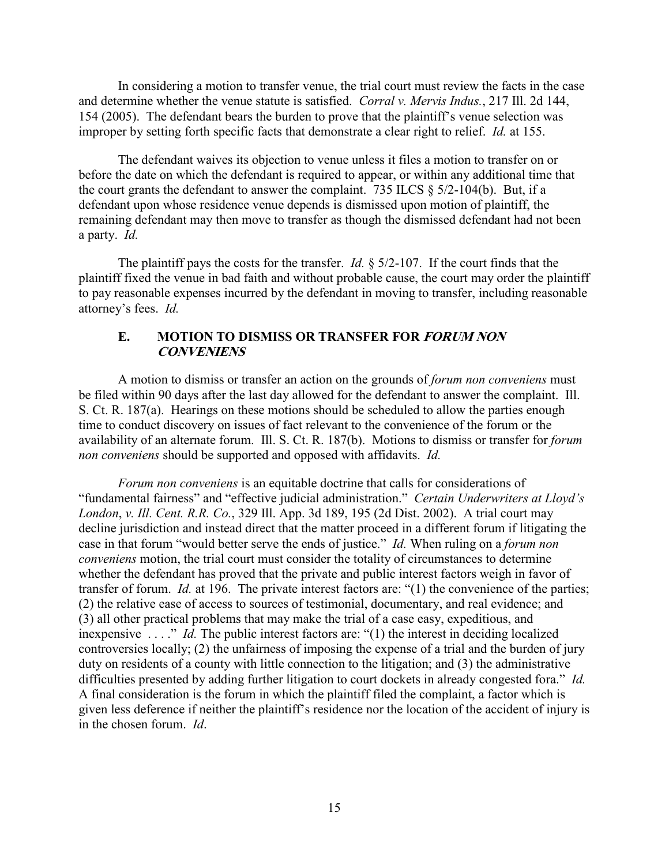In considering a motion to transfer venue, the trial court must review the facts in the case and determine whether the venue statute is satisfied. *Corral v. Mervis Indus.*, 217 Ill. 2d 144, 154 (2005). The defendant bears the burden to prove that the plaintiff's venue selection was improper by setting forth specific facts that demonstrate a clear right to relief. *Id.* at 155.

The defendant waives its objection to venue unless it files a motion to transfer on or before the date on which the defendant is required to appear, or within any additional time that the court grants the defendant to answer the complaint. 735 ILCS  $\S$  5/2-104(b). But, if a defendant upon whose residence venue depends is dismissed upon motion of plaintiff, the remaining defendant may then move to transfer as though the dismissed defendant had not been a party. *Id.*

The plaintiff pays the costs for the transfer. *Id.* § 5/2-107. If the court finds that the plaintiff fixed the venue in bad faith and without probable cause, the court may order the plaintiff to pay reasonable expenses incurred by the defendant in moving to transfer, including reasonable attorney's fees. *Id.*

## **E. MOTION TO DISMISS OR TRANSFER FOR FORUM NON CONVENIENS**

A motion to dismiss or transfer an action on the grounds of *forum non conveniens* must be filed within 90 days after the last day allowed for the defendant to answer the complaint. Ill. S. Ct. R. 187(a). Hearings on these motions should be scheduled to allow the parties enough time to conduct discovery on issues of fact relevant to the convenience of the forum or the availability of an alternate forum. Ill. S. Ct. R. 187(b). Motions to dismiss or transfer for *forum non conveniens* should be supported and opposed with affidavits. *Id.*

*Forum non conveniens* is an equitable doctrine that calls for considerations of "fundamental fairness" and "effective judicial administration." *Certain Underwriters at Lloyd's London*, *v. Ill. Cent. R.R. Co.*, 329 Ill. App. 3d 189, 195 (2d Dist. 2002). A trial court may decline jurisdiction and instead direct that the matter proceed in a different forum if litigating the case in that forum "would better serve the ends of justice." *Id.* When ruling on a *forum non conveniens* motion, the trial court must consider the totality of circumstances to determine whether the defendant has proved that the private and public interest factors weigh in favor of transfer of forum. *Id.* at 196. The private interest factors are: "(1) the convenience of the parties; (2) the relative ease of access to sources of testimonial, documentary, and real evidence; and (3) all other practical problems that may make the trial of a case easy, expeditious, and inexpensive . . . ." *Id.* The public interest factors are: "(1) the interest in deciding localized controversies locally; (2) the unfairness of imposing the expense of a trial and the burden of jury duty on residents of a county with little connection to the litigation; and (3) the administrative difficulties presented by adding further litigation to court dockets in already congested fora." *Id.* A final consideration is the forum in which the plaintiff filed the complaint, a factor which is given less deference if neither the plaintiff's residence nor the location of the accident of injury is in the chosen forum. *Id*.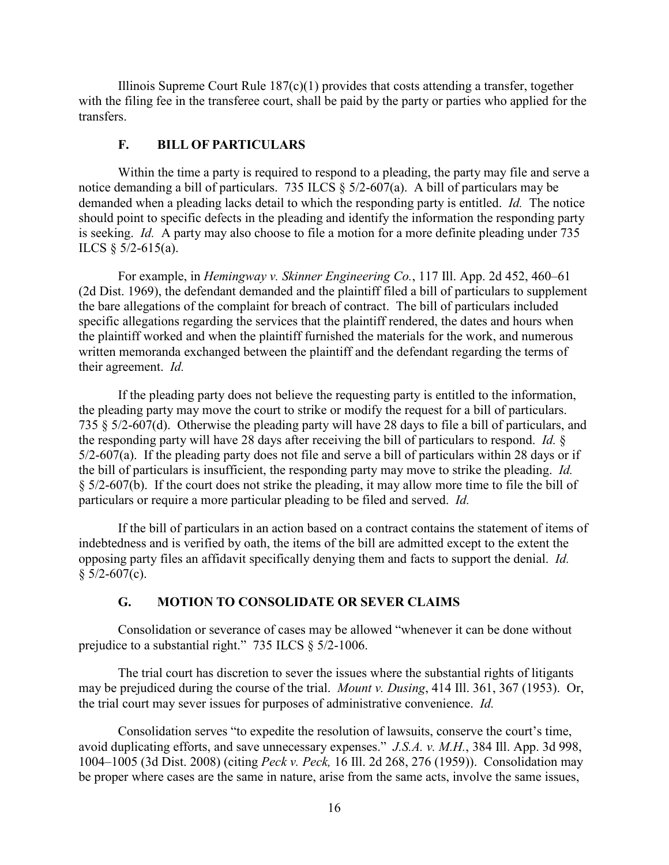Illinois Supreme Court Rule  $187(c)(1)$  provides that costs attending a transfer, together with the filing fee in the transferee court, shall be paid by the party or parties who applied for the transfers.

## **F. BILL OF PARTICULARS**

Within the time a party is required to respond to a pleading, the party may file and serve a notice demanding a bill of particulars. 735 ILCS § 5/2-607(a). A bill of particulars may be demanded when a pleading lacks detail to which the responding party is entitled. *Id.* The notice should point to specific defects in the pleading and identify the information the responding party is seeking. *Id.* A party may also choose to file a motion for a more definite pleading under 735 ILCS § 5/2-615(a).

For example, in *Hemingway v. Skinner Engineering Co.*, 117 Ill. App. 2d 452, 460–61 (2d Dist. 1969), the defendant demanded and the plaintiff filed a bill of particulars to supplement the bare allegations of the complaint for breach of contract. The bill of particulars included specific allegations regarding the services that the plaintiff rendered, the dates and hours when the plaintiff worked and when the plaintiff furnished the materials for the work, and numerous written memoranda exchanged between the plaintiff and the defendant regarding the terms of their agreement. *Id.*

If the pleading party does not believe the requesting party is entitled to the information, the pleading party may move the court to strike or modify the request for a bill of particulars. 735 § 5/2-607(d). Otherwise the pleading party will have 28 days to file a bill of particulars, and the responding party will have 28 days after receiving the bill of particulars to respond. *Id.* § 5/2-607(a). If the pleading party does not file and serve a bill of particulars within 28 days or if the bill of particulars is insufficient, the responding party may move to strike the pleading. *Id.* § 5/2-607(b). If the court does not strike the pleading, it may allow more time to file the bill of particulars or require a more particular pleading to be filed and served. *Id.*

If the bill of particulars in an action based on a contract contains the statement of items of indebtedness and is verified by oath, the items of the bill are admitted except to the extent the opposing party files an affidavit specifically denying them and facts to support the denial. *Id.*  $§$  5/2-607(c).

#### **G. MOTION TO CONSOLIDATE OR SEVER CLAIMS**

Consolidation or severance of cases may be allowed "whenever it can be done without prejudice to a substantial right." 735 ILCS § 5/2-1006.

The trial court has discretion to sever the issues where the substantial rights of litigants may be prejudiced during the course of the trial. *Mount v. Dusing*, 414 Ill. 361, 367 (1953). Or, the trial court may sever issues for purposes of administrative convenience. *Id.*

Consolidation serves "to expedite the resolution of lawsuits, conserve the court's time, avoid duplicating efforts, and save unnecessary expenses." *J.S.A. v. M.H.*, 384 Ill. App. 3d 998, 1004–1005 (3d Dist. 2008) (citing *Peck v. Peck,* 16 Ill. 2d 268, 276 (1959)). Consolidation may be proper where cases are the same in nature, arise from the same acts, involve the same issues,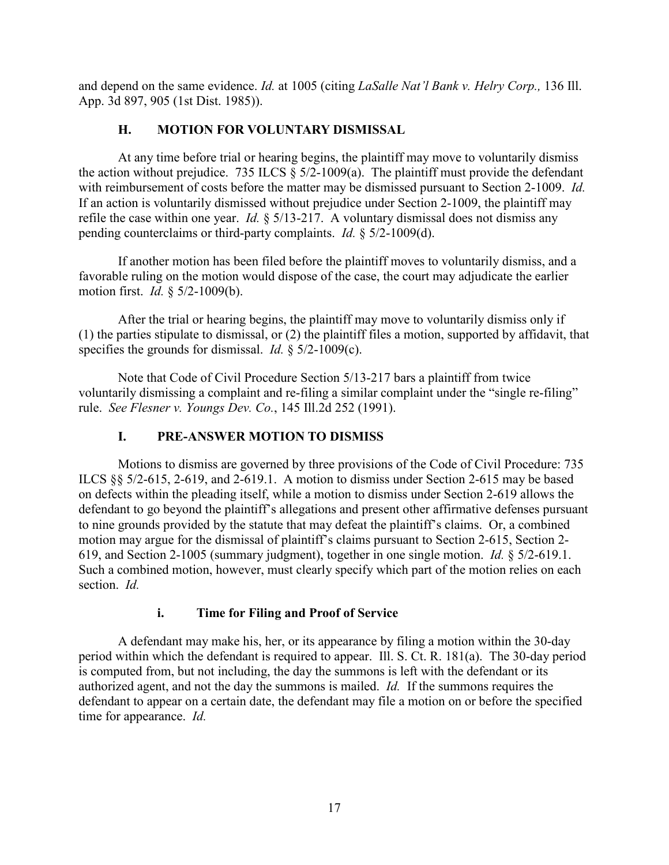and depend on the same evidence. *Id.* at 1005 (citing *LaSalle Nat'l Bank v. Helry Corp.,* 136 Ill. App. 3d 897, 905 (1st Dist. 1985)).

# **H. MOTION FOR VOLUNTARY DISMISSAL**

At any time before trial or hearing begins, the plaintiff may move to voluntarily dismiss the action without prejudice. 735 ILCS  $\S$  5/2-1009(a). The plaintiff must provide the defendant with reimbursement of costs before the matter may be dismissed pursuant to Section 2-1009. *Id.* If an action is voluntarily dismissed without prejudice under Section 2-1009, the plaintiff may refile the case within one year. *Id.* § 5/13-217. A voluntary dismissal does not dismiss any pending counterclaims or third-party complaints. *Id.* § 5/2-1009(d).

If another motion has been filed before the plaintiff moves to voluntarily dismiss, and a favorable ruling on the motion would dispose of the case, the court may adjudicate the earlier motion first. *Id.* § 5/2-1009(b).

After the trial or hearing begins, the plaintiff may move to voluntarily dismiss only if (1) the parties stipulate to dismissal, or (2) the plaintiff files a motion, supported by affidavit, that specifies the grounds for dismissal. *Id.* § 5/2-1009(c).

Note that Code of Civil Procedure Section 5/13-217 bars a plaintiff from twice voluntarily dismissing a complaint and re-filing a similar complaint under the "single re-filing" rule. *See Flesner v. Youngs Dev. Co.*, 145 Ill.2d 252 (1991).

# **I. PRE-ANSWER MOTION TO DISMISS**

Motions to dismiss are governed by three provisions of the Code of Civil Procedure: 735 ILCS §§ 5/2-615, 2-619, and 2-619.1. A motion to dismiss under Section 2-615 may be based on defects within the pleading itself, while a motion to dismiss under Section 2-619 allows the defendant to go beyond the plaintiff's allegations and present other affirmative defenses pursuant to nine grounds provided by the statute that may defeat the plaintiff's claims. Or, a combined motion may argue for the dismissal of plaintiff's claims pursuant to Section 2-615, Section 2- 619, and Section 2-1005 (summary judgment), together in one single motion. *Id.* § 5/2-619.1. Such a combined motion, however, must clearly specify which part of the motion relies on each section. *Id.*

## **i. Time for Filing and Proof of Service**

A defendant may make his, her, or its appearance by filing a motion within the 30-day period within which the defendant is required to appear. Ill. S. Ct. R. 181(a). The 30-day period is computed from, but not including, the day the summons is left with the defendant or its authorized agent, and not the day the summons is mailed. *Id.* If the summons requires the defendant to appear on a certain date, the defendant may file a motion on or before the specified time for appearance. *Id.*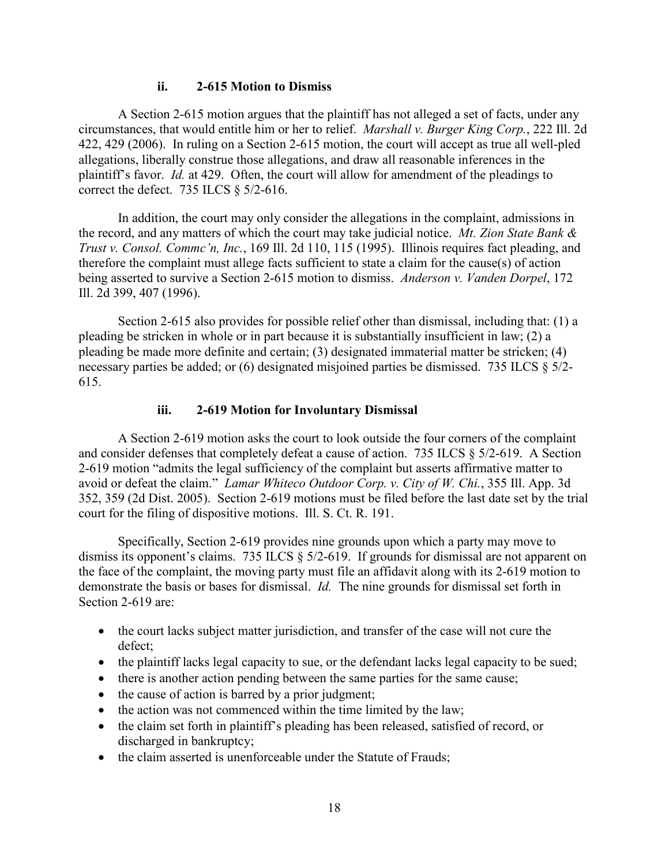#### **ii. 2-615 Motion to Dismiss**

A Section 2-615 motion argues that the plaintiff has not alleged a set of facts, under any circumstances, that would entitle him or her to relief. *Marshall v. Burger King Corp.*, 222 Ill. 2d 422, 429 (2006). In ruling on a Section 2-615 motion, the court will accept as true all well-pled allegations, liberally construe those allegations, and draw all reasonable inferences in the plaintiff's favor. *Id.* at 429. Often, the court will allow for amendment of the pleadings to correct the defect. 735 ILCS § 5/2-616.

In addition, the court may only consider the allegations in the complaint, admissions in the record, and any matters of which the court may take judicial notice. *Mt. Zion State Bank & Trust v. Consol. Commc'n, Inc.*, 169 Ill. 2d 110, 115 (1995). Illinois requires fact pleading, and therefore the complaint must allege facts sufficient to state a claim for the cause(s) of action being asserted to survive a Section 2-615 motion to dismiss. *Anderson v. Vanden Dorpel*, 172 Ill. 2d 399, 407 (1996).

Section 2-615 also provides for possible relief other than dismissal, including that: (1) a pleading be stricken in whole or in part because it is substantially insufficient in law; (2) a pleading be made more definite and certain; (3) designated immaterial matter be stricken; (4) necessary parties be added; or (6) designated misjoined parties be dismissed. 735 ILCS § 5/2- 615.

#### **iii. 2-619 Motion for Involuntary Dismissal**

A Section 2-619 motion asks the court to look outside the four corners of the complaint and consider defenses that completely defeat a cause of action. 735 ILCS § 5/2-619. A Section 2-619 motion "admits the legal sufficiency of the complaint but asserts affirmative matter to avoid or defeat the claim." *Lamar Whiteco Outdoor Corp. v. City of W. Chi.*, 355 Ill. App. 3d 352, 359 (2d Dist. 2005). Section 2-619 motions must be filed before the last date set by the trial court for the filing of dispositive motions. Ill. S. Ct. R. 191.

Specifically, Section 2-619 provides nine grounds upon which a party may move to dismiss its opponent's claims. 735 ILCS § 5/2-619. If grounds for dismissal are not apparent on the face of the complaint, the moving party must file an affidavit along with its 2-619 motion to demonstrate the basis or bases for dismissal. *Id.* The nine grounds for dismissal set forth in Section 2-619 are:

- the court lacks subject matter jurisdiction, and transfer of the case will not cure the defect;
- the plaintiff lacks legal capacity to sue, or the defendant lacks legal capacity to be sued;
- there is another action pending between the same parties for the same cause;
- the cause of action is barred by a prior judgment;
- the action was not commenced within the time limited by the law;
- the claim set forth in plaintiff's pleading has been released, satisfied of record, or discharged in bankruptcy;
- the claim asserted is unenforceable under the Statute of Frauds;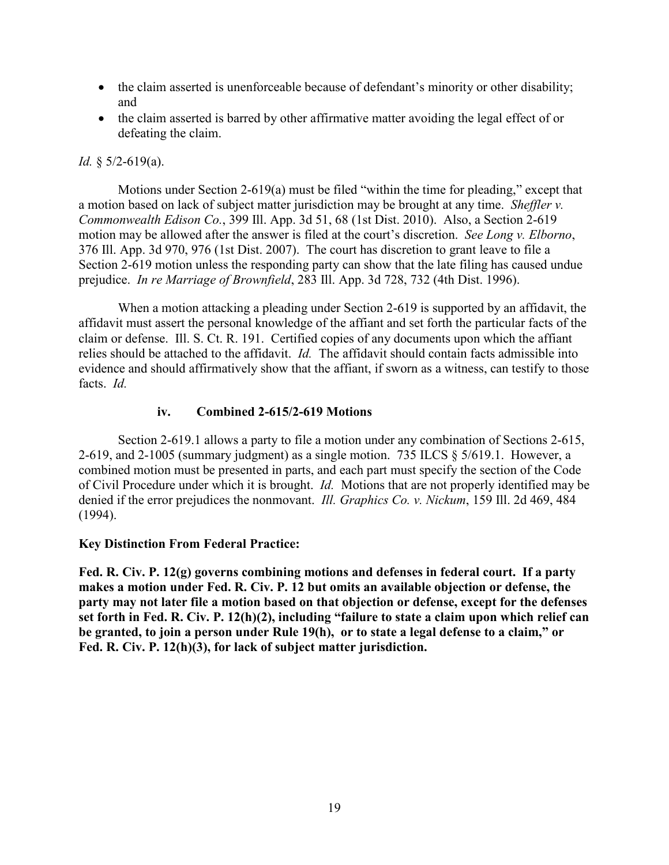- the claim asserted is unenforceable because of defendant's minority or other disability; and
- the claim asserted is barred by other affirmative matter avoiding the legal effect of or defeating the claim.

#### *Id.* § 5/2-619(a).

Motions under Section 2-619(a) must be filed "within the time for pleading," except that a motion based on lack of subject matter jurisdiction may be brought at any time. *Sheffler v. Commonwealth Edison Co.*, 399 Ill. App. 3d 51, 68 (1st Dist. 2010). Also, a Section 2-619 motion may be allowed after the answer is filed at the court's discretion. *See Long v. Elborno*, 376 Ill. App. 3d 970, 976 (1st Dist. 2007). The court has discretion to grant leave to file a Section 2-619 motion unless the responding party can show that the late filing has caused undue prejudice. *In re Marriage of Brownfield*, 283 Ill. App. 3d 728, 732 (4th Dist. 1996).

When a motion attacking a pleading under Section 2-619 is supported by an affidavit, the affidavit must assert the personal knowledge of the affiant and set forth the particular facts of the claim or defense. Ill. S. Ct. R. 191. Certified copies of any documents upon which the affiant relies should be attached to the affidavit. *Id.* The affidavit should contain facts admissible into evidence and should affirmatively show that the affiant, if sworn as a witness, can testify to those facts. *Id.*

#### **iv. Combined 2-615/2-619 Motions**

Section 2-619.1 allows a party to file a motion under any combination of Sections 2-615, 2-619, and 2-1005 (summary judgment) as a single motion. 735 ILCS § 5/619.1. However, a combined motion must be presented in parts, and each part must specify the section of the Code of Civil Procedure under which it is brought. *Id.* Motions that are not properly identified may be denied if the error prejudices the nonmovant. *Ill. Graphics Co. v. Nickum*, 159 Ill. 2d 469, 484 (1994).

#### **Key Distinction From Federal Practice:**

**Fed. R. Civ. P. 12(g) governs combining motions and defenses in federal court. If a party makes a motion under Fed. R. Civ. P. 12 but omits an available objection or defense, the party may not later file a motion based on that objection or defense, except for the defenses set forth in Fed. R. Civ. P. 12(h)(2), including "failure to state a claim upon which relief can be granted, to join a person under Rule 19(h), or to state a legal defense to a claim," or Fed. R. Civ. P. 12(h)(3), for lack of subject matter jurisdiction.**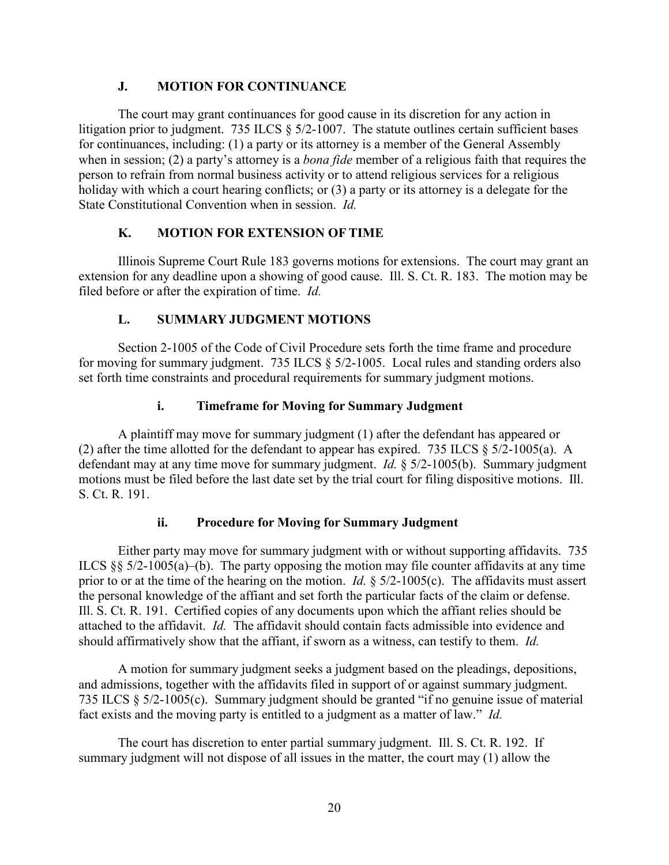## **J. MOTION FOR CONTINUANCE**

The court may grant continuances for good cause in its discretion for any action in litigation prior to judgment. 735 ILCS § 5/2-1007. The statute outlines certain sufficient bases for continuances, including: (1) a party or its attorney is a member of the General Assembly when in session; (2) a party's attorney is a *bona fide* member of a religious faith that requires the person to refrain from normal business activity or to attend religious services for a religious holiday with which a court hearing conflicts; or (3) a party or its attorney is a delegate for the State Constitutional Convention when in session. *Id.*

#### **K. MOTION FOR EXTENSION OF TIME**

Illinois Supreme Court Rule 183 governs motions for extensions. The court may grant an extension for any deadline upon a showing of good cause. Ill. S. Ct. R. 183. The motion may be filed before or after the expiration of time. *Id.*

#### **L. SUMMARY JUDGMENT MOTIONS**

Section 2-1005 of the Code of Civil Procedure sets forth the time frame and procedure for moving for summary judgment. 735 ILCS § 5/2-1005. Local rules and standing orders also set forth time constraints and procedural requirements for summary judgment motions.

#### **i. Timeframe for Moving for Summary Judgment**

A plaintiff may move for summary judgment (1) after the defendant has appeared or (2) after the time allotted for the defendant to appear has expired. 735 ILCS § 5/2-1005(a). A defendant may at any time move for summary judgment. *Id.* § 5/2-1005(b). Summary judgment motions must be filed before the last date set by the trial court for filing dispositive motions. Ill. S. Ct. R. 191.

## **ii. Procedure for Moving for Summary Judgment**

Either party may move for summary judgment with or without supporting affidavits. 735 ILCS  $\S$  5/2-1005(a)–(b). The party opposing the motion may file counter affidavits at any time prior to or at the time of the hearing on the motion. *Id.* § 5/2-1005(c). The affidavits must assert the personal knowledge of the affiant and set forth the particular facts of the claim or defense. Ill. S. Ct. R. 191. Certified copies of any documents upon which the affiant relies should be attached to the affidavit. *Id.* The affidavit should contain facts admissible into evidence and should affirmatively show that the affiant, if sworn as a witness, can testify to them. *Id.*

A motion for summary judgment seeks a judgment based on the pleadings, depositions, and admissions, together with the affidavits filed in support of or against summary judgment. 735 ILCS § 5/2-1005(c). Summary judgment should be granted "if no genuine issue of material fact exists and the moving party is entitled to a judgment as a matter of law." *Id.*

The court has discretion to enter partial summary judgment. Ill. S. Ct. R. 192. If summary judgment will not dispose of all issues in the matter, the court may (1) allow the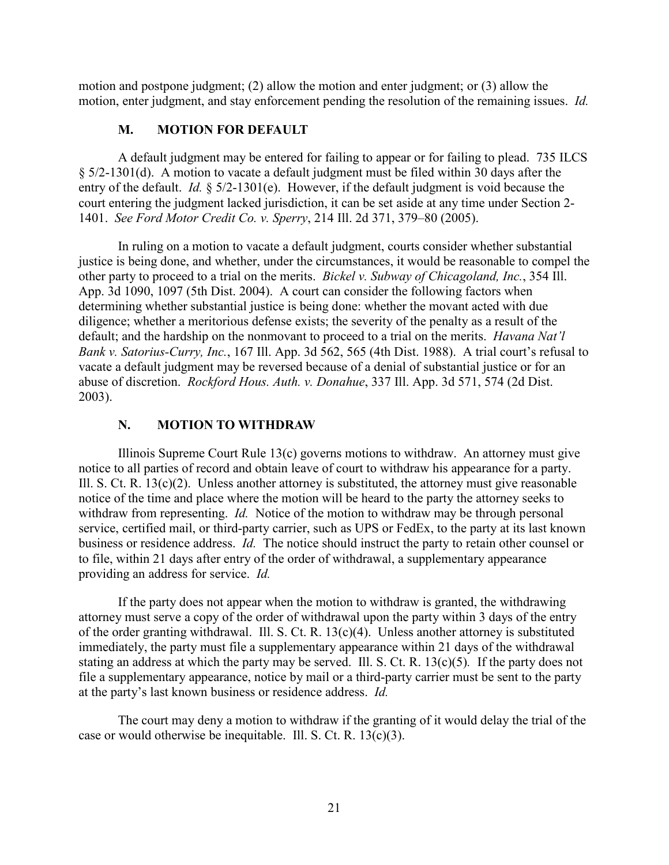motion and postpone judgment; (2) allow the motion and enter judgment; or (3) allow the motion, enter judgment, and stay enforcement pending the resolution of the remaining issues. *Id.*

## **M. MOTION FOR DEFAULT**

A default judgment may be entered for failing to appear or for failing to plead. 735 ILCS § 5/2-1301(d). A motion to vacate a default judgment must be filed within 30 days after the entry of the default. *Id.* § 5/2-1301(e). However, if the default judgment is void because the court entering the judgment lacked jurisdiction, it can be set aside at any time under Section 2- 1401. *See Ford Motor Credit Co. v. Sperry*, 214 Ill. 2d 371, 379–80 (2005).

In ruling on a motion to vacate a default judgment, courts consider whether substantial justice is being done, and whether, under the circumstances, it would be reasonable to compel the other party to proceed to a trial on the merits. *Bickel v. Subway of Chicagoland, Inc.*, 354 Ill. App. 3d 1090, 1097 (5th Dist. 2004). A court can consider the following factors when determining whether substantial justice is being done: whether the movant acted with due diligence; whether a meritorious defense exists; the severity of the penalty as a result of the default; and the hardship on the nonmovant to proceed to a trial on the merits. *Havana Nat'l Bank v. Satorius-Curry, Inc.*, 167 Ill. App. 3d 562, 565 (4th Dist. 1988). A trial court's refusal to vacate a default judgment may be reversed because of a denial of substantial justice or for an abuse of discretion. *Rockford Hous. Auth. v. Donahue*, 337 Ill. App. 3d 571, 574 (2d Dist. 2003).

#### **N. MOTION TO WITHDRAW**

Illinois Supreme Court Rule 13(c) governs motions to withdraw. An attorney must give notice to all parties of record and obtain leave of court to withdraw his appearance for a party. Ill. S. Ct. R. 13(c)(2). Unless another attorney is substituted, the attorney must give reasonable notice of the time and place where the motion will be heard to the party the attorney seeks to withdraw from representing. *Id.* Notice of the motion to withdraw may be through personal service, certified mail, or third-party carrier, such as UPS or FedEx, to the party at its last known business or residence address. *Id.* The notice should instruct the party to retain other counsel or to file, within 21 days after entry of the order of withdrawal, a supplementary appearance providing an address for service. *Id.*

If the party does not appear when the motion to withdraw is granted, the withdrawing attorney must serve a copy of the order of withdrawal upon the party within 3 days of the entry of the order granting withdrawal. Ill. S. Ct. R. 13(c)(4). Unless another attorney is substituted immediately, the party must file a supplementary appearance within 21 days of the withdrawal stating an address at which the party may be served. Ill. S. Ct. R. 13(c)(5)*.* If the party does not file a supplementary appearance, notice by mail or a third-party carrier must be sent to the party at the party's last known business or residence address. *Id.*

The court may deny a motion to withdraw if the granting of it would delay the trial of the case or would otherwise be inequitable. Ill. S. Ct. R. 13(c)(3).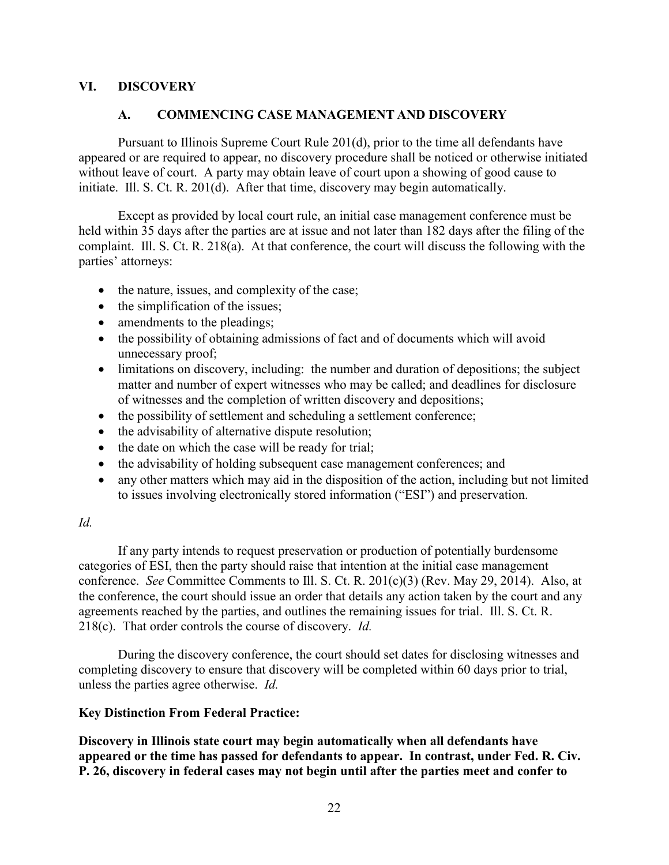#### **VI. DISCOVERY**

#### **A. COMMENCING CASE MANAGEMENT AND DISCOVERY**

Pursuant to Illinois Supreme Court Rule 201(d), prior to the time all defendants have appeared or are required to appear, no discovery procedure shall be noticed or otherwise initiated without leave of court. A party may obtain leave of court upon a showing of good cause to initiate. Ill. S. Ct. R. 201(d). After that time, discovery may begin automatically.

Except as provided by local court rule, an initial case management conference must be held within 35 days after the parties are at issue and not later than 182 days after the filing of the complaint. Ill. S. Ct. R. 218(a). At that conference, the court will discuss the following with the parties' attorneys:

- the nature, issues, and complexity of the case;
- the simplification of the issues;
- amendments to the pleadings;
- the possibility of obtaining admissions of fact and of documents which will avoid unnecessary proof;
- limitations on discovery, including: the number and duration of depositions; the subject matter and number of expert witnesses who may be called; and deadlines for disclosure of witnesses and the completion of written discovery and depositions;
- the possibility of settlement and scheduling a settlement conference;
- the advisability of alternative dispute resolution;
- the date on which the case will be ready for trial;
- the advisability of holding subsequent case management conferences; and
- any other matters which may aid in the disposition of the action, including but not limited to issues involving electronically stored information ("ESI") and preservation.

#### *Id.*

If any party intends to request preservation or production of potentially burdensome categories of ESI, then the party should raise that intention at the initial case management conference. *See* Committee Comments to Ill. S. Ct. R. 201(c)(3) (Rev. May 29, 2014). Also, at the conference, the court should issue an order that details any action taken by the court and any agreements reached by the parties, and outlines the remaining issues for trial. Ill. S. Ct. R. 218(c). That order controls the course of discovery. *Id.*

During the discovery conference, the court should set dates for disclosing witnesses and completing discovery to ensure that discovery will be completed within 60 days prior to trial, unless the parties agree otherwise. *Id.*

#### **Key Distinction From Federal Practice:**

**Discovery in Illinois state court may begin automatically when all defendants have appeared or the time has passed for defendants to appear. In contrast, under Fed. R. Civ. P. 26, discovery in federal cases may not begin until after the parties meet and confer to**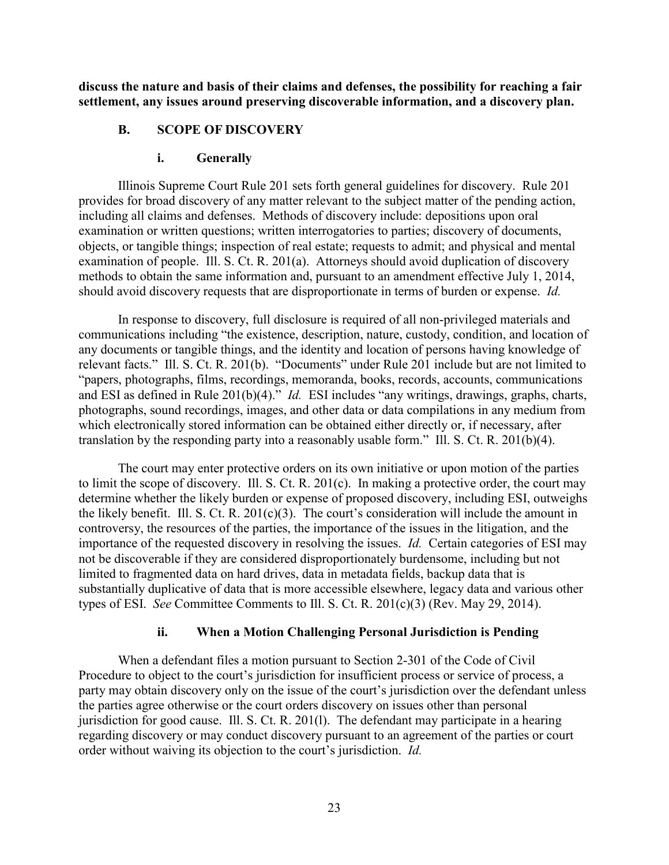**discuss the nature and basis of their claims and defenses, the possibility for reaching a fair settlement, any issues around preserving discoverable information, and a discovery plan.**

#### **B. SCOPE OF DISCOVERY**

#### **i. Generally**

Illinois Supreme Court Rule 201 sets forth general guidelines for discovery. Rule 201 provides for broad discovery of any matter relevant to the subject matter of the pending action, including all claims and defenses. Methods of discovery include: depositions upon oral examination or written questions; written interrogatories to parties; discovery of documents, objects, or tangible things; inspection of real estate; requests to admit; and physical and mental examination of people. Ill. S. Ct. R. 201(a). Attorneys should avoid duplication of discovery methods to obtain the same information and, pursuant to an amendment effective July 1, 2014, should avoid discovery requests that are disproportionate in terms of burden or expense. *Id.*

In response to discovery, full disclosure is required of all non-privileged materials and communications including "the existence, description, nature, custody, condition, and location of any documents or tangible things, and the identity and location of persons having knowledge of relevant facts." Ill. S. Ct. R. 201(b). "Documents" under Rule 201 include but are not limited to "papers, photographs, films, recordings, memoranda, books, records, accounts, communications and ESI as defined in Rule 201(b)(4)." *Id.* ESI includes "any writings, drawings, graphs, charts, photographs, sound recordings, images, and other data or data compilations in any medium from which electronically stored information can be obtained either directly or, if necessary, after translation by the responding party into a reasonably usable form." Ill. S. Ct. R. 201(b)(4).

The court may enter protective orders on its own initiative or upon motion of the parties to limit the scope of discovery. Ill. S. Ct. R. 201(c). In making a protective order, the court may determine whether the likely burden or expense of proposed discovery, including ESI, outweighs the likely benefit. Ill. S. Ct. R. 201(c)(3). The court's consideration will include the amount in controversy, the resources of the parties, the importance of the issues in the litigation, and the importance of the requested discovery in resolving the issues. *Id.* Certain categories of ESI may not be discoverable if they are considered disproportionately burdensome, including but not limited to fragmented data on hard drives, data in metadata fields, backup data that is substantially duplicative of data that is more accessible elsewhere, legacy data and various other types of ESI. *See* Committee Comments to Ill. S. Ct. R. 201(c)(3) (Rev. May 29, 2014).

#### **ii. When a Motion Challenging Personal Jurisdiction is Pending**

When a defendant files a motion pursuant to Section 2-301 of the Code of Civil Procedure to object to the court's jurisdiction for insufficient process or service of process, a party may obtain discovery only on the issue of the court's jurisdiction over the defendant unless the parties agree otherwise or the court orders discovery on issues other than personal jurisdiction for good cause. Ill. S. Ct. R. 201(l). The defendant may participate in a hearing regarding discovery or may conduct discovery pursuant to an agreement of the parties or court order without waiving its objection to the court's jurisdiction. *Id.*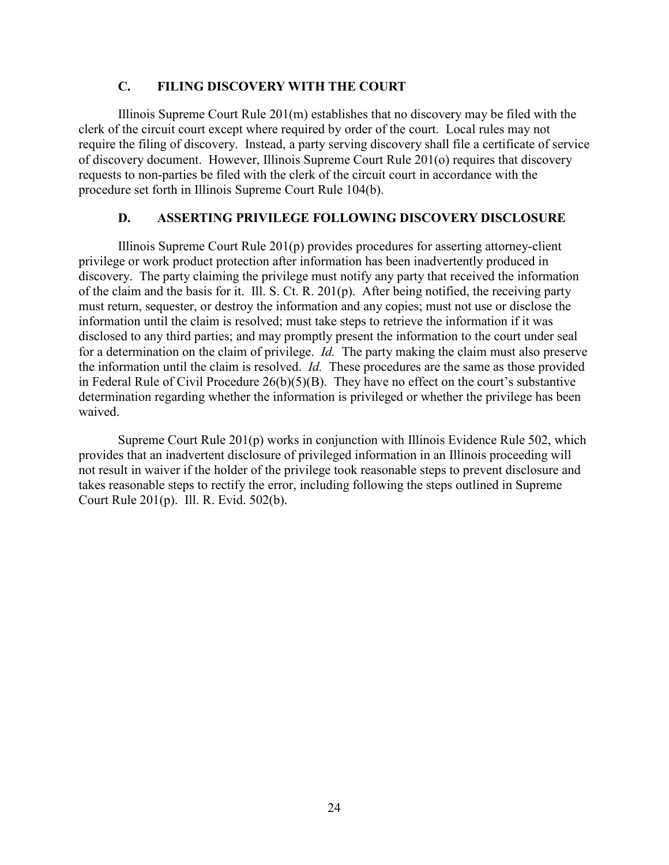#### **C. FILING DISCOVERY WITH THE COURT**

Illinois Supreme Court Rule 201(m) establishes that no discovery may be filed with the clerk of the circuit court except where required by order of the court. Local rules may not require the filing of discovery. Instead, a party serving discovery shall file a certificate of service of discovery document. However, Illinois Supreme Court Rule 201(o) requires that discovery requests to non-parties be filed with the clerk of the circuit court in accordance with the procedure set forth in Illinois Supreme Court Rule 104(b).

#### **D. ASSERTING PRIVILEGE FOLLOWING DISCOVERY DISCLOSURE**

Illinois Supreme Court Rule 201(p) provides procedures for asserting attorney-client privilege or work product protection after information has been inadvertently produced in discovery. The party claiming the privilege must notify any party that received the information of the claim and the basis for it. Ill. S. Ct. R. 201(p). After being notified, the receiving party must return, sequester, or destroy the information and any copies; must not use or disclose the information until the claim is resolved; must take steps to retrieve the information if it was disclosed to any third parties; and may promptly present the information to the court under seal for a determination on the claim of privilege. *Id.* The party making the claim must also preserve the information until the claim is resolved. *Id.* These procedures are the same as those provided in Federal Rule of Civil Procedure 26(b)(5)(B). They have no effect on the court's substantive determination regarding whether the information is privileged or whether the privilege has been waived.

Supreme Court Rule 201(p) works in conjunction with Illinois Evidence Rule 502, which provides that an inadvertent disclosure of privileged information in an Illinois proceeding will not result in waiver if the holder of the privilege took reasonable steps to prevent disclosure and takes reasonable steps to rectify the error, including following the steps outlined in Supreme Court Rule 201(p). Ill. R. Evid. 502(b).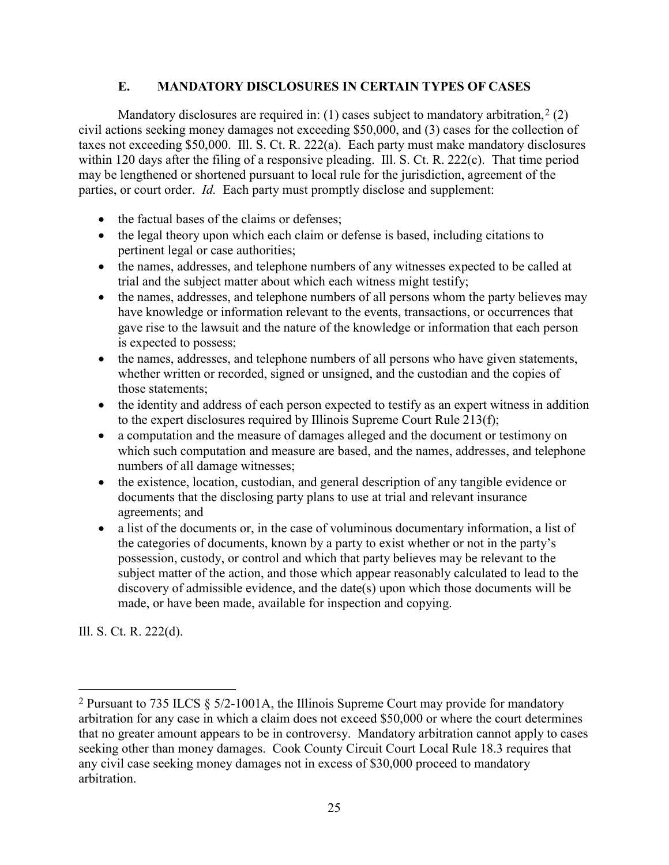## **E. MANDATORY DISCLOSURES IN CERTAIN TYPES OF CASES**

Mandatory disclosures are required in: (1) cases subject to mandatory arbitration,  $2(2)$  $2(2)$ civil actions seeking money damages not exceeding \$50,000, and (3) cases for the collection of taxes not exceeding \$50,000. Ill. S. Ct. R. 222(a). Each party must make mandatory disclosures within 120 days after the filing of a responsive pleading. Ill. S. Ct. R. 222(c). That time period may be lengthened or shortened pursuant to local rule for the jurisdiction, agreement of the parties, or court order. *Id.* Each party must promptly disclose and supplement:

- the factual bases of the claims or defenses;
- the legal theory upon which each claim or defense is based, including citations to pertinent legal or case authorities;
- the names, addresses, and telephone numbers of any witnesses expected to be called at trial and the subject matter about which each witness might testify;
- the names, addresses, and telephone numbers of all persons whom the party believes may have knowledge or information relevant to the events, transactions, or occurrences that gave rise to the lawsuit and the nature of the knowledge or information that each person is expected to possess;
- the names, addresses, and telephone numbers of all persons who have given statements, whether written or recorded, signed or unsigned, and the custodian and the copies of those statements;
- the identity and address of each person expected to testify as an expert witness in addition to the expert disclosures required by Illinois Supreme Court Rule 213(f);
- a computation and the measure of damages alleged and the document or testimony on which such computation and measure are based, and the names, addresses, and telephone numbers of all damage witnesses;
- the existence, location, custodian, and general description of any tangible evidence or documents that the disclosing party plans to use at trial and relevant insurance agreements; and
- a list of the documents or, in the case of voluminous documentary information, a list of the categories of documents, known by a party to exist whether or not in the party's possession, custody, or control and which that party believes may be relevant to the subject matter of the action, and those which appear reasonably calculated to lead to the discovery of admissible evidence, and the date(s) upon which those documents will be made, or have been made, available for inspection and copying.

Ill. S. Ct. R. 222(d).

<span id="page-31-0"></span><sup>2</sup> Pursuant to 735 ILCS § 5/2-1001A, the Illinois Supreme Court may provide for mandatory arbitration for any case in which a claim does not exceed \$50,000 or where the court determines that no greater amount appears to be in controversy. Mandatory arbitration cannot apply to cases seeking other than money damages. Cook County Circuit Court Local Rule 18.3 requires that any civil case seeking money damages not in excess of \$30,000 proceed to mandatory arbitration.  $\overline{a}$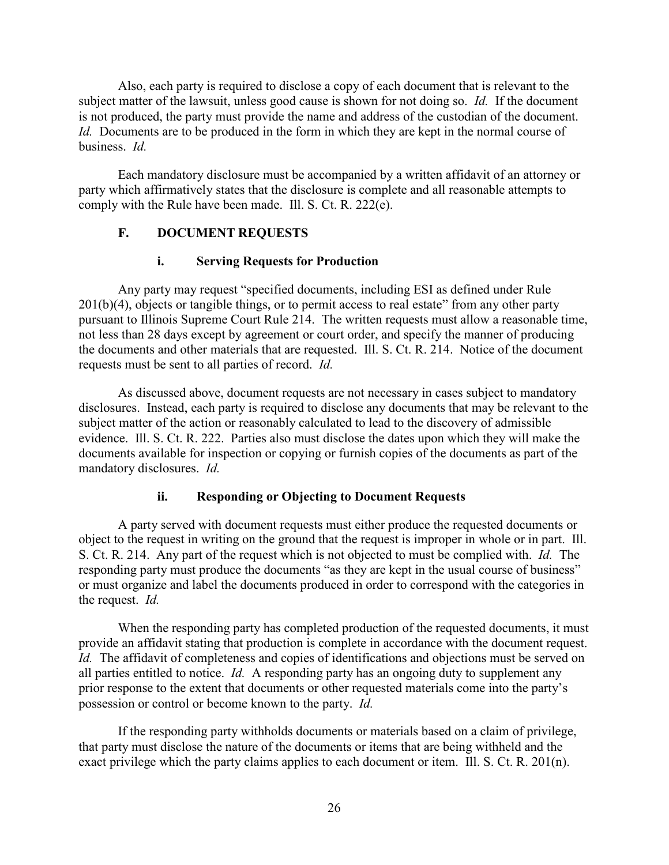Also, each party is required to disclose a copy of each document that is relevant to the subject matter of the lawsuit, unless good cause is shown for not doing so. *Id.* If the document is not produced, the party must provide the name and address of the custodian of the document. *Id.* Documents are to be produced in the form in which they are kept in the normal course of business. *Id.*

Each mandatory disclosure must be accompanied by a written affidavit of an attorney or party which affirmatively states that the disclosure is complete and all reasonable attempts to comply with the Rule have been made. Ill. S. Ct. R. 222(e).

## **F. DOCUMENT REQUESTS**

## **i. Serving Requests for Production**

Any party may request "specified documents, including ESI as defined under Rule  $201(b)(4)$ , objects or tangible things, or to permit access to real estate" from any other party pursuant to Illinois Supreme Court Rule 214. The written requests must allow a reasonable time, not less than 28 days except by agreement or court order, and specify the manner of producing the documents and other materials that are requested. Ill. S. Ct. R. 214. Notice of the document requests must be sent to all parties of record. *Id.*

As discussed above, document requests are not necessary in cases subject to mandatory disclosures. Instead, each party is required to disclose any documents that may be relevant to the subject matter of the action or reasonably calculated to lead to the discovery of admissible evidence. Ill. S. Ct. R. 222. Parties also must disclose the dates upon which they will make the documents available for inspection or copying or furnish copies of the documents as part of the mandatory disclosures. *Id.*

## **ii. Responding or Objecting to Document Requests**

A party served with document requests must either produce the requested documents or object to the request in writing on the ground that the request is improper in whole or in part. Ill. S. Ct. R. 214. Any part of the request which is not objected to must be complied with. *Id.* The responding party must produce the documents "as they are kept in the usual course of business" or must organize and label the documents produced in order to correspond with the categories in the request. *Id.*

When the responding party has completed production of the requested documents, it must provide an affidavit stating that production is complete in accordance with the document request. *Id.* The affidavit of completeness and copies of identifications and objections must be served on all parties entitled to notice. *Id.* A responding party has an ongoing duty to supplement any prior response to the extent that documents or other requested materials come into the party's possession or control or become known to the party. *Id.*

If the responding party withholds documents or materials based on a claim of privilege, that party must disclose the nature of the documents or items that are being withheld and the exact privilege which the party claims applies to each document or item. Ill. S. Ct. R. 201(n).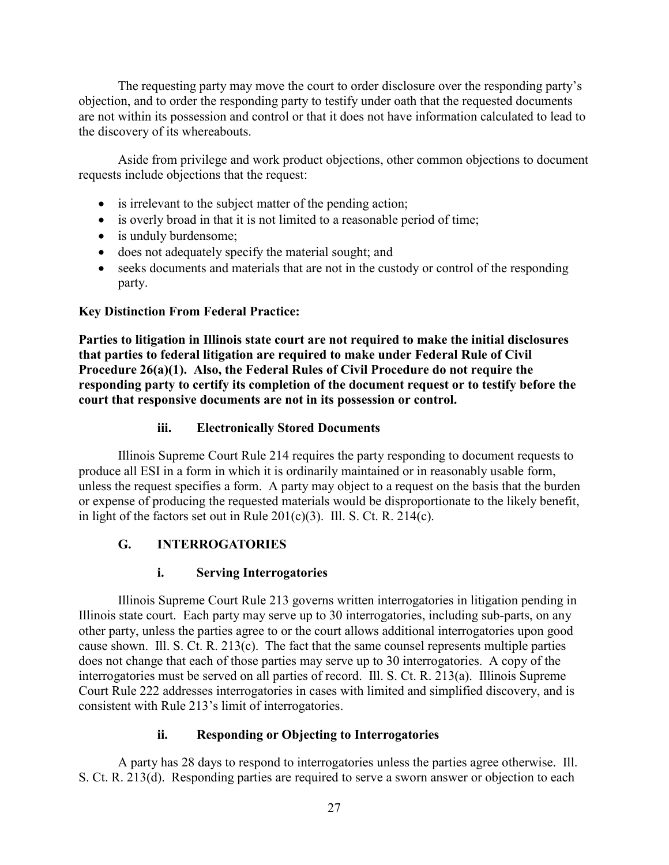The requesting party may move the court to order disclosure over the responding party's objection, and to order the responding party to testify under oath that the requested documents are not within its possession and control or that it does not have information calculated to lead to the discovery of its whereabouts.

Aside from privilege and work product objections, other common objections to document requests include objections that the request:

- is irrelevant to the subject matter of the pending action;
- is overly broad in that it is not limited to a reasonable period of time;
- is unduly burdensome;
- does not adequately specify the material sought; and
- seeks documents and materials that are not in the custody or control of the responding party.

## **Key Distinction From Federal Practice:**

**Parties to litigation in Illinois state court are not required to make the initial disclosures that parties to federal litigation are required to make under Federal Rule of Civil Procedure 26(a)(1). Also, the Federal Rules of Civil Procedure do not require the responding party to certify its completion of the document request or to testify before the court that responsive documents are not in its possession or control.**

## **iii. Electronically Stored Documents**

Illinois Supreme Court Rule 214 requires the party responding to document requests to produce all ESI in a form in which it is ordinarily maintained or in reasonably usable form, unless the request specifies a form. A party may object to a request on the basis that the burden or expense of producing the requested materials would be disproportionate to the likely benefit, in light of the factors set out in Rule  $201(c)(3)$ . Ill. S. Ct. R. 214(c).

# **G. INTERROGATORIES**

# **i. Serving Interrogatories**

Illinois Supreme Court Rule 213 governs written interrogatories in litigation pending in Illinois state court. Each party may serve up to 30 interrogatories, including sub-parts, on any other party, unless the parties agree to or the court allows additional interrogatories upon good cause shown. Ill. S. Ct. R. 213(c). The fact that the same counsel represents multiple parties does not change that each of those parties may serve up to 30 interrogatories. A copy of the interrogatories must be served on all parties of record. Ill. S. Ct. R. 213(a). Illinois Supreme Court Rule 222 addresses interrogatories in cases with limited and simplified discovery, and is consistent with Rule 213's limit of interrogatories.

## **ii. Responding or Objecting to Interrogatories**

A party has 28 days to respond to interrogatories unless the parties agree otherwise. Ill. S. Ct. R. 213(d). Responding parties are required to serve a sworn answer or objection to each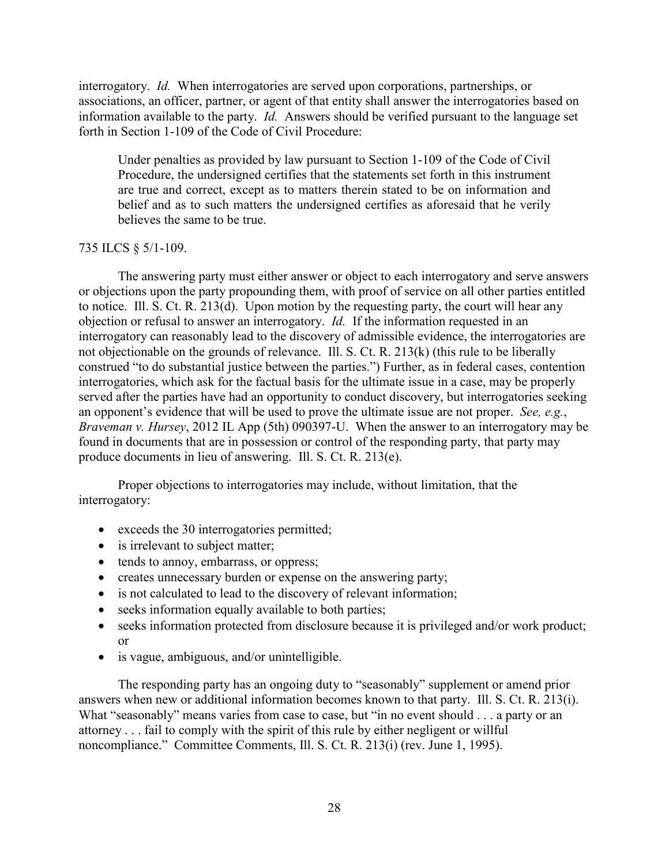interrogatory. *Id.* When interrogatories are served upon corporations, partnerships, or associations, an officer, partner, or agent of that entity shall answer the interrogatories based on information available to the party. *Id.* Answers should be verified pursuant to the language set forth in Section 1-109 of the Code of Civil Procedure:

Under penalties as provided by law pursuant to Section 1-109 of the Code of Civil Procedure, the undersigned certifies that the statements set forth in this instrument are true and correct, except as to matters therein stated to be on information and belief and as to such matters the undersigned certifies as aforesaid that he verily believes the same to be true.

#### 735 ILCS § 5/1-109.

The answering party must either answer or object to each interrogatory and serve answers or objections upon the party propounding them, with proof of service on all other parties entitled to notice. Ill. S. Ct. R. 213(d). Upon motion by the requesting party, the court will hear any objection or refusal to answer an interrogatory. *Id.* If the information requested in an interrogatory can reasonably lead to the discovery of admissible evidence, the interrogatories are not objectionable on the grounds of relevance. Ill. S. Ct. R. 213(k) (this rule to be liberally construed "to do substantial justice between the parties.") Further, as in federal cases, contention interrogatories, which ask for the factual basis for the ultimate issue in a case, may be properly served after the parties have had an opportunity to conduct discovery, but interrogatories seeking an opponent's evidence that will be used to prove the ultimate issue are not proper. *See, e.g.*, *Braveman v. Hursey*, 2012 IL App (5th) 090397-U. When the answer to an interrogatory may be found in documents that are in possession or control of the responding party, that party may produce documents in lieu of answering. Ill. S. Ct. R. 213(e).

Proper objections to interrogatories may include, without limitation, that the interrogatory:

- exceeds the 30 interrogatories permitted;
- is irrelevant to subject matter;
- tends to annoy, embarrass, or oppress;
- creates unnecessary burden or expense on the answering party;
- is not calculated to lead to the discovery of relevant information;
- seeks information equally available to both parties;
- seeks information protected from disclosure because it is privileged and/or work product; or
- is vague, ambiguous, and/or unintelligible.

The responding party has an ongoing duty to "seasonably" supplement or amend prior answers when new or additional information becomes known to that party. Ill. S. Ct. R. 213(i). What "seasonably" means varies from case to case, but "in no event should . . . a party or an attorney . . . fail to comply with the spirit of this rule by either negligent or willful noncompliance." Committee Comments, Ill. S. Ct. R. 213(i) (rev. June 1, 1995).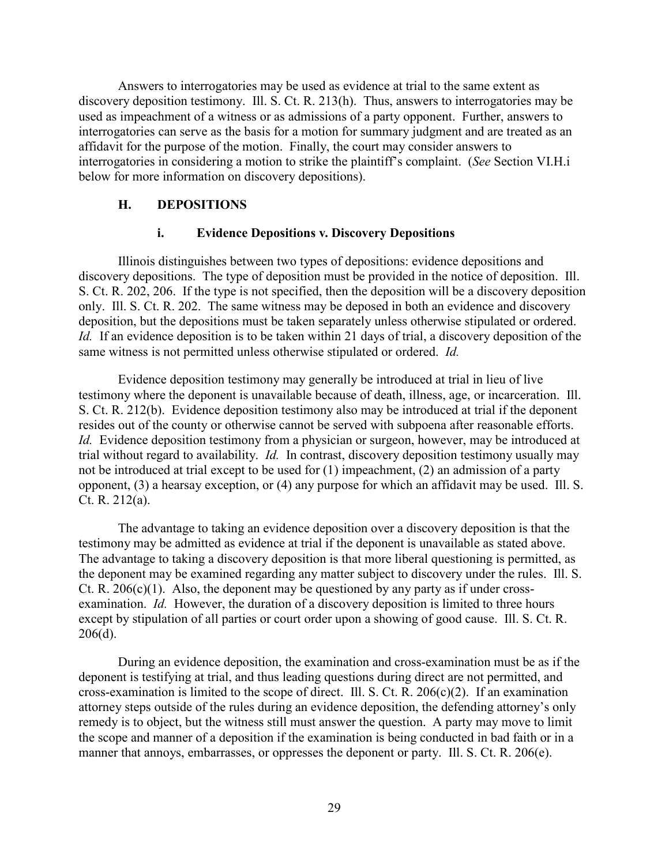Answers to interrogatories may be used as evidence at trial to the same extent as discovery deposition testimony. Ill. S. Ct. R. 213(h). Thus, answers to interrogatories may be used as impeachment of a witness or as admissions of a party opponent. Further, answers to interrogatories can serve as the basis for a motion for summary judgment and are treated as an affidavit for the purpose of the motion. Finally, the court may consider answers to interrogatories in considering a motion to strike the plaintiff's complaint. (*See* Section VI.H.i below for more information on discovery depositions).

#### **H. DEPOSITIONS**

#### **i. Evidence Depositions v. Discovery Depositions**

Illinois distinguishes between two types of depositions: evidence depositions and discovery depositions. The type of deposition must be provided in the notice of deposition. Ill. S. Ct. R. 202, 206. If the type is not specified, then the deposition will be a discovery deposition only. Ill. S. Ct. R. 202. The same witness may be deposed in both an evidence and discovery deposition, but the depositions must be taken separately unless otherwise stipulated or ordered. *Id.* If an evidence deposition is to be taken within 21 days of trial, a discovery deposition of the same witness is not permitted unless otherwise stipulated or ordered. *Id.*

Evidence deposition testimony may generally be introduced at trial in lieu of live testimony where the deponent is unavailable because of death, illness, age, or incarceration. Ill. S. Ct. R. 212(b). Evidence deposition testimony also may be introduced at trial if the deponent resides out of the county or otherwise cannot be served with subpoena after reasonable efforts. *Id.* Evidence deposition testimony from a physician or surgeon, however, may be introduced at trial without regard to availability. *Id.* In contrast, discovery deposition testimony usually may not be introduced at trial except to be used for (1) impeachment, (2) an admission of a party opponent, (3) a hearsay exception, or (4) any purpose for which an affidavit may be used. Ill. S. Ct. R. 212(a).

The advantage to taking an evidence deposition over a discovery deposition is that the testimony may be admitted as evidence at trial if the deponent is unavailable as stated above. The advantage to taking a discovery deposition is that more liberal questioning is permitted, as the deponent may be examined regarding any matter subject to discovery under the rules. Ill. S. Ct. R.  $206(c)(1)$ . Also, the deponent may be questioned by any party as if under crossexamination. *Id.* However, the duration of a discovery deposition is limited to three hours except by stipulation of all parties or court order upon a showing of good cause. Ill. S. Ct. R. 206(d).

During an evidence deposition, the examination and cross-examination must be as if the deponent is testifying at trial, and thus leading questions during direct are not permitted, and cross-examination is limited to the scope of direct. Ill. S. Ct. R.  $206(c)(2)$ . If an examination attorney steps outside of the rules during an evidence deposition, the defending attorney's only remedy is to object, but the witness still must answer the question. A party may move to limit the scope and manner of a deposition if the examination is being conducted in bad faith or in a manner that annoys, embarrasses, or oppresses the deponent or party. Ill. S. Ct. R. 206(e).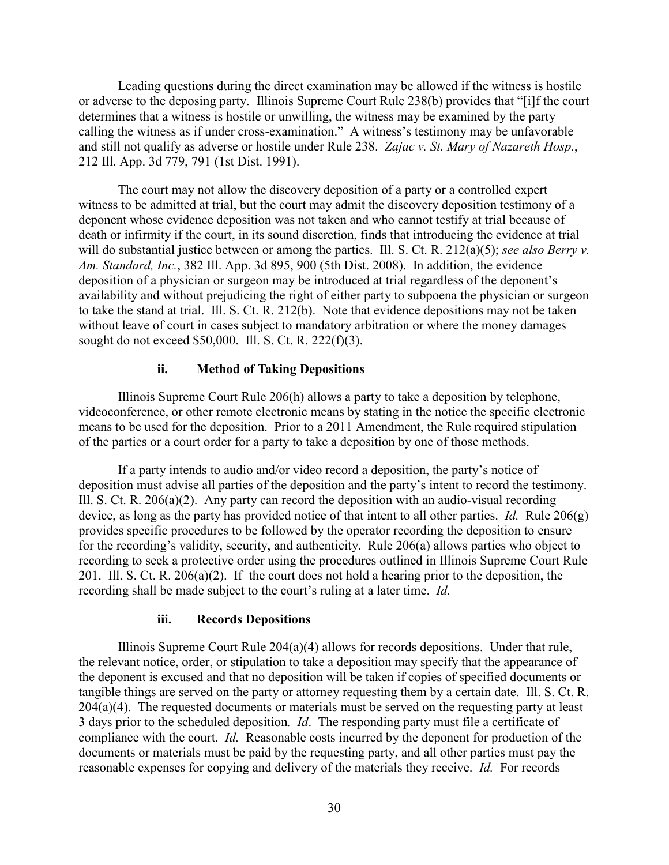Leading questions during the direct examination may be allowed if the witness is hostile or adverse to the deposing party. Illinois Supreme Court Rule 238(b) provides that "[i]f the court determines that a witness is hostile or unwilling, the witness may be examined by the party calling the witness as if under cross-examination." A witness's testimony may be unfavorable and still not qualify as adverse or hostile under Rule 238. *Zajac v. St. Mary of Nazareth Hosp.*, 212 Ill. App. 3d 779, 791 (1st Dist. 1991).

The court may not allow the discovery deposition of a party or a controlled expert witness to be admitted at trial, but the court may admit the discovery deposition testimony of a deponent whose evidence deposition was not taken and who cannot testify at trial because of death or infirmity if the court, in its sound discretion, finds that introducing the evidence at trial will do substantial justice between or among the parties. Ill. S. Ct. R. 212(a)(5); *see also Berry v. Am. Standard, Inc.*, 382 Ill. App. 3d 895, 900 (5th Dist. 2008). In addition, the evidence deposition of a physician or surgeon may be introduced at trial regardless of the deponent's availability and without prejudicing the right of either party to subpoena the physician or surgeon to take the stand at trial. Ill. S. Ct. R. 212(b). Note that evidence depositions may not be taken without leave of court in cases subject to mandatory arbitration or where the money damages sought do not exceed \$50,000. Ill. S. Ct. R. 222(f)(3).

## **ii. Method of Taking Depositions**

Illinois Supreme Court Rule 206(h) allows a party to take a deposition by telephone, videoconference, or other remote electronic means by stating in the notice the specific electronic means to be used for the deposition. Prior to a 2011 Amendment, the Rule required stipulation of the parties or a court order for a party to take a deposition by one of those methods.

If a party intends to audio and/or video record a deposition, the party's notice of deposition must advise all parties of the deposition and the party's intent to record the testimony. Ill. S. Ct. R. 206(a)(2). Any party can record the deposition with an audio-visual recording device, as long as the party has provided notice of that intent to all other parties. *Id.* Rule 206(g) provides specific procedures to be followed by the operator recording the deposition to ensure for the recording's validity, security, and authenticity. Rule 206(a) allows parties who object to recording to seek a protective order using the procedures outlined in Illinois Supreme Court Rule 201. Ill. S. Ct. R. 206(a)(2).If the court does not hold a hearing prior to the deposition, the recording shall be made subject to the court's ruling at a later time. *Id.*

#### **iii. Records Depositions**

Illinois Supreme Court Rule 204(a)(4) allows for records depositions. Under that rule, the relevant notice, order, or stipulation to take a deposition may specify that the appearance of the deponent is excused and that no deposition will be taken if copies of specified documents or tangible things are served on the party or attorney requesting them by a certain date. Ill. S. Ct. R.  $204(a)(4)$ . The requested documents or materials must be served on the requesting party at least 3 days prior to the scheduled deposition*. Id*. The responding party must file a certificate of compliance with the court. *Id.* Reasonable costs incurred by the deponent for production of the documents or materials must be paid by the requesting party, and all other parties must pay the reasonable expenses for copying and delivery of the materials they receive. *Id.* For records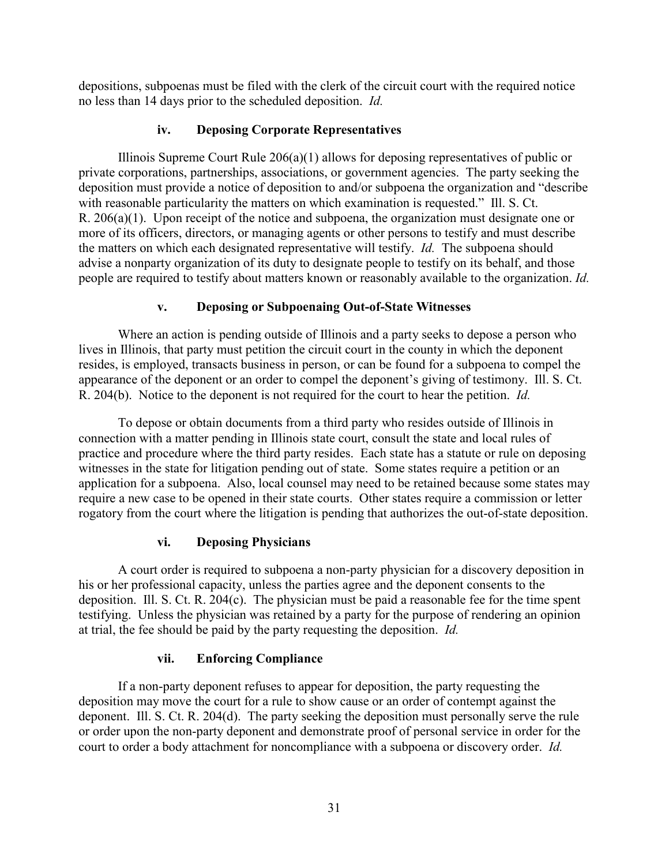depositions, subpoenas must be filed with the clerk of the circuit court with the required notice no less than 14 days prior to the scheduled deposition. *Id.* 

# **iv. Deposing Corporate Representatives**

Illinois Supreme Court Rule 206(a)(1) allows for deposing representatives of public or private corporations, partnerships, associations, or government agencies. The party seeking the deposition must provide a notice of deposition to and/or subpoena the organization and "describe with reasonable particularity the matters on which examination is requested." Ill. S. Ct. R. 206(a)(1). Upon receipt of the notice and subpoena, the organization must designate one or more of its officers, directors, or managing agents or other persons to testify and must describe the matters on which each designated representative will testify. *Id.* The subpoena should advise a nonparty organization of its duty to designate people to testify on its behalf, and those people are required to testify about matters known or reasonably available to the organization. *Id.*

# **v. Deposing or Subpoenaing Out-of-State Witnesses**

Where an action is pending outside of Illinois and a party seeks to depose a person who lives in Illinois, that party must petition the circuit court in the county in which the deponent resides, is employed, transacts business in person, or can be found for a subpoena to compel the appearance of the deponent or an order to compel the deponent's giving of testimony. Ill. S. Ct. R. 204(b). Notice to the deponent is not required for the court to hear the petition. *Id.*

To depose or obtain documents from a third party who resides outside of Illinois in connection with a matter pending in Illinois state court, consult the state and local rules of practice and procedure where the third party resides. Each state has a statute or rule on deposing witnesses in the state for litigation pending out of state. Some states require a petition or an application for a subpoena. Also, local counsel may need to be retained because some states may require a new case to be opened in their state courts. Other states require a commission or letter rogatory from the court where the litigation is pending that authorizes the out-of-state deposition.

# **vi. Deposing Physicians**

A court order is required to subpoena a non-party physician for a discovery deposition in his or her professional capacity, unless the parties agree and the deponent consents to the deposition. Ill. S. Ct. R. 204(c). The physician must be paid a reasonable fee for the time spent testifying. Unless the physician was retained by a party for the purpose of rendering an opinion at trial, the fee should be paid by the party requesting the deposition. *Id.*

# **vii. Enforcing Compliance**

If a non-party deponent refuses to appear for deposition, the party requesting the deposition may move the court for a rule to show cause or an order of contempt against the deponent. Ill. S. Ct. R. 204(d). The party seeking the deposition must personally serve the rule or order upon the non-party deponent and demonstrate proof of personal service in order for the court to order a body attachment for noncompliance with a subpoena or discovery order. *Id.*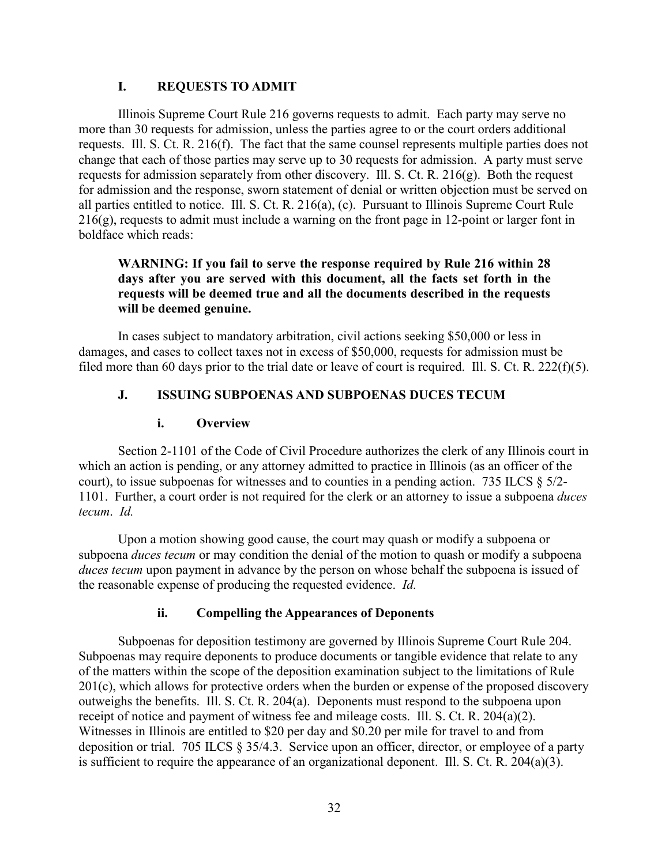## **I. REQUESTS TO ADMIT**

Illinois Supreme Court Rule 216 governs requests to admit. Each party may serve no more than 30 requests for admission, unless the parties agree to or the court orders additional requests. Ill. S. Ct. R. 216(f). The fact that the same counsel represents multiple parties does not change that each of those parties may serve up to 30 requests for admission. A party must serve requests for admission separately from other discovery. Ill. S. Ct. R. 216(g). Both the request for admission and the response, sworn statement of denial or written objection must be served on all parties entitled to notice. Ill. S. Ct. R. 216(a), (c). Pursuant to Illinois Supreme Court Rule 216(g), requests to admit must include a warning on the front page in 12-point or larger font in boldface which reads:

### **WARNING: If you fail to serve the response required by Rule 216 within 28 days after you are served with this document, all the facts set forth in the requests will be deemed true and all the documents described in the requests will be deemed genuine.**

In cases subject to mandatory arbitration, civil actions seeking \$50,000 or less in damages, and cases to collect taxes not in excess of \$50,000, requests for admission must be filed more than 60 days prior to the trial date or leave of court is required. Ill. S. Ct. R. 222(f)(5).

## **J. ISSUING SUBPOENAS AND SUBPOENAS DUCES TECUM**

#### **i. Overview**

Section 2-1101 of the Code of Civil Procedure authorizes the clerk of any Illinois court in which an action is pending, or any attorney admitted to practice in Illinois (as an officer of the court), to issue subpoenas for witnesses and to counties in a pending action. 735 ILCS  $\S$  5/2-1101. Further, a court order is not required for the clerk or an attorney to issue a subpoena *duces tecum*. *Id.*

Upon a motion showing good cause, the court may quash or modify a subpoena or subpoena *duces tecum* or may condition the denial of the motion to quash or modify a subpoena *duces tecum* upon payment in advance by the person on whose behalf the subpoena is issued of the reasonable expense of producing the requested evidence. *Id.*

#### **ii. Compelling the Appearances of Deponents**

Subpoenas for deposition testimony are governed by Illinois Supreme Court Rule 204. Subpoenas may require deponents to produce documents or tangible evidence that relate to any of the matters within the scope of the deposition examination subject to the limitations of Rule  $201(c)$ , which allows for protective orders when the burden or expense of the proposed discovery outweighs the benefits. Ill. S. Ct. R. 204(a). Deponents must respond to the subpoena upon receipt of notice and payment of witness fee and mileage costs. Ill. S. Ct. R. 204(a)(2). Witnesses in Illinois are entitled to \$20 per day and \$0.20 per mile for travel to and from deposition or trial. 705 ILCS § 35/4.3. Service upon an officer, director, or employee of a party is sufficient to require the appearance of an organizational deponent. Ill. S. Ct. R. 204(a)(3).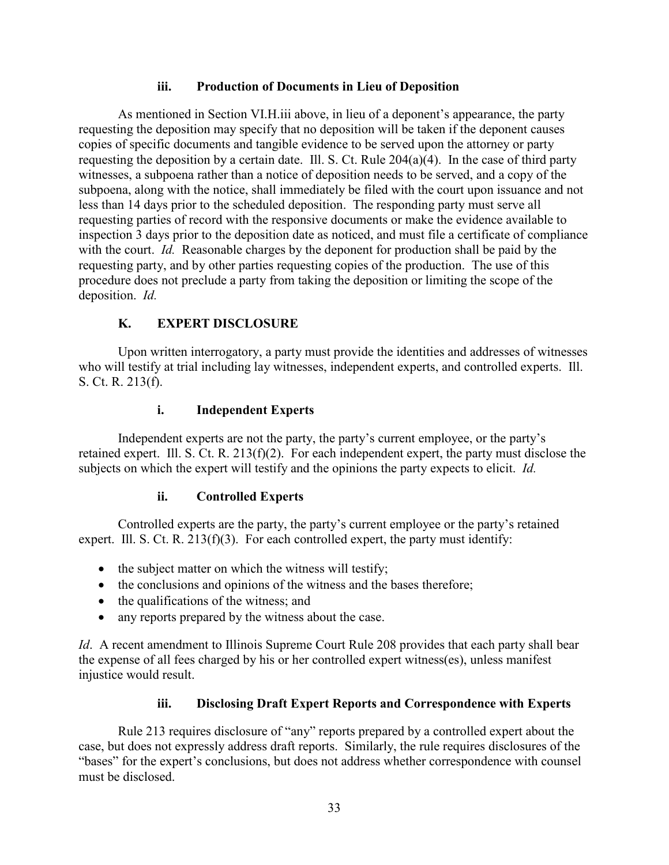## **iii. Production of Documents in Lieu of Deposition**

As mentioned in Section VI.H.iii above, in lieu of a deponent's appearance, the party requesting the deposition may specify that no deposition will be taken if the deponent causes copies of specific documents and tangible evidence to be served upon the attorney or party requesting the deposition by a certain date. Ill. S. Ct. Rule 204(a)(4). In the case of third party witnesses, a subpoena rather than a notice of deposition needs to be served, and a copy of the subpoena, along with the notice, shall immediately be filed with the court upon issuance and not less than 14 days prior to the scheduled deposition. The responding party must serve all requesting parties of record with the responsive documents or make the evidence available to inspection 3 days prior to the deposition date as noticed, and must file a certificate of compliance with the court. *Id.* Reasonable charges by the deponent for production shall be paid by the requesting party, and by other parties requesting copies of the production. The use of this procedure does not preclude a party from taking the deposition or limiting the scope of the deposition. *Id.*

## **K. EXPERT DISCLOSURE**

Upon written interrogatory, a party must provide the identities and addresses of witnesses who will testify at trial including lay witnesses, independent experts, and controlled experts. Ill. S. Ct. R. 213(f).

## **i. Independent Experts**

Independent experts are not the party, the party's current employee, or the party's retained expert. Ill. S. Ct. R. 213(f)(2). For each independent expert, the party must disclose the subjects on which the expert will testify and the opinions the party expects to elicit. *Id.*

## **ii. Controlled Experts**

Controlled experts are the party, the party's current employee or the party's retained expert. Ill. S. Ct. R.  $213(f)(3)$ . For each controlled expert, the party must identify:

- the subject matter on which the witness will testify;
- the conclusions and opinions of the witness and the bases therefore;
- the qualifications of the witness; and
- any reports prepared by the witness about the case.

*Id.* A recent amendment to Illinois Supreme Court Rule 208 provides that each party shall bear the expense of all fees charged by his or her controlled expert witness(es), unless manifest injustice would result.

## **iii. Disclosing Draft Expert Reports and Correspondence with Experts**

Rule 213 requires disclosure of "any" reports prepared by a controlled expert about the case, but does not expressly address draft reports. Similarly, the rule requires disclosures of the "bases" for the expert's conclusions, but does not address whether correspondence with counsel must be disclosed.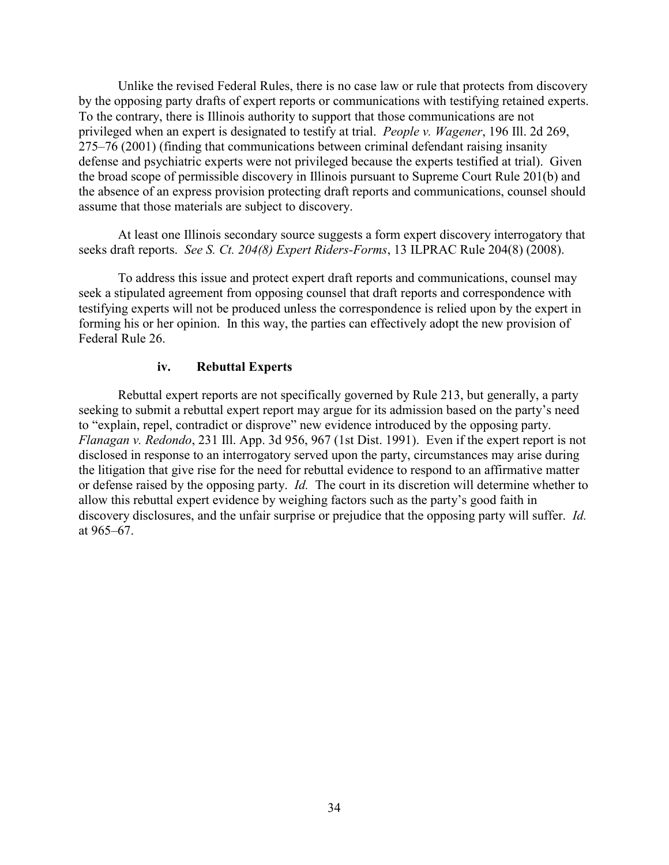Unlike the revised Federal Rules, there is no case law or rule that protects from discovery by the opposing party drafts of expert reports or communications with testifying retained experts. To the contrary, there is Illinois authority to support that those communications are not privileged when an expert is designated to testify at trial. *People v. Wagener*, 196 Ill. 2d 269, 275–76 (2001) (finding that communications between criminal defendant raising insanity defense and psychiatric experts were not privileged because the experts testified at trial). Given the broad scope of permissible discovery in Illinois pursuant to Supreme Court Rule 201(b) and the absence of an express provision protecting draft reports and communications, counsel should assume that those materials are subject to discovery.

At least one Illinois secondary source suggests a form expert discovery interrogatory that seeks draft reports. *See S. Ct. 204(8) Expert Riders-Forms*, 13 ILPRAC Rule 204(8) (2008).

To address this issue and protect expert draft reports and communications, counsel may seek a stipulated agreement from opposing counsel that draft reports and correspondence with testifying experts will not be produced unless the correspondence is relied upon by the expert in forming his or her opinion. In this way, the parties can effectively adopt the new provision of Federal Rule 26.

#### **iv. Rebuttal Experts**

Rebuttal expert reports are not specifically governed by Rule 213, but generally, a party seeking to submit a rebuttal expert report may argue for its admission based on the party's need to "explain, repel, contradict or disprove" new evidence introduced by the opposing party. *Flanagan v. Redondo*, 231 Ill. App. 3d 956, 967 (1st Dist. 1991). Even if the expert report is not disclosed in response to an interrogatory served upon the party, circumstances may arise during the litigation that give rise for the need for rebuttal evidence to respond to an affirmative matter or defense raised by the opposing party. *Id.* The court in its discretion will determine whether to allow this rebuttal expert evidence by weighing factors such as the party's good faith in discovery disclosures, and the unfair surprise or prejudice that the opposing party will suffer. *Id.* at 965–67.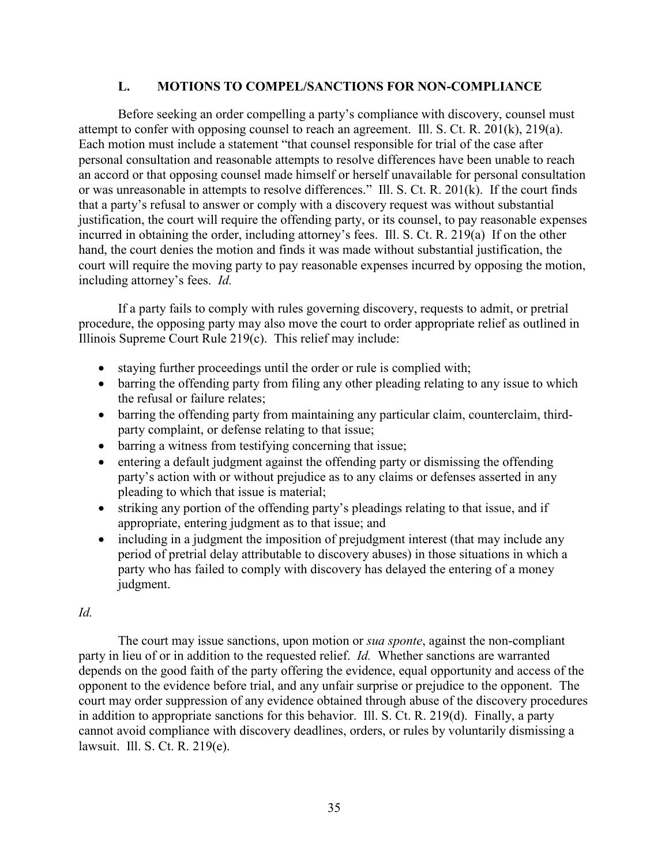#### **L. MOTIONS TO COMPEL/SANCTIONS FOR NON-COMPLIANCE**

Before seeking an order compelling a party's compliance with discovery, counsel must attempt to confer with opposing counsel to reach an agreement. Ill. S. Ct. R. 201(k), 219(a). Each motion must include a statement "that counsel responsible for trial of the case after personal consultation and reasonable attempts to resolve differences have been unable to reach an accord or that opposing counsel made himself or herself unavailable for personal consultation or was unreasonable in attempts to resolve differences." Ill. S. Ct. R. 201(k). If the court finds that a party's refusal to answer or comply with a discovery request was without substantial justification, the court will require the offending party, or its counsel, to pay reasonable expenses incurred in obtaining the order, including attorney's fees. Ill. S. Ct. R. 219(a) If on the other hand, the court denies the motion and finds it was made without substantial justification, the court will require the moving party to pay reasonable expenses incurred by opposing the motion, including attorney's fees. *Id.*

If a party fails to comply with rules governing discovery, requests to admit, or pretrial procedure, the opposing party may also move the court to order appropriate relief as outlined in Illinois Supreme Court Rule 219(c). This relief may include:

- staying further proceedings until the order or rule is complied with;
- barring the offending party from filing any other pleading relating to any issue to which the refusal or failure relates;
- barring the offending party from maintaining any particular claim, counterclaim, thirdparty complaint, or defense relating to that issue;
- barring a witness from testifying concerning that issue;
- entering a default judgment against the offending party or dismissing the offending party's action with or without prejudice as to any claims or defenses asserted in any pleading to which that issue is material;
- striking any portion of the offending party's pleadings relating to that issue, and if appropriate, entering judgment as to that issue; and
- including in a judgment the imposition of prejudgment interest (that may include any period of pretrial delay attributable to discovery abuses) in those situations in which a party who has failed to comply with discovery has delayed the entering of a money judgment.

#### *Id.*

The court may issue sanctions, upon motion or *sua sponte*, against the non-compliant party in lieu of or in addition to the requested relief. *Id.* Whether sanctions are warranted depends on the good faith of the party offering the evidence, equal opportunity and access of the opponent to the evidence before trial, and any unfair surprise or prejudice to the opponent. The court may order suppression of any evidence obtained through abuse of the discovery procedures in addition to appropriate sanctions for this behavior. Ill. S. Ct. R. 219(d). Finally, a party cannot avoid compliance with discovery deadlines, orders, or rules by voluntarily dismissing a lawsuit. Ill. S. Ct. R. 219(e).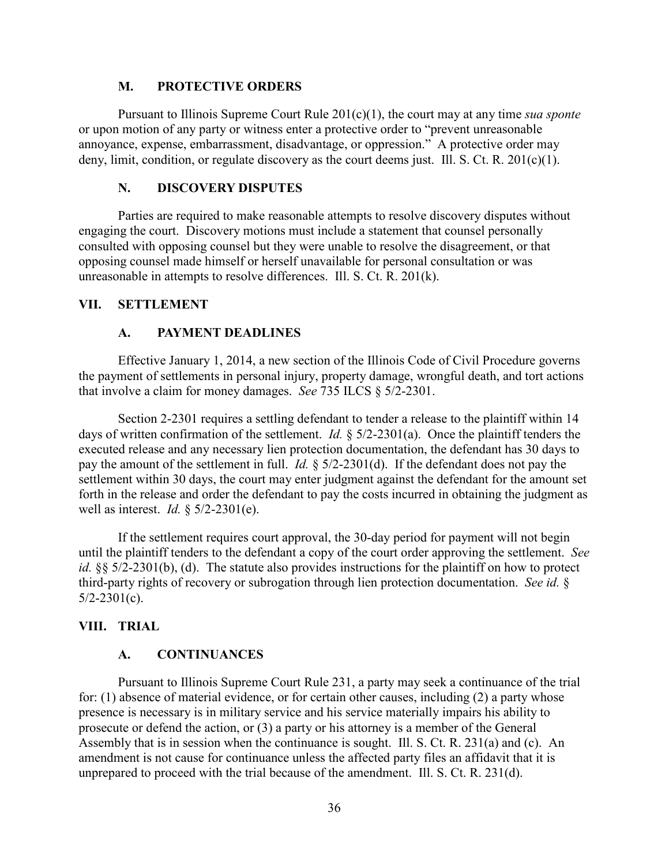#### **M. PROTECTIVE ORDERS**

Pursuant to Illinois Supreme Court Rule 201(c)(1), the court may at any time *sua sponte* or upon motion of any party or witness enter a protective order to "prevent unreasonable annoyance, expense, embarrassment, disadvantage, or oppression." A protective order may deny, limit, condition, or regulate discovery as the court deems just. Ill. S. Ct. R. 201(c)(1).

#### **N. DISCOVERY DISPUTES**

Parties are required to make reasonable attempts to resolve discovery disputes without engaging the court. Discovery motions must include a statement that counsel personally consulted with opposing counsel but they were unable to resolve the disagreement, or that opposing counsel made himself or herself unavailable for personal consultation or was unreasonable in attempts to resolve differences. Ill. S. Ct. R. 201(k).

#### **VII. SETTLEMENT**

#### **A. PAYMENT DEADLINES**

Effective January 1, 2014, a new section of the Illinois Code of Civil Procedure governs the payment of settlements in personal injury, property damage, wrongful death, and tort actions that involve a claim for money damages. *See* 735 ILCS § 5/2-2301.

Section 2-2301 requires a settling defendant to tender a release to the plaintiff within 14 days of written confirmation of the settlement. *Id.* § 5/2-2301(a). Once the plaintiff tenders the executed release and any necessary lien protection documentation, the defendant has 30 days to pay the amount of the settlement in full. *Id.* § 5/2-2301(d). If the defendant does not pay the settlement within 30 days, the court may enter judgment against the defendant for the amount set forth in the release and order the defendant to pay the costs incurred in obtaining the judgment as well as interest. *Id.* § 5/2-2301(e).

If the settlement requires court approval, the 30-day period for payment will not begin until the plaintiff tenders to the defendant a copy of the court order approving the settlement. *See id.* §§ 5/2-2301(b), (d). The statute also provides instructions for the plaintiff on how to protect third-party rights of recovery or subrogation through lien protection documentation. *See id.* §  $5/2 - 2301(c)$ .

#### **VIII. TRIAL**

#### **A. CONTINUANCES**

Pursuant to Illinois Supreme Court Rule 231, a party may seek a continuance of the trial for: (1) absence of material evidence, or for certain other causes, including (2) a party whose presence is necessary is in military service and his service materially impairs his ability to prosecute or defend the action, or (3) a party or his attorney is a member of the General Assembly that is in session when the continuance is sought. Ill. S. Ct. R. 231(a) and (c). An amendment is not cause for continuance unless the affected party files an affidavit that it is unprepared to proceed with the trial because of the amendment. Ill. S. Ct. R. 231(d).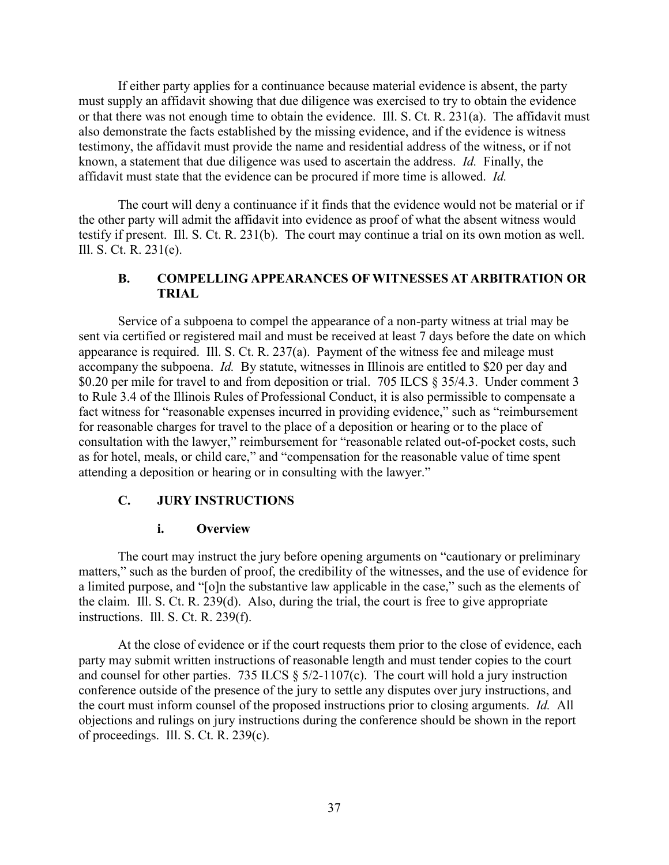If either party applies for a continuance because material evidence is absent, the party must supply an affidavit showing that due diligence was exercised to try to obtain the evidence or that there was not enough time to obtain the evidence. Ill. S. Ct. R. 231(a). The affidavit must also demonstrate the facts established by the missing evidence, and if the evidence is witness testimony, the affidavit must provide the name and residential address of the witness, or if not known, a statement that due diligence was used to ascertain the address. *Id.* Finally, the affidavit must state that the evidence can be procured if more time is allowed. *Id.*

The court will deny a continuance if it finds that the evidence would not be material or if the other party will admit the affidavit into evidence as proof of what the absent witness would testify if present. Ill. S. Ct. R. 231(b). The court may continue a trial on its own motion as well. Ill. S. Ct. R. 231(e).

## **B. COMPELLING APPEARANCES OF WITNESSES AT ARBITRATION OR TRIAL**

Service of a subpoena to compel the appearance of a non-party witness at trial may be sent via certified or registered mail and must be received at least 7 days before the date on which appearance is required. Ill. S. Ct. R. 237(a). Payment of the witness fee and mileage must accompany the subpoena. *Id.* By statute, witnesses in Illinois are entitled to \$20 per day and \$0.20 per mile for travel to and from deposition or trial. 705 ILCS § 35/4.3. Under comment 3 to Rule 3.4 of the Illinois Rules of Professional Conduct, it is also permissible to compensate a fact witness for "reasonable expenses incurred in providing evidence," such as "reimbursement for reasonable charges for travel to the place of a deposition or hearing or to the place of consultation with the lawyer," reimbursement for "reasonable related out-of-pocket costs, such as for hotel, meals, or child care," and "compensation for the reasonable value of time spent attending a deposition or hearing or in consulting with the lawyer."

#### **C. JURY INSTRUCTIONS**

#### **i. Overview**

The court may instruct the jury before opening arguments on "cautionary or preliminary matters," such as the burden of proof, the credibility of the witnesses, and the use of evidence for a limited purpose, and "[o]n the substantive law applicable in the case," such as the elements of the claim. Ill. S. Ct. R. 239(d). Also, during the trial, the court is free to give appropriate instructions. Ill. S. Ct. R. 239(f).

At the close of evidence or if the court requests them prior to the close of evidence, each party may submit written instructions of reasonable length and must tender copies to the court and counsel for other parties. 735 ILCS  $\S$  5/2-1107(c). The court will hold a jury instruction conference outside of the presence of the jury to settle any disputes over jury instructions, and the court must inform counsel of the proposed instructions prior to closing arguments. *Id.* All objections and rulings on jury instructions during the conference should be shown in the report of proceedings. Ill. S. Ct. R. 239(c).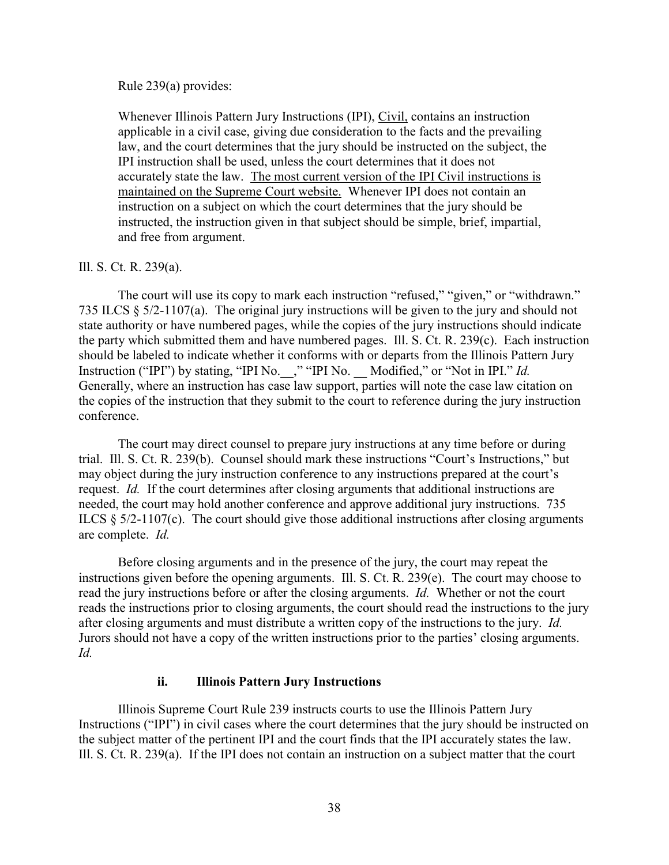Rule 239(a) provides:

Whenever Illinois Pattern Jury Instructions (IPI), Civil, contains an instruction applicable in a civil case, giving due consideration to the facts and the prevailing law, and the court determines that the jury should be instructed on the subject, the IPI instruction shall be used, unless the court determines that it does not accurately state the law. The most current version of the IPI Civil instructions is maintained on the Supreme Court website. Whenever IPI does not contain an instruction on a subject on which the court determines that the jury should be instructed, the instruction given in that subject should be simple, brief, impartial, and free from argument.

#### Ill. S. Ct. R. 239(a).

The court will use its copy to mark each instruction "refused," "given," or "withdrawn." 735 ILCS § 5/2-1107(a). The original jury instructions will be given to the jury and should not state authority or have numbered pages, while the copies of the jury instructions should indicate the party which submitted them and have numbered pages. Ill. S. Ct. R. 239(c). Each instruction should be labeled to indicate whether it conforms with or departs from the Illinois Pattern Jury Instruction ("IPI") by stating, "IPI No.\_\_," "IPI No. \_\_ Modified," or "Not in IPI." *Id.* Generally, where an instruction has case law support, parties will note the case law citation on the copies of the instruction that they submit to the court to reference during the jury instruction conference.

The court may direct counsel to prepare jury instructions at any time before or during trial. Ill. S. Ct. R. 239(b). Counsel should mark these instructions "Court's Instructions," but may object during the jury instruction conference to any instructions prepared at the court's request. *Id.* If the court determines after closing arguments that additional instructions are needed, the court may hold another conference and approve additional jury instructions. 735 ILCS § 5/2-1107(c). The court should give those additional instructions after closing arguments are complete. *Id.*

Before closing arguments and in the presence of the jury, the court may repeat the instructions given before the opening arguments. Ill. S. Ct. R. 239(e). The court may choose to read the jury instructions before or after the closing arguments. *Id.* Whether or not the court reads the instructions prior to closing arguments, the court should read the instructions to the jury after closing arguments and must distribute a written copy of the instructions to the jury. *Id.* Jurors should not have a copy of the written instructions prior to the parties' closing arguments. *Id.*

#### **ii. Illinois Pattern Jury Instructions**

Illinois Supreme Court Rule 239 instructs courts to use the Illinois Pattern Jury Instructions ("IPI") in civil cases where the court determines that the jury should be instructed on the subject matter of the pertinent IPI and the court finds that the IPI accurately states the law. Ill. S. Ct. R. 239(a). If the IPI does not contain an instruction on a subject matter that the court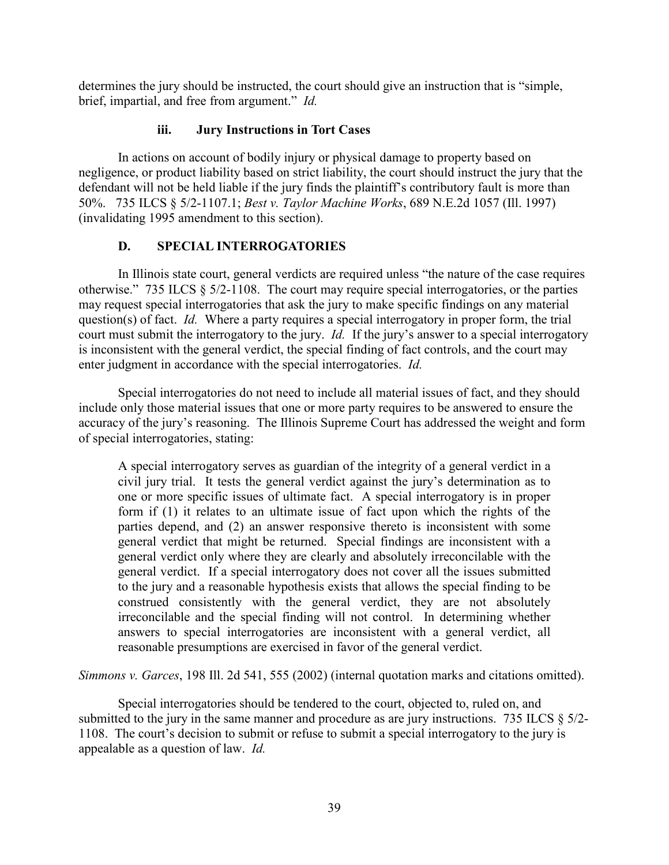determines the jury should be instructed, the court should give an instruction that is "simple, brief, impartial, and free from argument." *Id.*

## **iii. Jury Instructions in Tort Cases**

In actions on account of bodily injury or physical damage to property based on negligence, or product liability based on strict liability, the court should instruct the jury that the defendant will not be held liable if the jury finds the plaintiff's contributory fault is more than 50%. 735 ILCS § 5/2-1107.1; *Best v. Taylor Machine Works*, 689 N.E.2d 1057 (Ill. 1997) (invalidating 1995 amendment to this section).

# **D. SPECIAL INTERROGATORIES**

In Illinois state court, general verdicts are required unless "the nature of the case requires otherwise." 735 ILCS § 5/2-1108. The court may require special interrogatories, or the parties may request special interrogatories that ask the jury to make specific findings on any material question(s) of fact. *Id.* Where a party requires a special interrogatory in proper form, the trial court must submit the interrogatory to the jury. *Id.* If the jury's answer to a special interrogatory is inconsistent with the general verdict, the special finding of fact controls, and the court may enter judgment in accordance with the special interrogatories. *Id.*

Special interrogatories do not need to include all material issues of fact, and they should include only those material issues that one or more party requires to be answered to ensure the accuracy of the jury's reasoning. The Illinois Supreme Court has addressed the weight and form of special interrogatories, stating:

A special interrogatory serves as guardian of the integrity of a general verdict in a civil jury trial. It tests the general verdict against the jury's determination as to one or more specific issues of ultimate fact. A special interrogatory is in proper form if (1) it relates to an ultimate issue of fact upon which the rights of the parties depend, and (2) an answer responsive thereto is inconsistent with some general verdict that might be returned. Special findings are inconsistent with a general verdict only where they are clearly and absolutely irreconcilable with the general verdict. If a special interrogatory does not cover all the issues submitted to the jury and a reasonable hypothesis exists that allows the special finding to be construed consistently with the general verdict, they are not absolutely irreconcilable and the special finding will not control. In determining whether answers to special interrogatories are inconsistent with a general verdict, all reasonable presumptions are exercised in favor of the general verdict.

*Simmons v. Garces*, 198 Ill. 2d 541, 555 (2002) (internal quotation marks and citations omitted).

Special interrogatories should be tendered to the court, objected to, ruled on, and submitted to the jury in the same manner and procedure as are jury instructions. 735 ILCS § 5/2-1108. The court's decision to submit or refuse to submit a special interrogatory to the jury is appealable as a question of law. *Id.*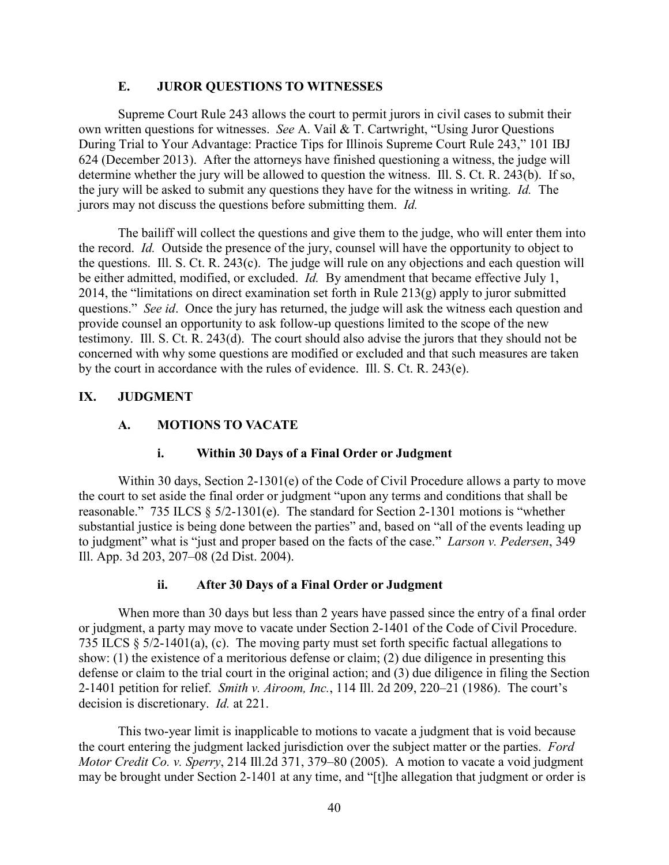#### **E. JUROR QUESTIONS TO WITNESSES**

Supreme Court Rule 243 allows the court to permit jurors in civil cases to submit their own written questions for witnesses. *See* A. Vail & T. Cartwright, "Using Juror Questions During Trial to Your Advantage: Practice Tips for Illinois Supreme Court Rule 243," 101 IBJ 624 (December 2013). After the attorneys have finished questioning a witness, the judge will determine whether the jury will be allowed to question the witness. Ill. S. Ct. R. 243(b). If so, the jury will be asked to submit any questions they have for the witness in writing. *Id.* The jurors may not discuss the questions before submitting them. *Id.*

The bailiff will collect the questions and give them to the judge, who will enter them into the record. *Id.* Outside the presence of the jury, counsel will have the opportunity to object to the questions. Ill. S. Ct. R. 243(c). The judge will rule on any objections and each question will be either admitted, modified, or excluded. *Id.* By amendment that became effective July 1, 2014, the "limitations on direct examination set forth in Rule 213(g) apply to juror submitted questions." *See id*. Once the jury has returned, the judge will ask the witness each question and provide counsel an opportunity to ask follow-up questions limited to the scope of the new testimony. Ill. S. Ct. R. 243(d). The court should also advise the jurors that they should not be concerned with why some questions are modified or excluded and that such measures are taken by the court in accordance with the rules of evidence. Ill. S. Ct. R. 243(e).

## **IX. JUDGMENT**

## **A. MOTIONS TO VACATE**

## **i. Within 30 Days of a Final Order or Judgment**

Within 30 days, Section 2-1301(e) of the Code of Civil Procedure allows a party to move the court to set aside the final order or judgment "upon any terms and conditions that shall be reasonable." 735 ILCS § 5/2-1301(e). The standard for Section 2-1301 motions is "whether substantial justice is being done between the parties" and, based on "all of the events leading up to judgment" what is "just and proper based on the facts of the case." *Larson v. Pedersen*, 349 Ill. App. 3d 203, 207–08 (2d Dist. 2004).

#### **ii. After 30 Days of a Final Order or Judgment**

When more than 30 days but less than 2 years have passed since the entry of a final order or judgment, a party may move to vacate under Section 2-1401 of the Code of Civil Procedure. 735 ILCS § 5/2-1401(a), (c). The moving party must set forth specific factual allegations to show: (1) the existence of a meritorious defense or claim; (2) due diligence in presenting this defense or claim to the trial court in the original action; and (3) due diligence in filing the Section 2-1401 petition for relief. *Smith v. Airoom, Inc.*, 114 Ill. 2d 209, 220–21 (1986). The court's decision is discretionary. *Id.* at 221.

This two-year limit is inapplicable to motions to vacate a judgment that is void because the court entering the judgment lacked jurisdiction over the subject matter or the parties. *Ford Motor Credit Co. v. Sperry*, 214 Ill.2d 371, 379–80 (2005). A motion to vacate a void judgment may be brought under Section 2-1401 at any time, and "[t]he allegation that judgment or order is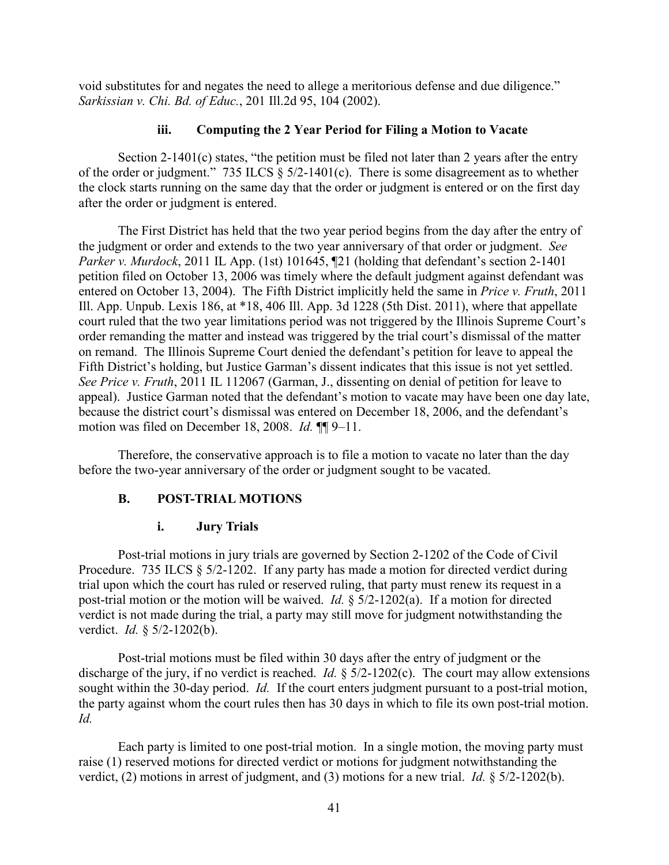void substitutes for and negates the need to allege a meritorious defense and due diligence." *Sarkissian v. Chi. Bd. of Educ.*, 201 Ill.2d 95, 104 (2002).

## **iii. Computing the 2 Year Period for Filing a Motion to Vacate**

Section 2-1401(c) states, "the petition must be filed not later than 2 years after the entry of the order or judgment." 735 ILCS § 5/2-1401(c). There is some disagreement as to whether the clock starts running on the same day that the order or judgment is entered or on the first day after the order or judgment is entered.

The First District has held that the two year period begins from the day after the entry of the judgment or order and extends to the two year anniversary of that order or judgment. *See Parker v. Murdock*, 2011 IL App. (1st) 101645, ¶21 (holding that defendant's section 2-1401 petition filed on October 13, 2006 was timely where the default judgment against defendant was entered on October 13, 2004). The Fifth District implicitly held the same in *Price v. Fruth*, 2011 Ill. App. Unpub. Lexis 186, at \*18, 406 Ill. App. 3d 1228 (5th Dist. 2011), where that appellate court ruled that the two year limitations period was not triggered by the Illinois Supreme Court's order remanding the matter and instead was triggered by the trial court's dismissal of the matter on remand. The Illinois Supreme Court denied the defendant's petition for leave to appeal the Fifth District's holding, but Justice Garman's dissent indicates that this issue is not yet settled. *See Price v. Fruth*, 2011 IL 112067 (Garman, J., dissenting on denial of petition for leave to appeal). Justice Garman noted that the defendant's motion to vacate may have been one day late, because the district court's dismissal was entered on December 18, 2006, and the defendant's motion was filed on December 18, 2008. *Id.* ¶¶ 9–11.

Therefore, the conservative approach is to file a motion to vacate no later than the day before the two-year anniversary of the order or judgment sought to be vacated.

## **B. POST-TRIAL MOTIONS**

#### **i. Jury Trials**

Post-trial motions in jury trials are governed by Section 2-1202 of the Code of Civil Procedure. 735 ILCS § 5/2-1202. If any party has made a motion for directed verdict during trial upon which the court has ruled or reserved ruling, that party must renew its request in a post-trial motion or the motion will be waived. *Id.* § 5/2-1202(a). If a motion for directed verdict is not made during the trial, a party may still move for judgment notwithstanding the verdict. *Id.* § 5/2-1202(b).

Post-trial motions must be filed within 30 days after the entry of judgment or the discharge of the jury, if no verdict is reached. *Id.* § 5/2-1202(c). The court may allow extensions sought within the 30-day period. *Id.* If the court enters judgment pursuant to a post-trial motion, the party against whom the court rules then has 30 days in which to file its own post-trial motion. *Id.*

Each party is limited to one post-trial motion. In a single motion, the moving party must raise (1) reserved motions for directed verdict or motions for judgment notwithstanding the verdict, (2) motions in arrest of judgment, and (3) motions for a new trial. *Id.* § 5/2-1202(b).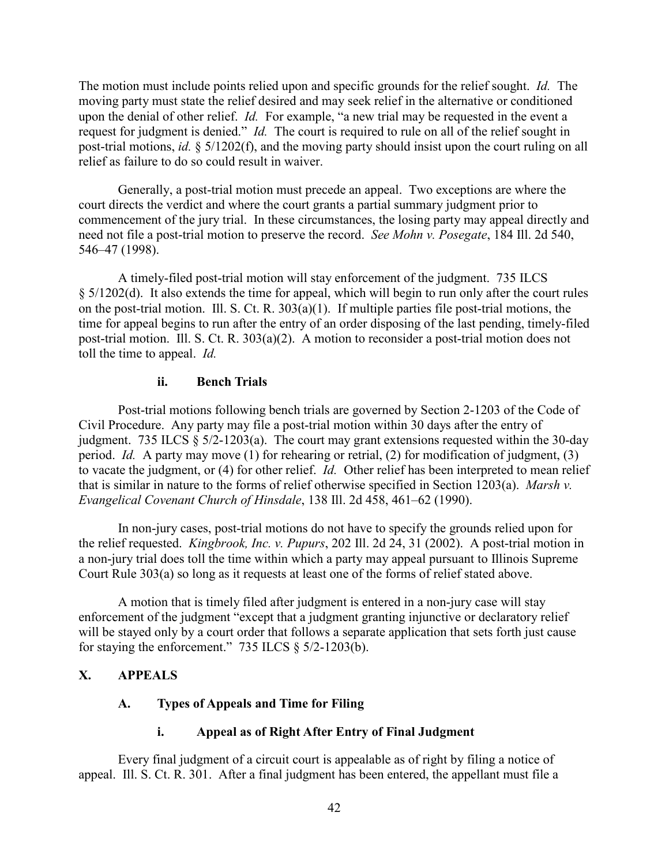The motion must include points relied upon and specific grounds for the relief sought. *Id.* The moving party must state the relief desired and may seek relief in the alternative or conditioned upon the denial of other relief. *Id.* For example, "a new trial may be requested in the event a request for judgment is denied." *Id.* The court is required to rule on all of the relief sought in post-trial motions, *id.* § 5/1202(f), and the moving party should insist upon the court ruling on all relief as failure to do so could result in waiver.

Generally, a post-trial motion must precede an appeal. Two exceptions are where the court directs the verdict and where the court grants a partial summary judgment prior to commencement of the jury trial. In these circumstances, the losing party may appeal directly and need not file a post-trial motion to preserve the record. *See Mohn v. Posegate*, 184 Ill. 2d 540, 546–47 (1998).

A timely-filed post-trial motion will stay enforcement of the judgment. 735 ILCS § 5/1202(d). It also extends the time for appeal, which will begin to run only after the court rules on the post-trial motion. Ill. S. Ct. R. 303(a)(1). If multiple parties file post-trial motions, the time for appeal begins to run after the entry of an order disposing of the last pending, timely-filed post-trial motion. Ill. S. Ct. R. 303(a)(2). A motion to reconsider a post-trial motion does not toll the time to appeal. *Id.*

#### **ii. Bench Trials**

Post-trial motions following bench trials are governed by Section 2-1203 of the Code of Civil Procedure. Any party may file a post-trial motion within 30 days after the entry of judgment. 735 ILCS § 5/2-1203(a). The court may grant extensions requested within the 30-day period. *Id.* A party may move (1) for rehearing or retrial, (2) for modification of judgment, (3) to vacate the judgment, or (4) for other relief. *Id.* Other relief has been interpreted to mean relief that is similar in nature to the forms of relief otherwise specified in Section 1203(a). *Marsh v. Evangelical Covenant Church of Hinsdale*, 138 Ill. 2d 458, 461–62 (1990).

In non-jury cases, post-trial motions do not have to specify the grounds relied upon for the relief requested. *Kingbrook, Inc. v. Pupurs*, 202 Ill. 2d 24, 31 (2002). A post-trial motion in a non-jury trial does toll the time within which a party may appeal pursuant to Illinois Supreme Court Rule 303(a) so long as it requests at least one of the forms of relief stated above.

A motion that is timely filed after judgment is entered in a non-jury case will stay enforcement of the judgment "except that a judgment granting injunctive or declaratory relief will be stayed only by a court order that follows a separate application that sets forth just cause for staying the enforcement."  $735$  ILCS  $\S$   $5/2$ -1203(b).

# **X. APPEALS**

# **A. Types of Appeals and Time for Filing**

# **i. Appeal as of Right After Entry of Final Judgment**

Every final judgment of a circuit court is appealable as of right by filing a notice of appeal. Ill. S. Ct. R. 301. After a final judgment has been entered, the appellant must file a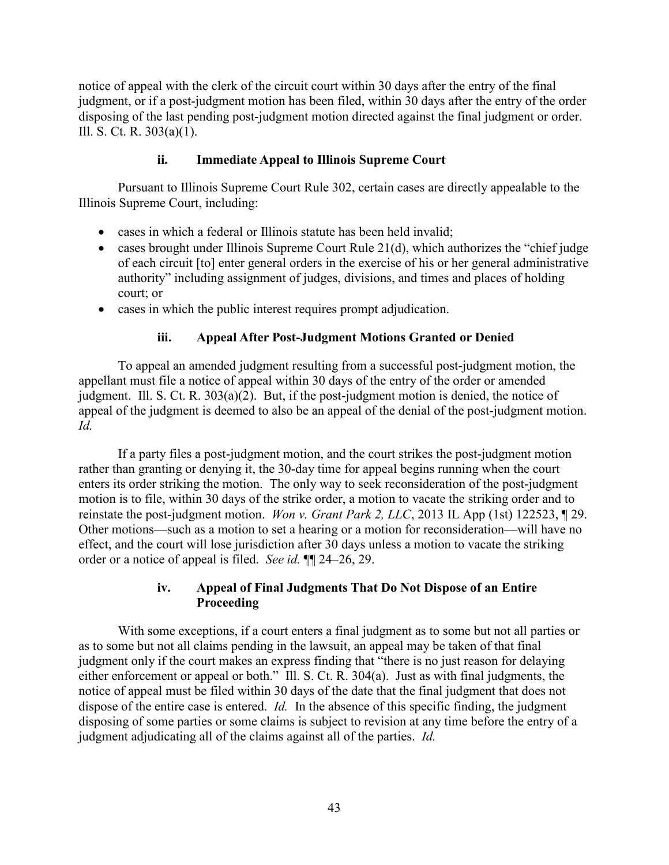notice of appeal with the clerk of the circuit court within 30 days after the entry of the final judgment, or if a post-judgment motion has been filed, within 30 days after the entry of the order disposing of the last pending post-judgment motion directed against the final judgment or order. Ill. S. Ct. R. 303(a)(1).

## **ii. Immediate Appeal to Illinois Supreme Court**

Pursuant to Illinois Supreme Court Rule 302, certain cases are directly appealable to the Illinois Supreme Court, including:

- cases in which a federal or Illinois statute has been held invalid;
- cases brought under Illinois Supreme Court Rule 21(d), which authorizes the "chief judge" of each circuit [to] enter general orders in the exercise of his or her general administrative authority" including assignment of judges, divisions, and times and places of holding court; or
- cases in which the public interest requires prompt adjudication.

## **iii. Appeal After Post-Judgment Motions Granted or Denied**

To appeal an amended judgment resulting from a successful post-judgment motion, the appellant must file a notice of appeal within 30 days of the entry of the order or amended judgment. Ill. S. Ct. R. 303(a)(2). But, if the post-judgment motion is denied, the notice of appeal of the judgment is deemed to also be an appeal of the denial of the post-judgment motion. *Id.*

If a party files a post-judgment motion, and the court strikes the post-judgment motion rather than granting or denying it, the 30-day time for appeal begins running when the court enters its order striking the motion. The only way to seek reconsideration of the post-judgment motion is to file, within 30 days of the strike order, a motion to vacate the striking order and to reinstate the post-judgment motion. *Won v. Grant Park 2, LLC*, 2013 IL App (1st) 122523, ¶ 29. Other motions—such as a motion to set a hearing or a motion for reconsideration—will have no effect, and the court will lose jurisdiction after 30 days unless a motion to vacate the striking order or a notice of appeal is filed. *See id.* ¶¶ 24–26, 29.

#### **iv. Appeal of Final Judgments That Do Not Dispose of an Entire Proceeding**

With some exceptions, if a court enters a final judgment as to some but not all parties or as to some but not all claims pending in the lawsuit, an appeal may be taken of that final judgment only if the court makes an express finding that "there is no just reason for delaying either enforcement or appeal or both." Ill. S. Ct. R. 304(a). Just as with final judgments, the notice of appeal must be filed within 30 days of the date that the final judgment that does not dispose of the entire case is entered. *Id.* In the absence of this specific finding, the judgment disposing of some parties or some claims is subject to revision at any time before the entry of a judgment adjudicating all of the claims against all of the parties. *Id.*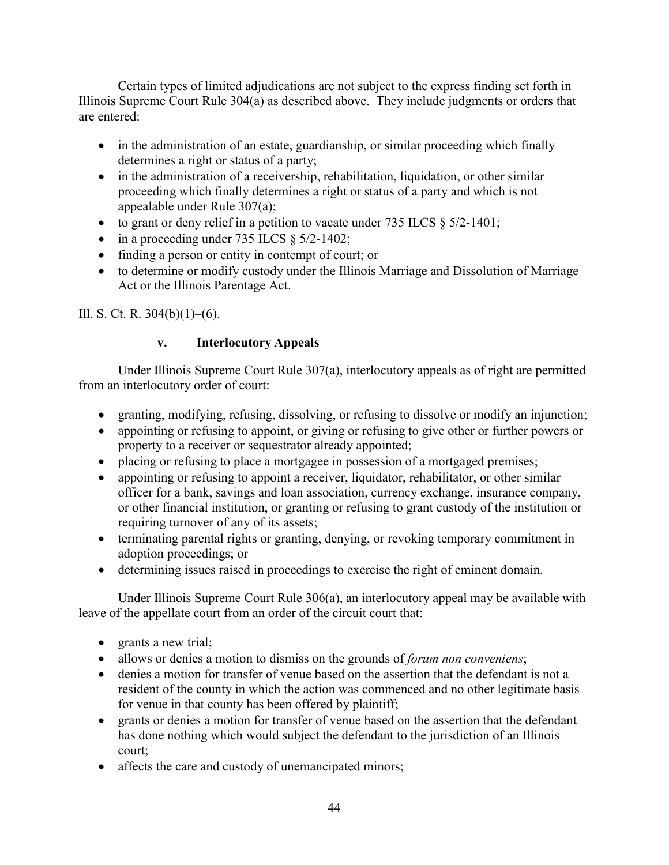Certain types of limited adjudications are not subject to the express finding set forth in Illinois Supreme Court Rule 304(a) as described above. They include judgments or orders that are entered:

- in the administration of an estate, guardianship, or similar proceeding which finally determines a right or status of a party;
- in the administration of a receivership, rehabilitation, liquidation, or other similar proceeding which finally determines a right or status of a party and which is not appealable under Rule 307(a);
- to grant or deny relief in a petition to vacate under  $735$  ILCS  $\S$   $5/2$ -1401;
- in a proceeding under 735 ILCS  $\S$  5/2-1402;
- finding a person or entity in contempt of court; or
- to determine or modify custody under the Illinois Marriage and Dissolution of Marriage Act or the Illinois Parentage Act.

Ill. S. Ct. R.  $304(b)(1)–(6)$ .

# **v. Interlocutory Appeals**

Under Illinois Supreme Court Rule 307(a), interlocutory appeals as of right are permitted from an interlocutory order of court:

- granting, modifying, refusing, dissolving, or refusing to dissolve or modify an injunction;
- appointing or refusing to appoint, or giving or refusing to give other or further powers or property to a receiver or sequestrator already appointed;
- placing or refusing to place a mortgagee in possession of a mortgaged premises;
- appointing or refusing to appoint a receiver, liquidator, rehabilitator, or other similar officer for a bank, savings and loan association, currency exchange, insurance company, or other financial institution, or granting or refusing to grant custody of the institution or requiring turnover of any of its assets;
- terminating parental rights or granting, denying, or revoking temporary commitment in adoption proceedings; or
- determining issues raised in proceedings to exercise the right of eminent domain.

Under Illinois Supreme Court Rule 306(a), an interlocutory appeal may be available with leave of the appellate court from an order of the circuit court that:

- grants a new trial;
- allows or denies a motion to dismiss on the grounds of *forum non conveniens*;
- denies a motion for transfer of venue based on the assertion that the defendant is not a resident of the county in which the action was commenced and no other legitimate basis for venue in that county has been offered by plaintiff;
- grants or denies a motion for transfer of venue based on the assertion that the defendant has done nothing which would subject the defendant to the jurisdiction of an Illinois court;
- affects the care and custody of unemancipated minors;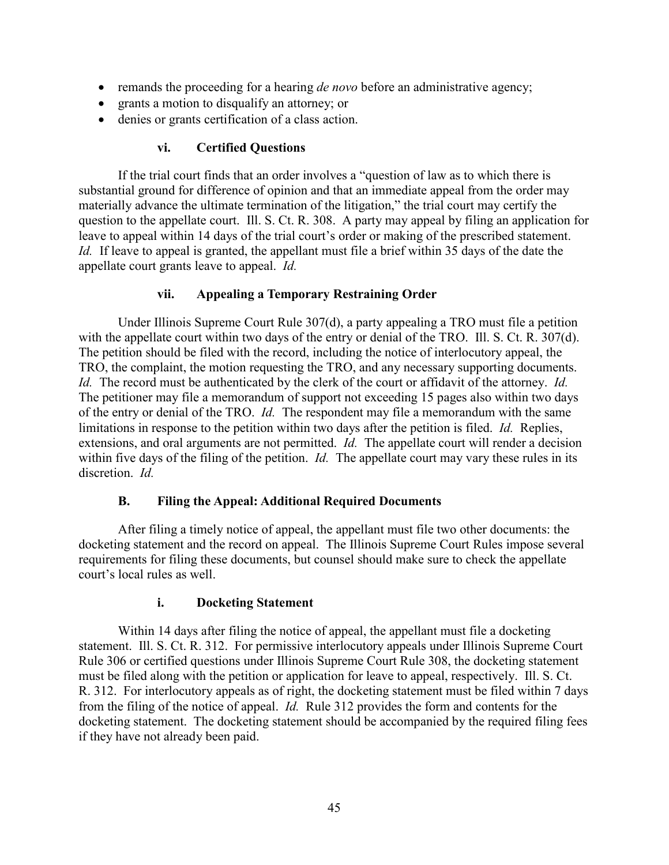- remands the proceeding for a hearing *de novo* before an administrative agency;
- grants a motion to disqualify an attorney; or
- denies or grants certification of a class action.

## **vi. Certified Questions**

If the trial court finds that an order involves a "question of law as to which there is substantial ground for difference of opinion and that an immediate appeal from the order may materially advance the ultimate termination of the litigation," the trial court may certify the question to the appellate court. Ill. S. Ct. R. 308. A party may appeal by filing an application for leave to appeal within 14 days of the trial court's order or making of the prescribed statement. *Id.* If leave to appeal is granted, the appellant must file a brief within 35 days of the date the appellate court grants leave to appeal. *Id.*

## **vii. Appealing a Temporary Restraining Order**

Under Illinois Supreme Court Rule 307(d), a party appealing a TRO must file a petition with the appellate court within two days of the entry or denial of the TRO. Ill. S. Ct. R. 307(d). The petition should be filed with the record, including the notice of interlocutory appeal, the TRO, the complaint, the motion requesting the TRO, and any necessary supporting documents. *Id.* The record must be authenticated by the clerk of the court or affidavit of the attorney. *Id.* The petitioner may file a memorandum of support not exceeding 15 pages also within two days of the entry or denial of the TRO. *Id.* The respondent may file a memorandum with the same limitations in response to the petition within two days after the petition is filed. *Id.* Replies, extensions, and oral arguments are not permitted. *Id.* The appellate court will render a decision within five days of the filing of the petition. *Id.* The appellate court may vary these rules in its discretion. *Id.*

## **B. Filing the Appeal: Additional Required Documents**

After filing a timely notice of appeal, the appellant must file two other documents: the docketing statement and the record on appeal. The Illinois Supreme Court Rules impose several requirements for filing these documents, but counsel should make sure to check the appellate court's local rules as well.

#### **i. Docketing Statement**

Within 14 days after filing the notice of appeal, the appellant must file a docketing statement. Ill. S. Ct. R. 312. For permissive interlocutory appeals under Illinois Supreme Court Rule 306 or certified questions under Illinois Supreme Court Rule 308, the docketing statement must be filed along with the petition or application for leave to appeal, respectively. Ill. S. Ct. R. 312. For interlocutory appeals as of right, the docketing statement must be filed within 7 days from the filing of the notice of appeal. *Id.* Rule 312 provides the form and contents for the docketing statement. The docketing statement should be accompanied by the required filing fees if they have not already been paid.